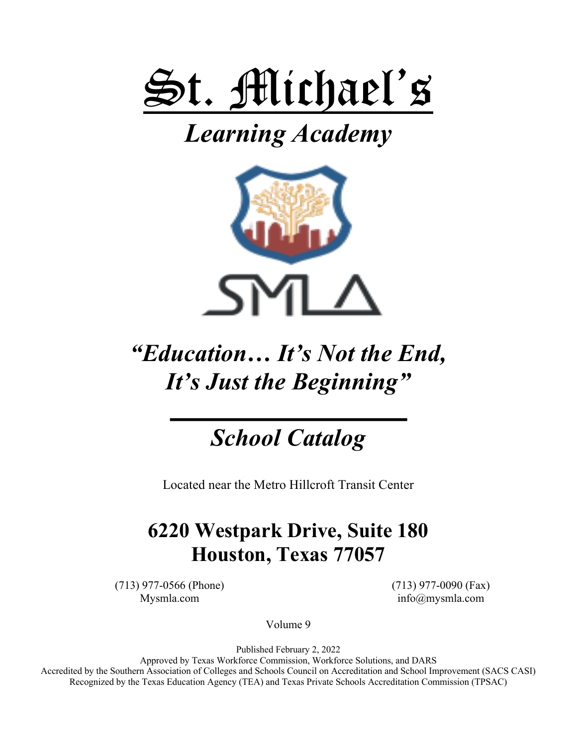

# *Learning Academy*



# *"Education… It's Not the End, It's Just the Beginning"*

## *School Catalog*

Located near the Metro Hillcroft Transit Center

## **6220 Westpark Drive, Suite 180 Houston, Texas 77057**

(713) 977-0566 (Phone) (713) 977-0090 (Fax)

Mysmla.com info@mysmla.com

Volume 9

Published February 2, 2022

Approved by Texas Workforce Commission, Workforce Solutions, and DARS Accredited by the Southern Association of Colleges and Schools Council on Accreditation and School Improvement (SACS CASI) Recognized by the Texas Education Agency (TEA) and Texas Private Schools Accreditation Commission (TPSAC)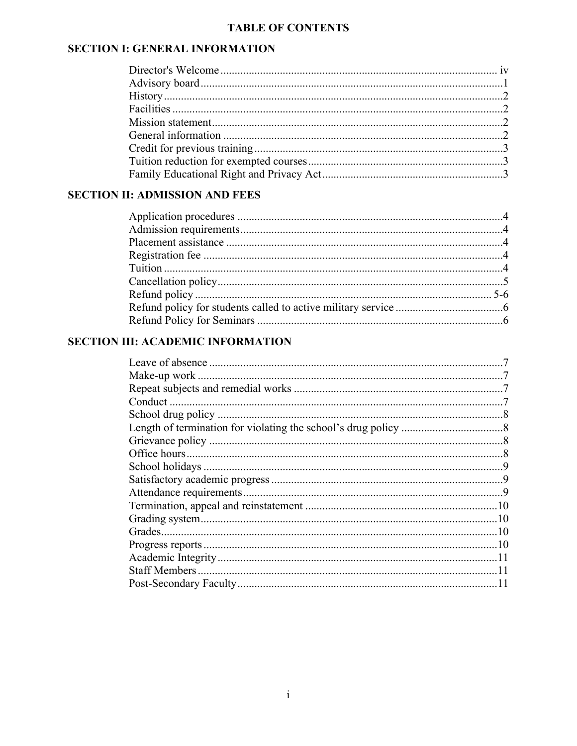## **TABLE OF CONTENTS**

## **SECTION I: GENERAL INFORMATION**

## **SECTION II: ADMISSION AND FEES**

## **SECTION III: ACADEMIC INFORMATION**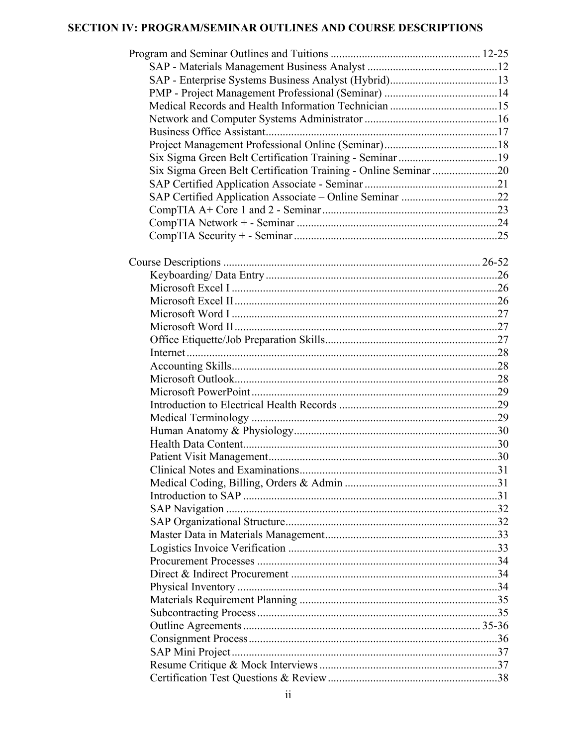## SECTION IV: PROGRAM/SEMINAR OUTLINES AND COURSE DESCRIPTIONS

| Six Sigma Green Belt Certification Training - Online Seminar 20 |  |
|-----------------------------------------------------------------|--|
|                                                                 |  |
| SAP Certified Application Associate - Online Seminar 22         |  |
|                                                                 |  |
|                                                                 |  |
|                                                                 |  |
|                                                                 |  |
|                                                                 |  |
|                                                                 |  |
|                                                                 |  |
|                                                                 |  |
|                                                                 |  |
|                                                                 |  |
|                                                                 |  |
|                                                                 |  |
|                                                                 |  |
|                                                                 |  |
|                                                                 |  |
|                                                                 |  |
|                                                                 |  |
|                                                                 |  |
|                                                                 |  |
|                                                                 |  |
|                                                                 |  |
|                                                                 |  |
|                                                                 |  |
|                                                                 |  |
|                                                                 |  |
|                                                                 |  |
|                                                                 |  |
|                                                                 |  |
|                                                                 |  |
|                                                                 |  |
|                                                                 |  |
|                                                                 |  |
|                                                                 |  |
|                                                                 |  |
|                                                                 |  |
|                                                                 |  |
|                                                                 |  |
|                                                                 |  |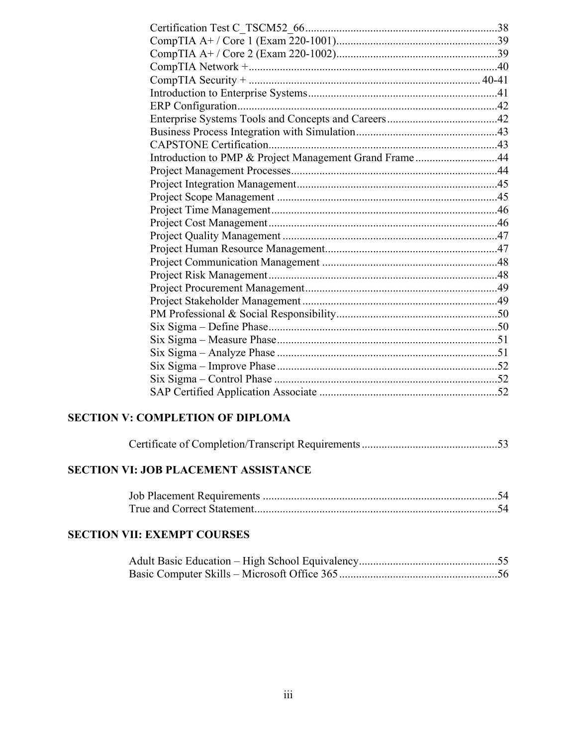| Introduction to PMP & Project Management Grand Frame44 |  |
|--------------------------------------------------------|--|
|                                                        |  |
|                                                        |  |
|                                                        |  |
|                                                        |  |
|                                                        |  |
|                                                        |  |
|                                                        |  |
|                                                        |  |
|                                                        |  |
|                                                        |  |
|                                                        |  |
|                                                        |  |
|                                                        |  |
|                                                        |  |
|                                                        |  |
|                                                        |  |
|                                                        |  |
|                                                        |  |
|                                                        |  |

## **SECTION V: COMPLETION OF DIPLOMA**

|--|--|--|--|

## **SECTION VI: JOB PLACEMENT ASSISTANCE**

## **SECTION VII: EXEMPT COURSES**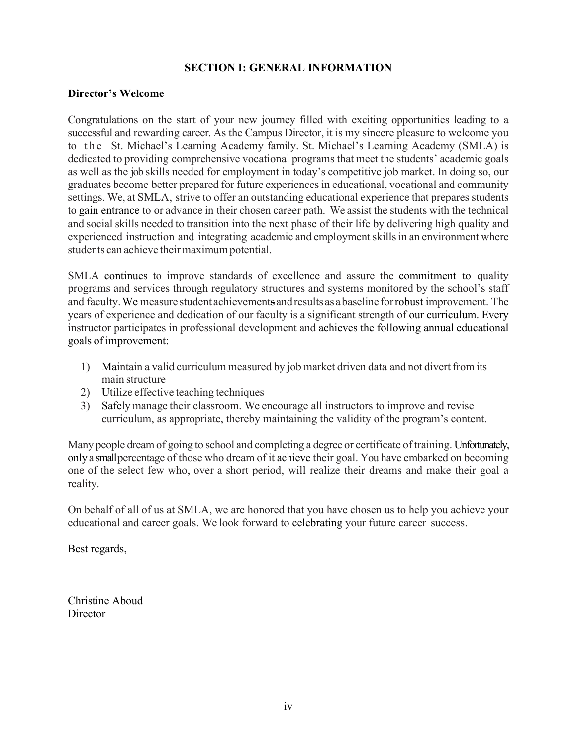#### **SECTION I: GENERAL INFORMATION**

#### **Director's Welcome**

Congratulations on the start of your new journey filled with exciting opportunities leading to a successful and rewarding career. As the Campus Director, it is my sincere pleasure to welcome you to the St. Michael's Learning Academy family. St. Michael's Learning Academy (SMLA) is dedicated to providing comprehensive vocational programs that meet the students' academic goals as well as the job skills needed for employment in today's competitive job market. In doing so, our graduates become better prepared for future experiences in educational, vocational and community settings. We, at SMLA, strive to offer an outstanding educational experience that prepares students to gain entrance to or advance in their chosen career path. We assist the students with the technical and social skills needed to transition into the next phase of their life by delivering high quality and experienced instruction and integrating academic and employment skills in an environment where students can achieve their maximum potential.

SMLA continues to improve standards of excellence and assure the commitment to quality programs and services through regulatory structures and systems monitored by the school's staff and faculty.We measure student achievements andresults as abaseline forrobust improvement. The years of experience and dedication of our faculty is a significant strength of our curriculum. Every instructor participates in professional development and achieves the following annual educational goals of improvement:

- 1) Maintain a valid curriculum measured by job market driven data and not divert from its main structure
- 2) Utilize effective teaching techniques
- 3) Safely manage their classroom. We encourage all instructors to improve and revise curriculum, as appropriate, thereby maintaining the validity of the program's content.

Many people dream of going to school and completing a degree or certificate of training. Unfortunately, only a small percentage of those who dream of it achieve their goal. You have embarked on becoming one of the select few who, over a short period, will realize their dreams and make their goal a reality.

On behalf of all of us at SMLA, we are honored that you have chosen us to help you achieve your educational and career goals. We look forward to celebrating your future career success.

Best regards,

Christine Aboud **Director**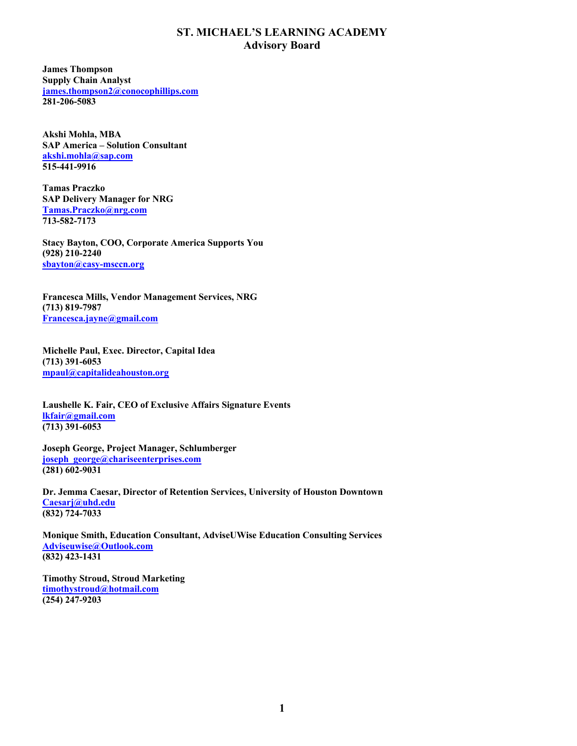#### **ST. MICHAEL'S LEARNING ACADEMY Advisory Board**

**James Thompson Supply Chain Analyst james.thompson2@conocophillips.com 281-206-5083**

**Akshi Mohla, MBA SAP America – Solution Consultant akshi.mohla@sap.com 515-441-9916**

**Tamas Praczko SAP Delivery Manager for NRG Tamas.Praczko@nrg.com 713-582-7173**

**Stacy Bayton, COO, Corporate America Supports You (928) 210-2240 sbayton@casy-msccn.org**

**Francesca Mills, Vendor Management Services, NRG (713) 819-7987 Francesca.jayne@gmail.com**

**Michelle Paul, Exec. Director, Capital Idea (713) 391-6053 mpaul@capitalideahouston.org**

**Laushelle K. Fair, CEO of Exclusive Affairs Signature Events lkfair@gmail.com (713) 391-6053**

**Joseph George, Project Manager, Schlumberger joseph\_george@chariseenterprises.com (281) 602-9031**

**Dr. Jemma Caesar, Director of Retention Services, University of Houston Downtown Caesarj@uhd.edu (832) 724-7033**

**Monique Smith, Education Consultant, AdviseUWise Education Consulting Services Adviseuwise@Outlook.com (832) 423-1431**

**Timothy Stroud, Stroud Marketing timothystroud@hotmail.com (254) 247-9203**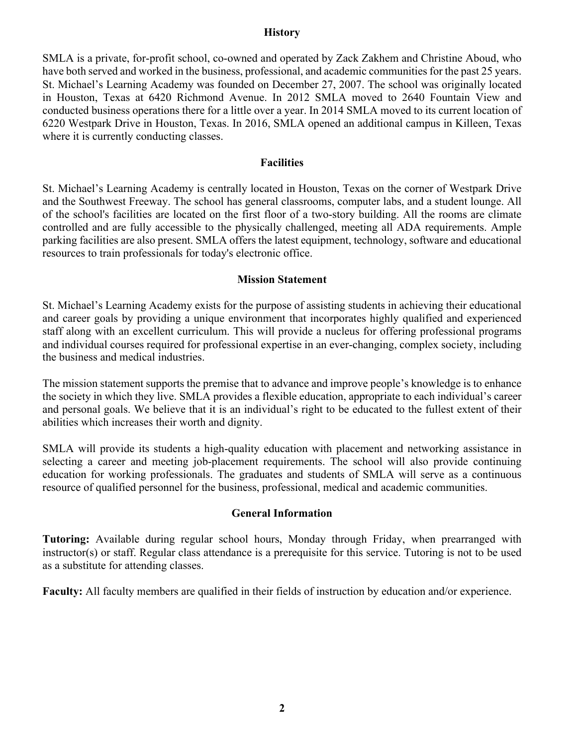#### **History**

SMLA is a private, for-profit school, co-owned and operated by Zack Zakhem and Christine Aboud, who have both served and worked in the business, professional, and academic communities for the past 25 years. St. Michael's Learning Academy was founded on December 27, 2007. The school was originally located in Houston, Texas at 6420 Richmond Avenue. In 2012 SMLA moved to 2640 Fountain View and conducted business operations there for a little over a year. In 2014 SMLA moved to its current location of 6220 Westpark Drive in Houston, Texas. In 2016, SMLA opened an additional campus in Killeen, Texas where it is currently conducting classes.

#### **Facilities**

St. Michael's Learning Academy is centrally located in Houston, Texas on the corner of Westpark Drive and the Southwest Freeway. The school has general classrooms, computer labs, and a student lounge. All of the school's facilities are located on the first floor of a two-story building. All the rooms are climate controlled and are fully accessible to the physically challenged, meeting all ADA requirements. Ample parking facilities are also present. SMLA offers the latest equipment, technology, software and educational resources to train professionals for today's electronic office.

#### **Mission Statement**

St. Michael's Learning Academy exists for the purpose of assisting students in achieving their educational and career goals by providing a unique environment that incorporates highly qualified and experienced staff along with an excellent curriculum. This will provide a nucleus for offering professional programs and individual courses required for professional expertise in an ever-changing, complex society, including the business and medical industries.

The mission statement supports the premise that to advance and improve people's knowledge is to enhance the society in which they live. SMLA provides a flexible education, appropriate to each individual's career and personal goals. We believe that it is an individual's right to be educated to the fullest extent of their abilities which increases their worth and dignity.

SMLA will provide its students a high-quality education with placement and networking assistance in selecting a career and meeting job-placement requirements. The school will also provide continuing education for working professionals. The graduates and students of SMLA will serve as a continuous resource of qualified personnel for the business, professional, medical and academic communities.

#### **General Information**

**Tutoring:** Available during regular school hours, Monday through Friday, when prearranged with instructor(s) or staff. Regular class attendance is a prerequisite for this service. Tutoring is not to be used as a substitute for attending classes.

**Faculty:** All faculty members are qualified in their fields of instruction by education and/or experience.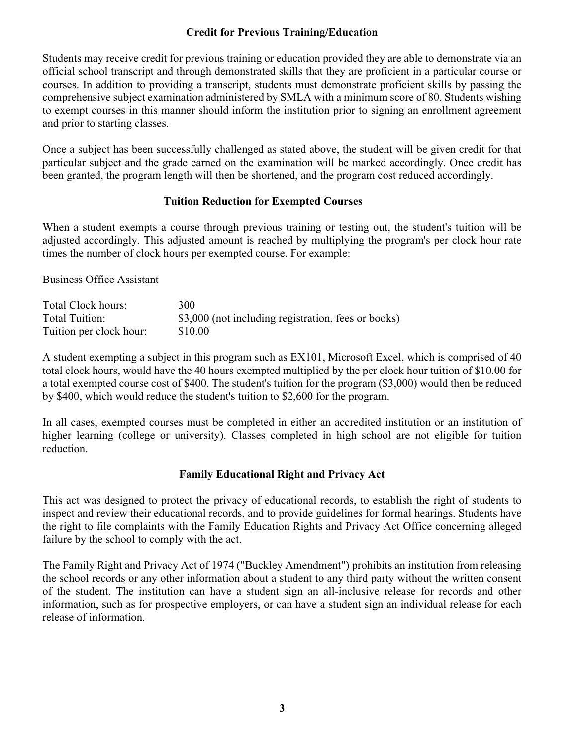#### **Credit for Previous Training/Education**

Students may receive credit for previous training or education provided they are able to demonstrate via an official school transcript and through demonstrated skills that they are proficient in a particular course or courses. In addition to providing a transcript, students must demonstrate proficient skills by passing the comprehensive subject examination administered by SMLA with a minimum score of 80. Students wishing to exempt courses in this manner should inform the institution prior to signing an enrollment agreement and prior to starting classes.

Once a subject has been successfully challenged as stated above, the student will be given credit for that particular subject and the grade earned on the examination will be marked accordingly. Once credit has been granted, the program length will then be shortened, and the program cost reduced accordingly.

#### **Tuition Reduction for Exempted Courses**

When a student exempts a course through previous training or testing out, the student's tuition will be adjusted accordingly. This adjusted amount is reached by multiplying the program's per clock hour rate times the number of clock hours per exempted course. For example:

Business Office Assistant

| Total Clock hours:      | 300                                                 |
|-------------------------|-----------------------------------------------------|
| Total Tuition:          | \$3,000 (not including registration, fees or books) |
| Tuition per clock hour: | \$10.00                                             |

A student exempting a subject in this program such as EX101, Microsoft Excel, which is comprised of 40 total clock hours, would have the 40 hours exempted multiplied by the per clock hour tuition of \$10.00 for a total exempted course cost of \$400. The student's tuition for the program (\$3,000) would then be reduced by \$400, which would reduce the student's tuition to \$2,600 for the program.

In all cases, exempted courses must be completed in either an accredited institution or an institution of higher learning (college or university). Classes completed in high school are not eligible for tuition reduction.

#### **Family Educational Right and Privacy Act**

This act was designed to protect the privacy of educational records, to establish the right of students to inspect and review their educational records, and to provide guidelines for formal hearings. Students have the right to file complaints with the Family Education Rights and Privacy Act Office concerning alleged failure by the school to comply with the act.

The Family Right and Privacy Act of 1974 ("Buckley Amendment") prohibits an institution from releasing the school records or any other information about a student to any third party without the written consent of the student. The institution can have a student sign an all-inclusive release for records and other information, such as for prospective employers, or can have a student sign an individual release for each release of information.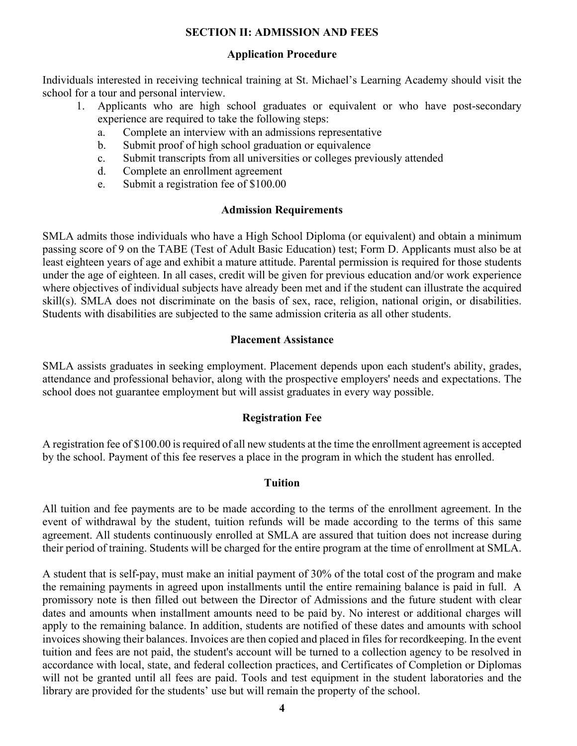#### **SECTION II: ADMISSION AND FEES**

#### **Application Procedure**

Individuals interested in receiving technical training at St. Michael's Learning Academy should visit the school for a tour and personal interview.

- 1. Applicants who are high school graduates or equivalent or who have post-secondary experience are required to take the following steps:
	- a. Complete an interview with an admissions representative
	- b. Submit proof of high school graduation or equivalence
	- c. Submit transcripts from all universities or colleges previously attended
	- d. Complete an enrollment agreement
	- e. Submit a registration fee of \$100.00

#### **Admission Requirements**

SMLA admits those individuals who have a High School Diploma (or equivalent) and obtain a minimum passing score of 9 on the TABE (Test of Adult Basic Education) test; Form D. Applicants must also be at least eighteen years of age and exhibit a mature attitude. Parental permission is required for those students under the age of eighteen. In all cases, credit will be given for previous education and/or work experience where objectives of individual subjects have already been met and if the student can illustrate the acquired skill(s). SMLA does not discriminate on the basis of sex, race, religion, national origin, or disabilities. Students with disabilities are subjected to the same admission criteria as all other students.

#### **Placement Assistance**

SMLA assists graduates in seeking employment. Placement depends upon each student's ability, grades, attendance and professional behavior, along with the prospective employers' needs and expectations. The school does not guarantee employment but will assist graduates in every way possible.

#### **Registration Fee**

A registration fee of \$100.00 is required of all new students at the time the enrollment agreement is accepted by the school. Payment of this fee reserves a place in the program in which the student has enrolled.

#### **Tuition**

All tuition and fee payments are to be made according to the terms of the enrollment agreement. In the event of withdrawal by the student, tuition refunds will be made according to the terms of this same agreement. All students continuously enrolled at SMLA are assured that tuition does not increase during their period of training. Students will be charged for the entire program at the time of enrollment at SMLA.

A student that is self-pay, must make an initial payment of 30% of the total cost of the program and make the remaining payments in agreed upon installments until the entire remaining balance is paid in full. A promissory note is then filled out between the Director of Admissions and the future student with clear dates and amounts when installment amounts need to be paid by. No interest or additional charges will apply to the remaining balance. In addition, students are notified of these dates and amounts with school invoices showing their balances. Invoices are then copied and placed in files for recordkeeping. In the event tuition and fees are not paid, the student's account will be turned to a collection agency to be resolved in accordance with local, state, and federal collection practices, and Certificates of Completion or Diplomas will not be granted until all fees are paid. Tools and test equipment in the student laboratories and the library are provided for the students' use but will remain the property of the school.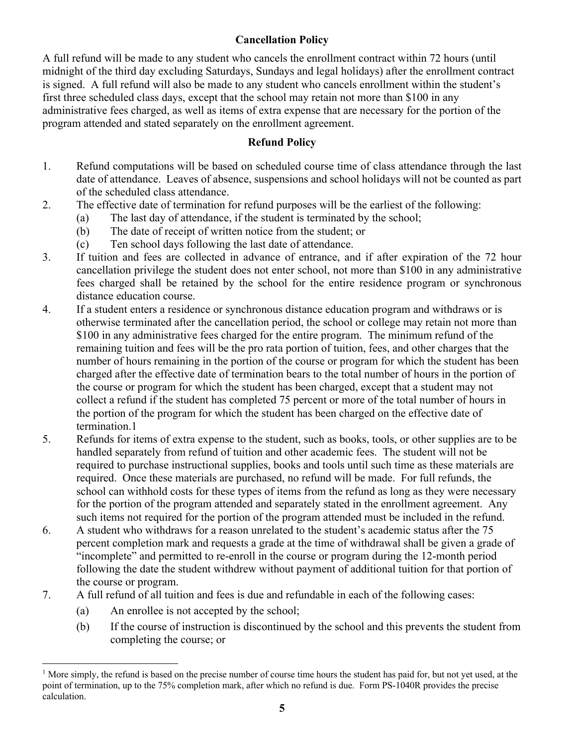## **Cancellation Policy**

A full refund will be made to any student who cancels the enrollment contract within 72 hours (until midnight of the third day excluding Saturdays, Sundays and legal holidays) after the enrollment contract is signed. A full refund will also be made to any student who cancels enrollment within the student's first three scheduled class days, except that the school may retain not more than \$100 in any administrative fees charged, as well as items of extra expense that are necessary for the portion of the program attended and stated separately on the enrollment agreement.

### **Refund Policy**

- 1. Refund computations will be based on scheduled course time of class attendance through the last date of attendance. Leaves of absence, suspensions and school holidays will not be counted as part of the scheduled class attendance.
- 2. The effective date of termination for refund purposes will be the earliest of the following:
	- (a) The last day of attendance, if the student is terminated by the school;
	- (b) The date of receipt of written notice from the student; or
	- (c) Ten school days following the last date of attendance.
- 3. If tuition and fees are collected in advance of entrance, and if after expiration of the 72 hour cancellation privilege the student does not enter school, not more than \$100 in any administrative fees charged shall be retained by the school for the entire residence program or synchronous distance education course.
- 4. If a student enters a residence or synchronous distance education program and withdraws or is otherwise terminated after the cancellation period, the school or college may retain not more than \$100 in any administrative fees charged for the entire program. The minimum refund of the remaining tuition and fees will be the pro rata portion of tuition, fees, and other charges that the number of hours remaining in the portion of the course or program for which the student has been charged after the effective date of termination bears to the total number of hours in the portion of the course or program for which the student has been charged, except that a student may not collect a refund if the student has completed 75 percent or more of the total number of hours in the portion of the program for which the student has been charged on the effective date of termination.1
- 5. Refunds for items of extra expense to the student, such as books, tools, or other supplies are to be handled separately from refund of tuition and other academic fees. The student will not be required to purchase instructional supplies, books and tools until such time as these materials are required. Once these materials are purchased, no refund will be made. For full refunds, the school can withhold costs for these types of items from the refund as long as they were necessary for the portion of the program attended and separately stated in the enrollment agreement. Any such items not required for the portion of the program attended must be included in the refund.
- 6. A student who withdraws for a reason unrelated to the student's academic status after the 75 percent completion mark and requests a grade at the time of withdrawal shall be given a grade of "incomplete" and permitted to re-enroll in the course or program during the 12-month period following the date the student withdrew without payment of additional tuition for that portion of the course or program.
- 7. A full refund of all tuition and fees is due and refundable in each of the following cases:
	- (a) An enrollee is not accepted by the school;
	- (b) If the course of instruction is discontinued by the school and this prevents the student from completing the course; or

<sup>&</sup>lt;sup>1</sup> More simply, the refund is based on the precise number of course time hours the student has paid for, but not yet used, at the point of termination, up to the 75% completion mark, after which no refund is due. Form PS-1040R provides the precise calculation.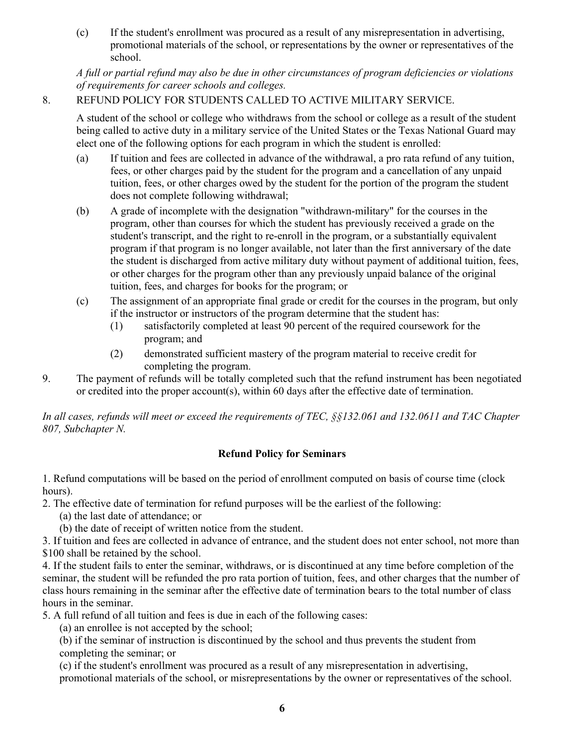(c) If the student's enrollment was procured as a result of any misrepresentation in advertising, promotional materials of the school, or representations by the owner or representatives of the school.

*A full or partial refund may also be due in other circumstances of program deficiencies or violations of requirements for career schools and colleges.* 

### 8. REFUND POLICY FOR STUDENTS CALLED TO ACTIVE MILITARY SERVICE.

A student of the school or college who withdraws from the school or college as a result of the student being called to active duty in a military service of the United States or the Texas National Guard may elect one of the following options for each program in which the student is enrolled:

- (a) If tuition and fees are collected in advance of the withdrawal, a pro rata refund of any tuition, fees, or other charges paid by the student for the program and a cancellation of any unpaid tuition, fees, or other charges owed by the student for the portion of the program the student does not complete following withdrawal;
- (b) A grade of incomplete with the designation "withdrawn-military" for the courses in the program, other than courses for which the student has previously received a grade on the student's transcript, and the right to re-enroll in the program, or a substantially equivalent program if that program is no longer available, not later than the first anniversary of the date the student is discharged from active military duty without payment of additional tuition, fees, or other charges for the program other than any previously unpaid balance of the original tuition, fees, and charges for books for the program; or
- (c) The assignment of an appropriate final grade or credit for the courses in the program, but only if the instructor or instructors of the program determine that the student has:
	- (1) satisfactorily completed at least 90 percent of the required coursework for the program; and
	- (2) demonstrated sufficient mastery of the program material to receive credit for completing the program.
- 9. The payment of refunds will be totally completed such that the refund instrument has been negotiated or credited into the proper account(s), within 60 days after the effective date of termination.

*In all cases, refunds will meet or exceed the requirements of TEC, §§132.061 and 132.0611 and TAC Chapter 807, Subchapter N.*

## **Refund Policy for Seminars**

1. Refund computations will be based on the period of enrollment computed on basis of course time (clock hours).

2. The effective date of termination for refund purposes will be the earliest of the following:

- (a) the last date of attendance; or
- (b) the date of receipt of written notice from the student.

3. If tuition and fees are collected in advance of entrance, and the student does not enter school, not more than \$100 shall be retained by the school.

4. If the student fails to enter the seminar, withdraws, or is discontinued at any time before completion of the seminar, the student will be refunded the pro rata portion of tuition, fees, and other charges that the number of class hours remaining in the seminar after the effective date of termination bears to the total number of class hours in the seminar.

5. A full refund of all tuition and fees is due in each of the following cases:

(a) an enrollee is not accepted by the school;

(b) if the seminar of instruction is discontinued by the school and thus prevents the student from completing the seminar; or

(c) if the student's enrollment was procured as a result of any misrepresentation in advertising, promotional materials of the school, or misrepresentations by the owner or representatives of the school.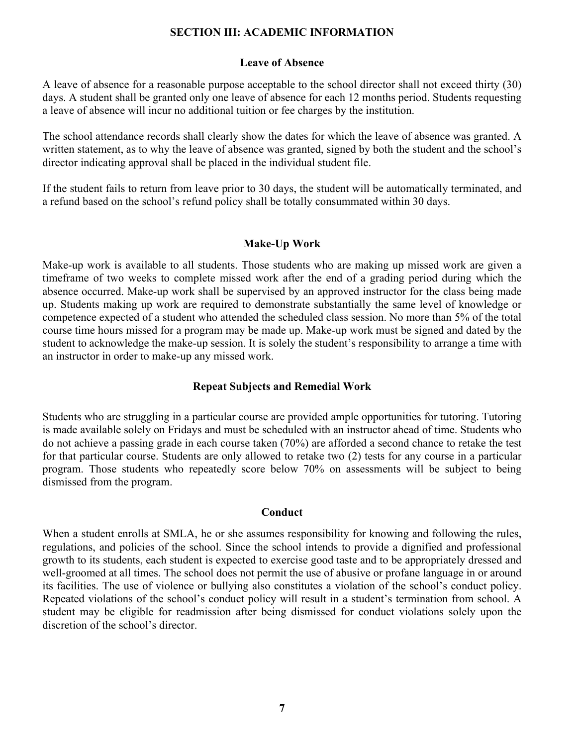#### **SECTION III: ACADEMIC INFORMATION**

#### **Leave of Absence**

A leave of absence for a reasonable purpose acceptable to the school director shall not exceed thirty (30) days. A student shall be granted only one leave of absence for each 12 months period. Students requesting a leave of absence will incur no additional tuition or fee charges by the institution.

The school attendance records shall clearly show the dates for which the leave of absence was granted. A written statement, as to why the leave of absence was granted, signed by both the student and the school's director indicating approval shall be placed in the individual student file.

If the student fails to return from leave prior to 30 days, the student will be automatically terminated, and a refund based on the school's refund policy shall be totally consummated within 30 days.

#### **Make-Up Work**

Make-up work is available to all students. Those students who are making up missed work are given a timeframe of two weeks to complete missed work after the end of a grading period during which the absence occurred. Make-up work shall be supervised by an approved instructor for the class being made up. Students making up work are required to demonstrate substantially the same level of knowledge or competence expected of a student who attended the scheduled class session. No more than 5% of the total course time hours missed for a program may be made up. Make-up work must be signed and dated by the student to acknowledge the make-up session. It is solely the student's responsibility to arrange a time with an instructor in order to make-up any missed work.

#### **Repeat Subjects and Remedial Work**

Students who are struggling in a particular course are provided ample opportunities for tutoring. Tutoring is made available solely on Fridays and must be scheduled with an instructor ahead of time. Students who do not achieve a passing grade in each course taken (70%) are afforded a second chance to retake the test for that particular course. Students are only allowed to retake two (2) tests for any course in a particular program. Those students who repeatedly score below 70% on assessments will be subject to being dismissed from the program.

#### **Conduct**

When a student enrolls at SMLA, he or she assumes responsibility for knowing and following the rules, regulations, and policies of the school. Since the school intends to provide a dignified and professional growth to its students, each student is expected to exercise good taste and to be appropriately dressed and well-groomed at all times. The school does not permit the use of abusive or profane language in or around its facilities. The use of violence or bullying also constitutes a violation of the school's conduct policy. Repeated violations of the school's conduct policy will result in a student's termination from school. A student may be eligible for readmission after being dismissed for conduct violations solely upon the discretion of the school's director.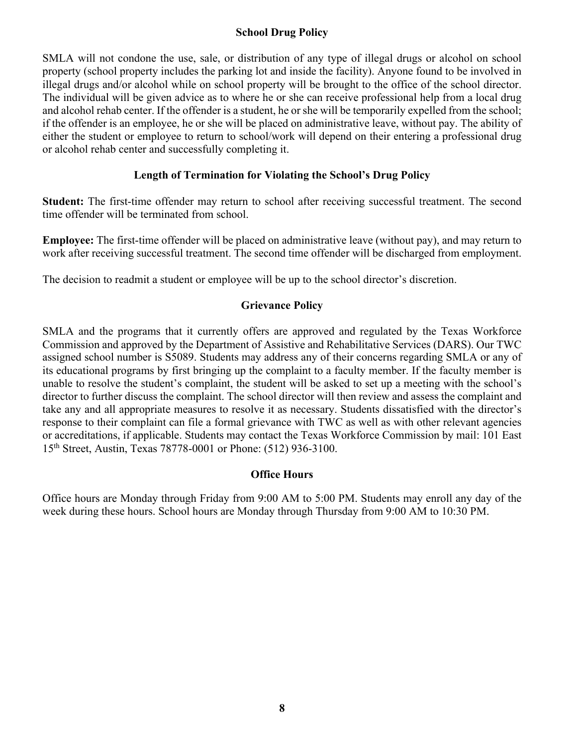#### **School Drug Policy**

SMLA will not condone the use, sale, or distribution of any type of illegal drugs or alcohol on school property (school property includes the parking lot and inside the facility). Anyone found to be involved in illegal drugs and/or alcohol while on school property will be brought to the office of the school director. The individual will be given advice as to where he or she can receive professional help from a local drug and alcohol rehab center. If the offender is a student, he or she will be temporarily expelled from the school; if the offender is an employee, he or she will be placed on administrative leave, without pay. The ability of either the student or employee to return to school/work will depend on their entering a professional drug or alcohol rehab center and successfully completing it.

#### **Length of Termination for Violating the School's Drug Policy**

**Student:** The first-time offender may return to school after receiving successful treatment. The second time offender will be terminated from school.

**Employee:** The first-time offender will be placed on administrative leave (without pay), and may return to work after receiving successful treatment. The second time offender will be discharged from employment.

The decision to readmit a student or employee will be up to the school director's discretion.

#### **Grievance Policy**

SMLA and the programs that it currently offers are approved and regulated by the Texas Workforce Commission and approved by the Department of Assistive and Rehabilitative Services (DARS). Our TWC assigned school number is S5089. Students may address any of their concerns regarding SMLA or any of its educational programs by first bringing up the complaint to a faculty member. If the faculty member is unable to resolve the student's complaint, the student will be asked to set up a meeting with the school's director to further discuss the complaint. The school director will then review and assess the complaint and take any and all appropriate measures to resolve it as necessary. Students dissatisfied with the director's response to their complaint can file a formal grievance with TWC as well as with other relevant agencies or accreditations, if applicable. Students may contact the Texas Workforce Commission by mail: 101 East 15th Street, Austin, Texas 78778-0001 or Phone: (512) 936-3100.

#### **Office Hours**

Office hours are Monday through Friday from 9:00 AM to 5:00 PM. Students may enroll any day of the week during these hours. School hours are Monday through Thursday from 9:00 AM to 10:30 PM.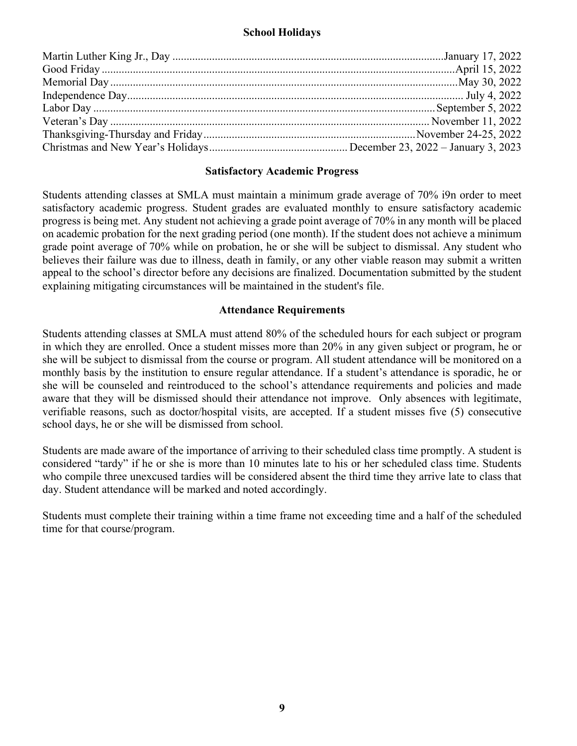#### **School Holidays**

#### **Satisfactory Academic Progress**

Students attending classes at SMLA must maintain a minimum grade average of 70% i9n order to meet satisfactory academic progress. Student grades are evaluated monthly to ensure satisfactory academic progress is being met. Any student not achieving a grade point average of 70% in any month will be placed on academic probation for the next grading period (one month). If the student does not achieve a minimum grade point average of 70% while on probation, he or she will be subject to dismissal. Any student who believes their failure was due to illness, death in family, or any other viable reason may submit a written appeal to the school's director before any decisions are finalized. Documentation submitted by the student explaining mitigating circumstances will be maintained in the student's file.

#### **Attendance Requirements**

Students attending classes at SMLA must attend 80% of the scheduled hours for each subject or program in which they are enrolled. Once a student misses more than 20% in any given subject or program, he or she will be subject to dismissal from the course or program. All student attendance will be monitored on a monthly basis by the institution to ensure regular attendance. If a student's attendance is sporadic, he or she will be counseled and reintroduced to the school's attendance requirements and policies and made aware that they will be dismissed should their attendance not improve. Only absences with legitimate, verifiable reasons, such as doctor/hospital visits, are accepted. If a student misses five (5) consecutive school days, he or she will be dismissed from school.

Students are made aware of the importance of arriving to their scheduled class time promptly. A student is considered "tardy" if he or she is more than 10 minutes late to his or her scheduled class time. Students who compile three unexcused tardies will be considered absent the third time they arrive late to class that day. Student attendance will be marked and noted accordingly.

Students must complete their training within a time frame not exceeding time and a half of the scheduled time for that course/program.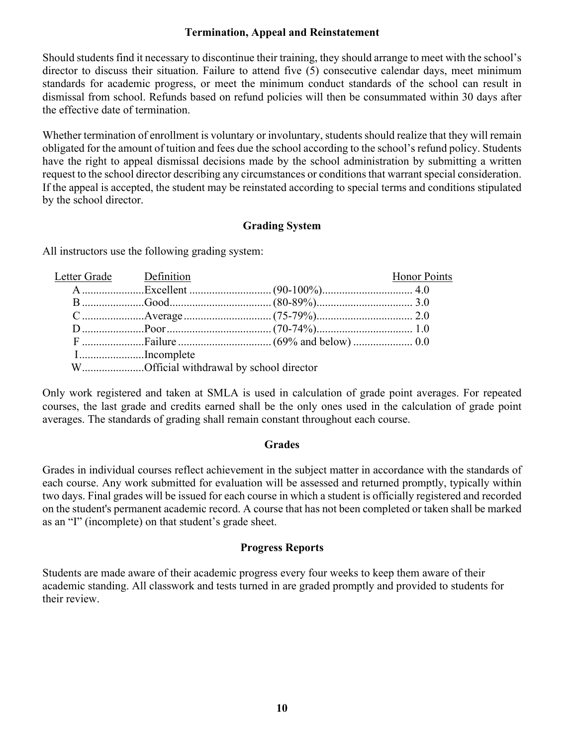#### **Termination, Appeal and Reinstatement**

Should students find it necessary to discontinue their training, they should arrange to meet with the school's director to discuss their situation. Failure to attend five (5) consecutive calendar days, meet minimum standards for academic progress, or meet the minimum conduct standards of the school can result in dismissal from school. Refunds based on refund policies will then be consummated within 30 days after the effective date of termination.

Whether termination of enrollment is voluntary or involuntary, students should realize that they will remain obligated for the amount of tuition and fees due the school according to the school's refund policy. Students have the right to appeal dismissal decisions made by the school administration by submitting a written request to the school director describing any circumstances or conditions that warrant special consideration. If the appeal is accepted, the student may be reinstated according to special terms and conditions stipulated by the school director.

#### **Grading System**

All instructors use the following grading system:

| Letter Grade Definition |                                         | <b>Honor Points</b> |
|-------------------------|-----------------------------------------|---------------------|
|                         |                                         |                     |
|                         |                                         |                     |
|                         |                                         |                     |
|                         |                                         |                     |
|                         |                                         |                     |
|                         | IIncomplete                             |                     |
|                         | WOfficial withdrawal by school director |                     |

Only work registered and taken at SMLA is used in calculation of grade point averages. For repeated courses, the last grade and credits earned shall be the only ones used in the calculation of grade point averages. The standards of grading shall remain constant throughout each course.

#### **Grades**

Grades in individual courses reflect achievement in the subject matter in accordance with the standards of each course. Any work submitted for evaluation will be assessed and returned promptly, typically within two days. Final grades will be issued for each course in which a student is officially registered and recorded on the student's permanent academic record. A course that has not been completed or taken shall be marked as an "I" (incomplete) on that student's grade sheet.

#### **Progress Reports**

Students are made aware of their academic progress every four weeks to keep them aware of their academic standing. All classwork and tests turned in are graded promptly and provided to students for their review.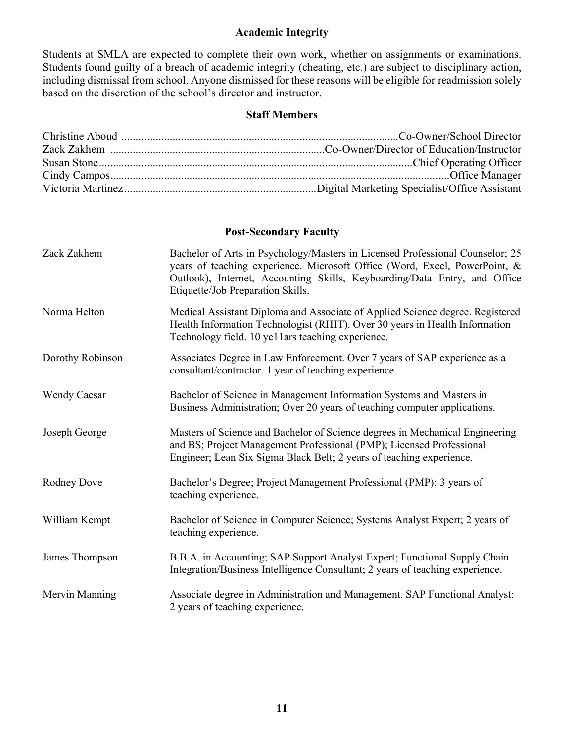#### **Academic Integrity**

Students at SMLA are expected to complete their own work, whether on assignments or examinations. Students found guilty of a breach of academic integrity (cheating, etc.) are subject to disciplinary action, including dismissal from school. Anyone dismissed for these reasons will be eligible for readmission solely based on the discretion of the school's director and instructor.

#### **Staff Members**

#### **Post-Secondary Faculty**

| Zack Zakhem         | Bachelor of Arts in Psychology/Masters in Licensed Professional Counselor; 25<br>years of teaching experience. Microsoft Office (Word, Excel, PowerPoint, &<br>Outlook), Internet, Accounting Skills, Keyboarding/Data Entry, and Office<br>Etiquette/Job Preparation Skills. |
|---------------------|-------------------------------------------------------------------------------------------------------------------------------------------------------------------------------------------------------------------------------------------------------------------------------|
| Norma Helton        | Medical Assistant Diploma and Associate of Applied Science degree. Registered<br>Health Information Technologist (RHIT). Over 30 years in Health Information<br>Technology field. 10 ye11ars teaching experience.                                                             |
| Dorothy Robinson    | Associates Degree in Law Enforcement. Over 7 years of SAP experience as a<br>consultant/contractor. 1 year of teaching experience.                                                                                                                                            |
| <b>Wendy Caesar</b> | Bachelor of Science in Management Information Systems and Masters in<br>Business Administration; Over 20 years of teaching computer applications.                                                                                                                             |
| Joseph George       | Masters of Science and Bachelor of Science degrees in Mechanical Engineering<br>and BS; Project Management Professional (PMP); Licensed Professional<br>Engineer; Lean Six Sigma Black Belt; 2 years of teaching experience.                                                  |
| Rodney Dove         | Bachelor's Degree; Project Management Professional (PMP); 3 years of<br>teaching experience.                                                                                                                                                                                  |
| William Kempt       | Bachelor of Science in Computer Science; Systems Analyst Expert; 2 years of<br>teaching experience.                                                                                                                                                                           |
| James Thompson      | B.B.A. in Accounting; SAP Support Analyst Expert; Functional Supply Chain<br>Integration/Business Intelligence Consultant; 2 years of teaching experience.                                                                                                                    |
| Mervin Manning      | Associate degree in Administration and Management. SAP Functional Analyst;<br>2 years of teaching experience.                                                                                                                                                                 |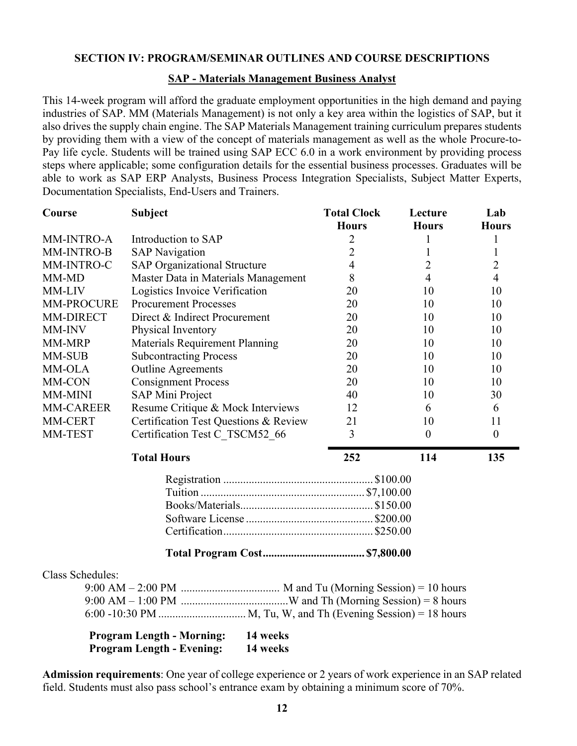#### **SECTION IV: PROGRAM/SEMINAR OUTLINES AND COURSE DESCRIPTIONS**

#### **SAP - Materials Management Business Analyst**

This 14-week program will afford the graduate employment opportunities in the high demand and paying industries of SAP. MM (Materials Management) is not only a key area within the logistics of SAP, but it also drives the supply chain engine. The SAP Materials Management training curriculum prepares students by providing them with a view of the concept of materials management as well as the whole Procure-to-Pay life cycle. Students will be trained using SAP ECC 6.0 in a work environment by providing process steps where applicable; some configuration details for the essential business processes. Graduates will be able to work as SAP ERP Analysts, Business Process Integration Specialists, Subject Matter Experts, Documentation Specialists, End-Users and Trainers.

| Course           | <b>Subject</b>                        | <b>Total Clock</b> | Lecture      | Lab              |
|------------------|---------------------------------------|--------------------|--------------|------------------|
|                  |                                       | <b>Hours</b>       | <b>Hours</b> | <b>Hours</b>     |
| MM-INTRO-A       | Introduction to SAP                   | 2                  |              |                  |
| MM-INTRO-B       | <b>SAP Navigation</b>                 | $\overline{2}$     |              |                  |
| MM-INTRO-C       | <b>SAP Organizational Structure</b>   | 4                  | 2            | $\overline{2}$   |
| MM-MD            | Master Data in Materials Management   | 8                  | 4            | $\overline{4}$   |
| MM-LIV           | Logistics Invoice Verification        | 20                 | 10           | 10               |
| MM-PROCURE       | <b>Procurement Processes</b>          | 20                 | 10           | 10               |
| MM-DIRECT        | Direct & Indirect Procurement         | 20                 | 10           | 10               |
| MM-INV           | Physical Inventory                    | 20                 | 10           | 10               |
| MM-MRP           | Materials Requirement Planning        | 20                 | 10           | 10               |
| <b>MM-SUB</b>    | <b>Subcontracting Process</b>         | 20                 | 10           | 10               |
| MM-OLA           | <b>Outline Agreements</b>             | 20                 | 10           | 10               |
| MM-CON           | <b>Consignment Process</b>            | 20                 | 10           | 10               |
| MM-MINI          | <b>SAP Mini Project</b>               | 40                 | 10           | 30               |
| <b>MM-CAREER</b> | Resume Critique & Mock Interviews     | 12                 | 6            | 6                |
| MM-CERT          | Certification Test Questions & Review | 21                 | 10           | 11               |
| MM-TEST          | Certification Test C TSCM52 66        | 3                  | $\theta$     | $\boldsymbol{0}$ |
|                  | <b>Total Hours</b>                    | 252                | 114          | 135              |
|                  |                                       |                    |              |                  |
|                  |                                       |                    |              |                  |
|                  |                                       |                    |              |                  |
|                  |                                       |                    |              |                  |
|                  |                                       |                    |              |                  |
|                  |                                       |                    |              |                  |
|                  |                                       |                    |              |                  |

#### Class Schedules:

| <b>Program Length - Morning:</b> | 14 weeks |
|----------------------------------|----------|
| <b>Program Length - Evening:</b> | 14 weeks |

**Admission requirements**: One year of college experience or 2 years of work experience in an SAP related field. Students must also pass school's entrance exam by obtaining a minimum score of 70%.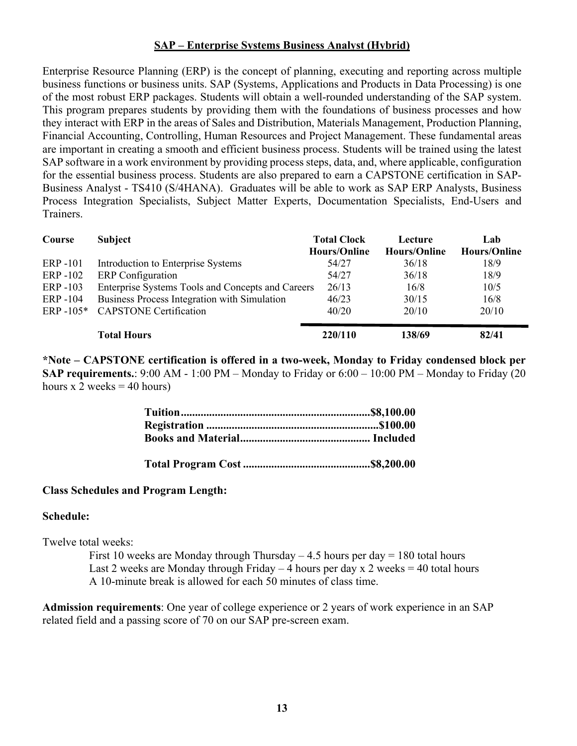#### **SAP – Enterprise Systems Business Analyst (Hybrid)**

Enterprise Resource Planning (ERP) is the concept of planning, executing and reporting across multiple business functions or business units. SAP (Systems, Applications and Products in Data Processing) is one of the most robust ERP packages. Students will obtain a well-rounded understanding of the SAP system. This program prepares students by providing them with the foundations of business processes and how they interact with ERP in the areas of Sales and Distribution, Materials Management, Production Planning, Financial Accounting, Controlling, Human Resources and Project Management. These fundamental areas are important in creating a smooth and efficient business process. Students will be trained using the latest SAP software in a work environment by providing process steps, data, and, where applicable, configuration for the essential business process. Students are also prepared to earn a CAPSTONE certification in SAP-Business Analyst - TS410 (S/4HANA). Graduates will be able to work as SAP ERP Analysts, Business Process Integration Specialists, Subject Matter Experts, Documentation Specialists, End-Users and Trainers.

| Course       | <b>Subject</b>                                    | <b>Total Clock</b><br><b>Hours/Online</b> | Lecture<br><b>Hours/Online</b> | Lab<br><b>Hours/Online</b> |
|--------------|---------------------------------------------------|-------------------------------------------|--------------------------------|----------------------------|
| ERP-101      | Introduction to Enterprise Systems                | 54/27                                     | 36/18                          | 18/9                       |
| ERP -102     | <b>ERP</b> Configuration                          | 54/27                                     | 36/18                          | 18/9                       |
| ERP -103     | Enterprise Systems Tools and Concepts and Careers | 26/13                                     | 16/8                           | 10/5                       |
| ERP-104      | Business Process Integration with Simulation      | 46/23                                     | 30/15                          | 16/8                       |
| $ERP - 105*$ | <b>CAPSTONE</b> Certification                     | 40/20                                     | 20/10                          | 20/10                      |
|              | <b>Total Hours</b>                                | 220/110                                   | 138/69                         | 82/41                      |

**\*Note – CAPSTONE certification is offered in a two-week, Monday to Friday condensed block per SAP requirements.**: 9:00 AM - 1:00 PM – Monday to Friday or 6:00 – 10:00 PM – Monday to Friday (20 hours x 2 weeks  $=$  40 hours)

#### **Class Schedules and Program Length:**

#### **Schedule:**

Twelve total weeks:

First 10 weeks are Monday through Thursday  $-4.5$  hours per day  $= 180$  total hours Last 2 weeks are Monday through Friday  $-4$  hours per day x 2 weeks  $= 40$  total hours A 10-minute break is allowed for each 50 minutes of class time.

**Admission requirements**: One year of college experience or 2 years of work experience in an SAP related field and a passing score of 70 on our SAP pre-screen exam.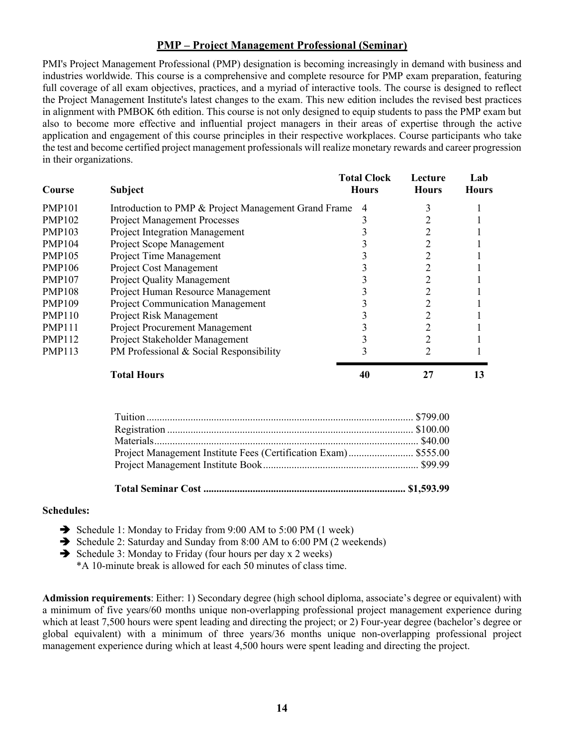#### **PMP – Project Management Professional (Seminar)**

PMI's Project Management Professional (PMP) designation is becoming increasingly in demand with business and industries worldwide. This course is a comprehensive and complete resource for PMP exam preparation, featuring full coverage of all exam objectives, practices, and a myriad of interactive tools. The course is designed to reflect the Project Management Institute's latest changes to the exam. This new edition includes the revised best practices in alignment with PMBOK 6th edition. This course is not only designed to equip students to pass the PMP exam but also to become more effective and influential project managers in their areas of expertise through the active application and engagement of this course principles in their respective workplaces. Course participants who take the test and become certified project management professionals will realize monetary rewards and career progression in their organizations.

| Course        | <b>Subject</b>                                       | <b>Total Clock</b><br><b>Hours</b> | Lecture<br><b>Hours</b> | Lab<br>Hours |
|---------------|------------------------------------------------------|------------------------------------|-------------------------|--------------|
| <b>PMP101</b> | Introduction to PMP & Project Management Grand Frame | 4                                  | 3                       |              |
| <b>PMP102</b> | <b>Project Management Processes</b>                  |                                    |                         |              |
| <b>PMP103</b> | <b>Project Integration Management</b>                |                                    | $\overline{2}$          |              |
| <b>PMP104</b> | Project Scope Management                             |                                    | 2                       |              |
| <b>PMP105</b> | Project Time Management                              |                                    | 2                       |              |
| <b>PMP106</b> | Project Cost Management                              |                                    | $\overline{2}$          |              |
| <b>PMP107</b> | <b>Project Quality Management</b>                    |                                    | $\overline{2}$          |              |
| <b>PMP108</b> | Project Human Resource Management                    |                                    | 2                       |              |
| <b>PMP109</b> | <b>Project Communication Management</b>              |                                    | 2                       |              |
| <b>PMP110</b> | Project Risk Management                              |                                    | $\overline{2}$          |              |
| <b>PMP111</b> | <b>Project Procurement Management</b>                |                                    | $\overline{2}$          |              |
| <b>PMP112</b> | Project Stakeholder Management                       |                                    | $\overline{2}$          |              |
| <b>PMP113</b> | PM Professional & Social Responsibility              |                                    | 2                       |              |
|               | <b>Total Hours</b>                                   | 40                                 | 27                      | 13           |
|               | m                                                    |                                    | 0.70000                 |              |

| Project Management Institute Fees (Certification Exam) \$555.00 |  |
|-----------------------------------------------------------------|--|
|                                                                 |  |
|                                                                 |  |
|                                                                 |  |

#### **Schedules:**

- è Schedule 1: Monday to Friday from 9:00 AM to 5:00 PM (1 week)
- è Schedule 2: Saturday and Sunday from 8:00 AM to 6:00 PM (2 weekends)
- $\rightarrow$  Schedule 3: Monday to Friday (four hours per day x 2 weeks)
	- \*A 10-minute break is allowed for each 50 minutes of class time.

**Admission requirements**: Either: 1) Secondary degree (high school diploma, associate's degree or equivalent) with a minimum of five years/60 months unique non-overlapping professional project management experience during which at least 7,500 hours were spent leading and directing the project; or 2) Four-year degree (bachelor's degree or global equivalent) with a minimum of three years/36 months unique non-overlapping professional project management experience during which at least 4,500 hours were spent leading and directing the project.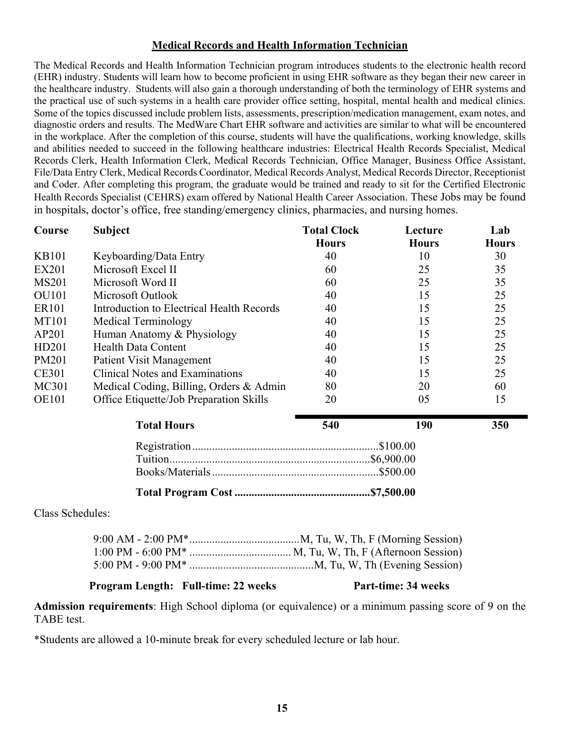#### **Medical Records and Health Information Technician**

The Medical Records and Health Information Technician program introduces students to the electronic health record (EHR) industry. Students will learn how to become proficient in using EHR software as they began their new career in the healthcare industry. Students will also gain a thorough understanding of both the terminology of EHR systems and the practical use of such systems in a health care provider office setting, hospital, mental health and medical clinics. Some of the topics discussed include problem lists, assessments, prescription/medication management, exam notes, and diagnostic orders and results. The MedWare Chart EHR software and activities are similar to what will be encountered in the workplace. After the completion of this course, students will have the qualifications, working knowledge, skills and abilities needed to succeed in the following healthcare industries: Electrical Health Records Specialist, Medical Records Clerk, Health Information Clerk, Medical Records Technician, Office Manager, Business Office Assistant, File/Data Entry Clerk, Medical Records Coordinator, Medical Records Analyst, Medical Records Director, Receptionist and Coder. After completing this program, the graduate would be trained and ready to sit for the Certified Electronic Health Records Specialist (CEHRS) exam offered by National Health Career Association. These Jobs may be found in hospitals, doctor's office, free standing/emergency clinics, pharmacies, and nursing homes.

| Course       | <b>Subject</b>                            | <b>Total Clock</b> | Lecture      | Lab          |
|--------------|-------------------------------------------|--------------------|--------------|--------------|
|              |                                           | <b>Hours</b>       | <b>Hours</b> | <b>Hours</b> |
| <b>KB101</b> | Keyboarding/Data Entry                    | 40                 | 10           | 30           |
| <b>EX201</b> | Microsoft Excel II                        | 60                 | 25           | 35           |
| <b>MS201</b> | Microsoft Word II                         | 60                 | 25           | 35           |
| <b>OU101</b> | Microsoft Outlook                         | 40                 | 15           | 25           |
| <b>ER101</b> | Introduction to Electrical Health Records | 40                 | 15           | 25           |
| <b>MT101</b> | Medical Terminology                       | 40                 | 15           | 25           |
| AP201        | Human Anatomy & Physiology                | 40                 | 15           | 25           |
| HD201        | <b>Health Data Content</b>                | 40                 | 15           | 25           |
| <b>PM201</b> | <b>Patient Visit Management</b>           | 40                 | 15           | 25           |
| <b>CE301</b> | <b>Clinical Notes and Examinations</b>    | 40                 | 15           | 25           |
| MC301        | Medical Coding, Billing, Orders & Admin   | 80                 | 20           | 60           |
| <b>OE101</b> | Office Etiquette/Job Preparation Skills   | 20                 | 05           | 15           |
|              | <b>Total Hours</b>                        | 540                | 190          | 350          |

| . |  |
|---|--|
|   |  |
|   |  |
|   |  |
|   |  |

Class Schedules:

## **Program Length: Full-time: 22 weeks Part-time: 34 weeks**

**Admission requirements**: High School diploma (or equivalence) or a minimum passing score of 9 on the TABE test.

\*Students are allowed a 10-minute break for every scheduled lecture or lab hour.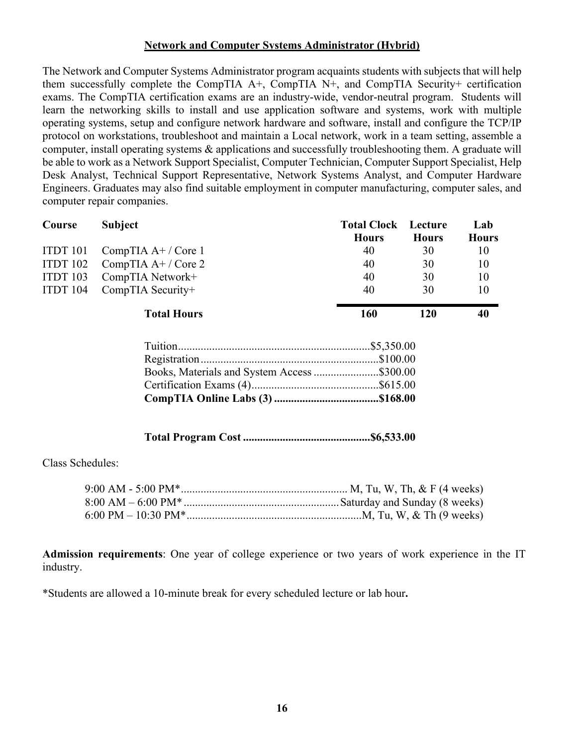#### **Network and Computer Systems Administrator (Hybrid)**

The Network and Computer Systems Administrator program acquaints students with subjects that will help them successfully complete the CompTIA A+, CompTIA N+, and CompTIA Security+ certification exams. The CompTIA certification exams are an industry-wide, vendor-neutral program. Students will learn the networking skills to install and use application software and systems, work with multiple operating systems, setup and configure network hardware and software, install and configure the TCP/IP protocol on workstations, troubleshoot and maintain a Local network, work in a team setting, assemble a computer, install operating systems & applications and successfully troubleshooting them. A graduate will be able to work as a Network Support Specialist, Computer Technician, Computer Support Specialist, Help Desk Analyst, Technical Support Representative, Network Systems Analyst, and Computer Hardware Engineers. Graduates may also find suitable employment in computer manufacturing, computer sales, and computer repair companies.

| Course   | <b>Subject</b>                              | <b>Total Clock</b> | Lecture      | Lab          |
|----------|---------------------------------------------|--------------------|--------------|--------------|
|          |                                             | <b>Hours</b>       | <b>Hours</b> | <b>Hours</b> |
| ITDT 101 | CompTIA $A+$ / Core 1                       | 40                 | 30           | 10           |
| ITDT 102 | CompTIA $A+$ / Core 2                       | 40                 | 30           | 10           |
| ITDT 103 | CompTIA Network+                            | 40                 | 30           | 10           |
| ITDT 104 | CompTIA Security+                           | 40                 | 30           | 10           |
|          | <b>Total Hours</b>                          | 160                | 120          | 40           |
|          |                                             |                    |              |              |
|          |                                             |                    |              |              |
|          | Books, Materials and System Access \$300.00 |                    |              |              |
|          |                                             |                    |              |              |
|          |                                             |                    |              |              |

## **Total Program Cost .............................................\$6,533.00**

Class Schedules:

**Admission requirements**: One year of college experience or two years of work experience in the IT industry.

\*Students are allowed a 10-minute break for every scheduled lecture or lab hour**.**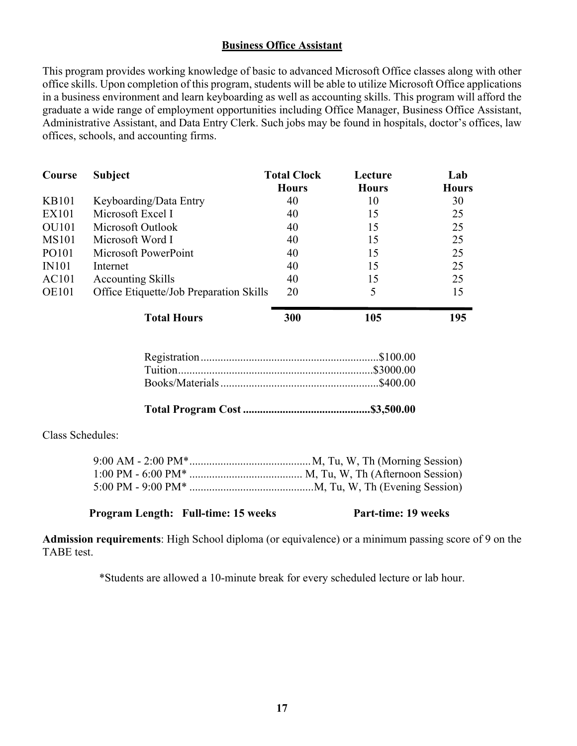#### **Business Office Assistant**

This program provides working knowledge of basic to advanced Microsoft Office classes along with other office skills. Upon completion of this program, students will be able to utilize Microsoft Office applications in a business environment and learn keyboarding as well as accounting skills. This program will afford the graduate a wide range of employment opportunities including Office Manager, Business Office Assistant, Administrative Assistant, and Data Entry Clerk. Such jobs may be found in hospitals, doctor's offices, law offices, schools, and accounting firms.

| Course       | Subject                                 | <b>Total Clock</b><br><b>Hours</b> | Lecture<br><b>Hours</b> | Lab<br><b>Hours</b> |
|--------------|-----------------------------------------|------------------------------------|-------------------------|---------------------|
| <b>KB101</b> | Keyboarding/Data Entry                  | 40                                 | 10                      | 30                  |
| <b>EX101</b> | Microsoft Excel I                       | 40                                 | 15                      | 25                  |
| <b>OU101</b> | Microsoft Outlook                       | 40                                 | 15                      | 25                  |
| <b>MS101</b> | Microsoft Word I                        | 40                                 | 15                      | 25                  |
| PO101        | Microsoft PowerPoint                    | 40                                 | 15                      | 25                  |
| <b>IN101</b> | Internet                                | 40                                 | 15                      | 25                  |
| AC101        | <b>Accounting Skills</b>                | 40                                 | 15                      | 25                  |
| <b>OE101</b> | Office Etiquette/Job Preparation Skills | 20                                 |                         | 15                  |
|              | <b>Total Hours</b>                      | 300                                | 105                     | 195                 |

**Total Program Cost .............................................\$3,500.00**

Class Schedules:

#### **Program Length: Full-time: 15 weeks Part-time: 19 weeks**

**Admission requirements**: High School diploma (or equivalence) or a minimum passing score of 9 on the TABE test.

\*Students are allowed a 10-minute break for every scheduled lecture or lab hour.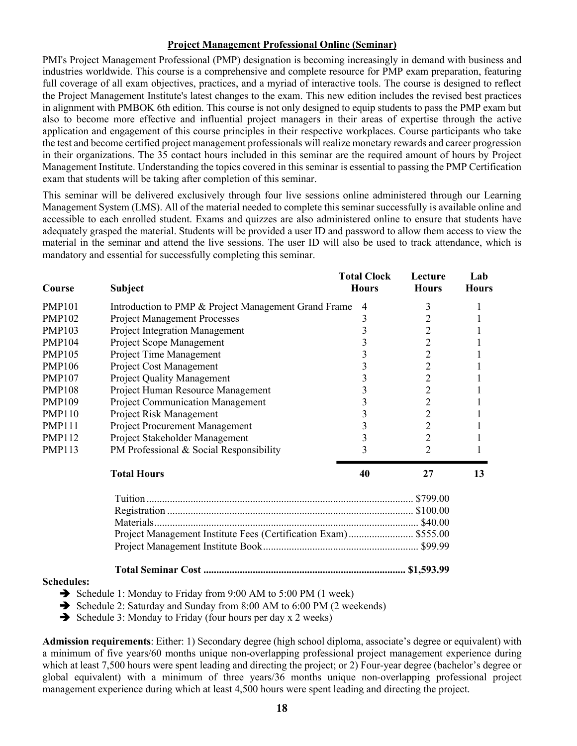#### **Project Management Professional Online (Seminar)**

PMI's Project Management Professional (PMP) designation is becoming increasingly in demand with business and industries worldwide. This course is a comprehensive and complete resource for PMP exam preparation, featuring full coverage of all exam objectives, practices, and a myriad of interactive tools. The course is designed to reflect the Project Management Institute's latest changes to the exam. This new edition includes the revised best practices in alignment with PMBOK 6th edition. This course is not only designed to equip students to pass the PMP exam but also to become more effective and influential project managers in their areas of expertise through the active application and engagement of this course principles in their respective workplaces. Course participants who take the test and become certified project management professionals will realize monetary rewards and career progression in their organizations. The 35 contact hours included in this seminar are the required amount of hours by Project Management Institute. Understanding the topics covered in this seminar is essential to passing the PMP Certification exam that students will be taking after completion of this seminar.

This seminar will be delivered exclusively through four live sessions online administered through our Learning Management System (LMS). All of the material needed to complete this seminar successfully is available online and accessible to each enrolled student. Exams and quizzes are also administered online to ensure that students have adequately grasped the material. Students will be provided a user ID and password to allow them access to view the material in the seminar and attend the live sessions. The user ID will also be used to track attendance, which is mandatory and essential for successfully completing this seminar.

| Course            | <b>Subject</b>                                                                                                                                  | <b>Total Clock</b><br><b>Hours</b> | Lecture<br><b>Hours</b> | Lab<br><b>Hours</b> |
|-------------------|-------------------------------------------------------------------------------------------------------------------------------------------------|------------------------------------|-------------------------|---------------------|
| <b>PMP101</b>     | Introduction to PMP & Project Management Grand Frame                                                                                            | 4                                  | 3                       | 1                   |
| <b>PMP102</b>     | <b>Project Management Processes</b>                                                                                                             | 3                                  | $\overline{2}$          |                     |
| <b>PMP103</b>     | <b>Project Integration Management</b>                                                                                                           | 3                                  | $\overline{2}$          |                     |
| <b>PMP104</b>     | Project Scope Management                                                                                                                        | 3                                  | $\overline{c}$          |                     |
| <b>PMP105</b>     | Project Time Management                                                                                                                         | 3                                  | $\overline{2}$          |                     |
| <b>PMP106</b>     | Project Cost Management                                                                                                                         | 3                                  | $\overline{c}$          |                     |
| <b>PMP107</b>     | <b>Project Quality Management</b>                                                                                                               | 3                                  | $\overline{2}$          |                     |
| <b>PMP108</b>     | Project Human Resource Management                                                                                                               | 3                                  | $\overline{2}$          |                     |
| <b>PMP109</b>     | Project Communication Management                                                                                                                | 3                                  | $\overline{2}$          |                     |
| <b>PMP110</b>     | Project Risk Management                                                                                                                         | 3                                  | $\overline{2}$          |                     |
| <b>PMP111</b>     | Project Procurement Management                                                                                                                  | 3                                  | $\overline{2}$          |                     |
| <b>PMP112</b>     | Project Stakeholder Management                                                                                                                  | 3                                  | $\overline{2}$          |                     |
| <b>PMP113</b>     | PM Professional & Social Responsibility                                                                                                         | 3                                  | $\overline{2}$          |                     |
|                   | <b>Total Hours</b>                                                                                                                              | 40                                 | 27                      | 13                  |
|                   |                                                                                                                                                 |                                    |                         |                     |
|                   |                                                                                                                                                 |                                    |                         |                     |
|                   |                                                                                                                                                 |                                    |                         |                     |
|                   | Project Management Institute Fees (Certification Exam) \$555.00                                                                                 |                                    |                         |                     |
|                   |                                                                                                                                                 |                                    |                         |                     |
|                   |                                                                                                                                                 |                                    |                         |                     |
| <b>Schedules:</b> | $C_1$ , 1, 1, 1, M, $C_2$ , 1, $C_3$ , 1, $C_4$ , $C_5$ , $C_6$ , $C_7$ , $C_8$ , $C_9$ , $C_1$ , $C_2$ , $D_3$ , $D_4$ , $C_1$ , $D_5$ , $D_6$ |                                    |                         |                     |

- $\rightarrow$  Schedule 1: Monday to Friday from 9:00 AM to 5:00 PM (1 week)
- è Schedule 2: Saturday and Sunday from 8:00 AM to 6:00 PM (2 weekends)
- $\rightarrow$  Schedule 3: Monday to Friday (four hours per day x 2 weeks)

**Admission requirements**: Either: 1) Secondary degree (high school diploma, associate's degree or equivalent) with a minimum of five years/60 months unique non-overlapping professional project management experience during which at least 7,500 hours were spent leading and directing the project; or 2) Four-year degree (bachelor's degree or global equivalent) with a minimum of three years/36 months unique non-overlapping professional project management experience during which at least 4,500 hours were spent leading and directing the project.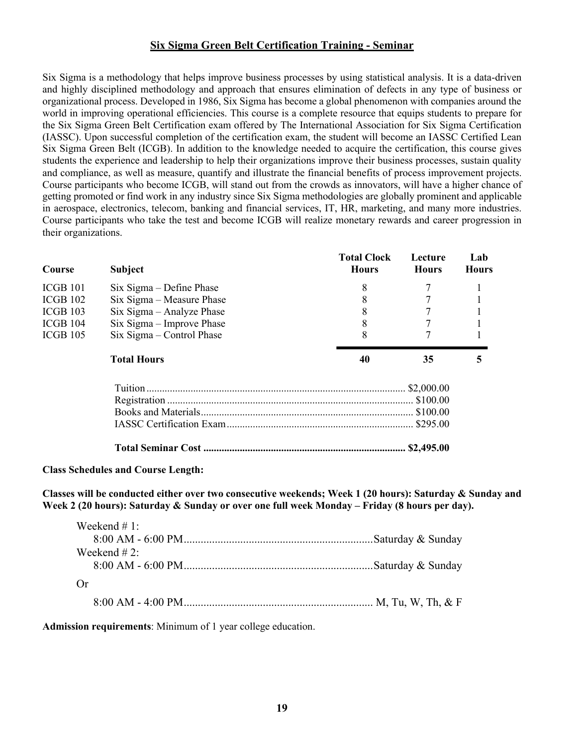#### **Six Sigma Green Belt Certification Training - Seminar**

Six Sigma is a methodology that helps improve business processes by using statistical analysis. It is a data-driven and highly disciplined methodology and approach that ensures elimination of defects in any type of business or organizational process. Developed in 1986, Six Sigma has become a global phenomenon with companies around the world in improving operational efficiencies. This course is a complete resource that equips students to prepare for the Six Sigma Green Belt Certification exam offered by The International Association for Six Sigma Certification (IASSC). Upon successful completion of the certification exam, the student will become an IASSC Certified Lean Six Sigma Green Belt (ICGB). In addition to the knowledge needed to acquire the certification, this course gives students the experience and leadership to help their organizations improve their business processes, sustain quality and compliance, as well as measure, quantify and illustrate the financial benefits of process improvement projects. Course participants who become ICGB, will stand out from the crowds as innovators, will have a higher chance of getting promoted or find work in any industry since Six Sigma methodologies are globally prominent and applicable in aerospace, electronics, telecom, banking and financial services, IT, HR, marketing, and many more industries. Course participants who take the test and become ICGB will realize monetary rewards and career progression in their organizations.

| Course     | <b>Subject</b>              | <b>Total Clock</b><br><b>Hours</b> | Lecture<br><b>Hours</b> | Lab<br><b>Hours</b> |
|------------|-----------------------------|------------------------------------|-------------------------|---------------------|
| ICGB 101   | $Six Sigma - Define Phase$  | 8                                  |                         |                     |
| ICGB 102   | Six Sigma – Measure Phase   | 8                                  |                         |                     |
| $ICGB$ 103 | Six Sigma – Analyze Phase   | 8                                  |                         |                     |
| ICGB 104   | $Six Sigma - Improve Phase$ | 8                                  |                         |                     |
| $ICGB$ 105 | Six Sigma – Control Phase   | 8                                  |                         |                     |
|            | <b>Total Hours</b>          | 40                                 | 35                      | 5                   |
|            |                             |                                    |                         |                     |
|            |                             |                                    |                         |                     |
|            |                             |                                    |                         |                     |
|            |                             |                                    |                         |                     |
|            |                             |                                    |                         |                     |

#### **Class Schedules and Course Length:**

**Classes will be conducted either over two consecutive weekends; Week 1 (20 hours): Saturday & Sunday and Week 2 (20 hours): Saturday & Sunday or over one full week Monday – Friday (8 hours per day).** 

| Weekend # 1: |  |
|--------------|--|
|              |  |
| Weekend # 2: |  |
|              |  |
| ()r          |  |
|              |  |

**Admission requirements**: Minimum of 1 year college education.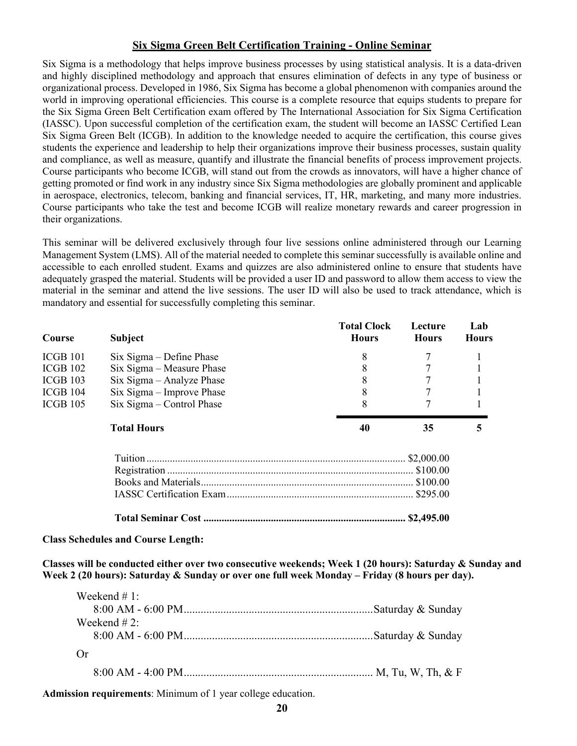#### **Six Sigma Green Belt Certification Training - Online Seminar**

Six Sigma is a methodology that helps improve business processes by using statistical analysis. It is a data-driven and highly disciplined methodology and approach that ensures elimination of defects in any type of business or organizational process. Developed in 1986, Six Sigma has become a global phenomenon with companies around the world in improving operational efficiencies. This course is a complete resource that equips students to prepare for the Six Sigma Green Belt Certification exam offered by The International Association for Six Sigma Certification (IASSC). Upon successful completion of the certification exam, the student will become an IASSC Certified Lean Six Sigma Green Belt (ICGB). In addition to the knowledge needed to acquire the certification, this course gives students the experience and leadership to help their organizations improve their business processes, sustain quality and compliance, as well as measure, quantify and illustrate the financial benefits of process improvement projects. Course participants who become ICGB, will stand out from the crowds as innovators, will have a higher chance of getting promoted or find work in any industry since Six Sigma methodologies are globally prominent and applicable in aerospace, electronics, telecom, banking and financial services, IT, HR, marketing, and many more industries. Course participants who take the test and become ICGB will realize monetary rewards and career progression in their organizations.

This seminar will be delivered exclusively through four live sessions online administered through our Learning Management System (LMS). All of the material needed to complete this seminar successfully is available online and accessible to each enrolled student. Exams and quizzes are also administered online to ensure that students have adequately grasped the material. Students will be provided a user ID and password to allow them access to view the material in the seminar and attend the live sessions. The user ID will also be used to track attendance, which is mandatory and essential for successfully completing this seminar.

| Course     | <b>Subject</b>              | <b>Total Clock</b><br><b>Hours</b> | Lecture<br><b>Hours</b> | Lab<br><b>Hours</b> |
|------------|-----------------------------|------------------------------------|-------------------------|---------------------|
| ICGB 101   | $Six Sigma - Define Phase$  | 8                                  |                         |                     |
| ICGB 102   | Six Sigma – Measure Phase   | 8                                  |                         |                     |
| $ICGB$ 103 | Six Sigma – Analyze Phase   | 8                                  |                         |                     |
| ICGB 104   | $Six Sigma - Improve Phase$ | 8                                  |                         |                     |
| $ICGB$ 105 | Six Sigma – Control Phase   |                                    |                         |                     |
|            | <b>Total Hours</b>          | 40                                 | 35                      | 5                   |
|            |                             |                                    |                         |                     |
|            |                             |                                    |                         |                     |
|            |                             |                                    |                         |                     |
|            |                             |                                    |                         |                     |
|            |                             |                                    |                         |                     |

**Class Schedules and Course Length:** 

**Classes will be conducted either over two consecutive weekends; Week 1 (20 hours): Saturday & Sunday and Week 2 (20 hours): Saturday & Sunday or over one full week Monday – Friday (8 hours per day).** 

| Weekend # 1: |  |
|--------------|--|
|              |  |
| Weekend # 2: |  |
|              |  |
| ( )r         |  |
|              |  |

**Admission requirements**: Minimum of 1 year college education.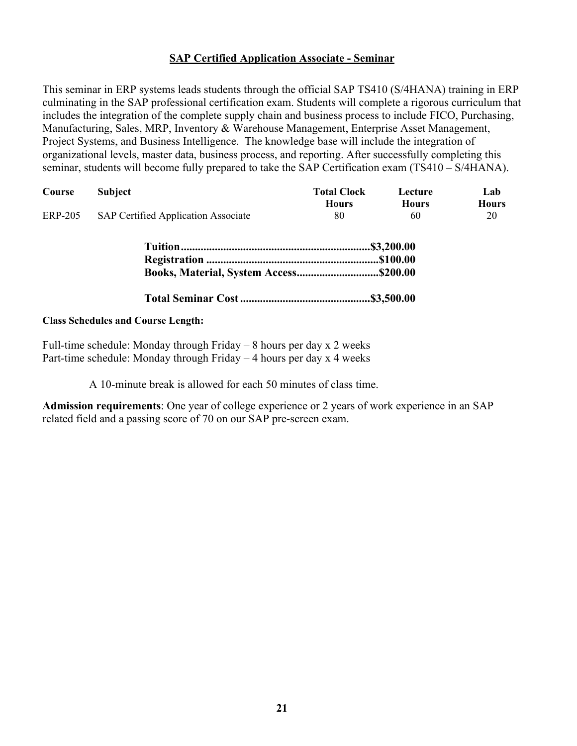#### **SAP Certified Application Associate - Seminar**

This seminar in ERP systems leads students through the official SAP TS410 (S/4HANA) training in ERP culminating in the SAP professional certification exam. Students will complete a rigorous curriculum that includes the integration of the complete supply chain and business process to include FICO, Purchasing, Manufacturing, Sales, MRP, Inventory & Warehouse Management, Enterprise Asset Management, Project Systems, and Business Intelligence. The knowledge base will include the integration of organizational levels, master data, business process, and reporting. After successfully completing this seminar, students will become fully prepared to take the SAP Certification exam (TS410 – S/4HANA).

| Course         | <b>Subject</b>                      | <b>Total Clock</b><br><b>Hours</b> | Lecture<br><b>Hours</b> | Lab<br><b>Hours</b> |
|----------------|-------------------------------------|------------------------------------|-------------------------|---------------------|
| <b>ERP-205</b> | SAP Certified Application Associate | 80                                 | 60                      | 20                  |

| Books, Material, System Access\$200.00 |  |
|----------------------------------------|--|

**Total Seminar Cost..............................................\$3,500.00**

#### **Class Schedules and Course Length:**

Full-time schedule: Monday through Friday – 8 hours per day x 2 weeks Part-time schedule: Monday through Friday – 4 hours per day x 4 weeks

A 10-minute break is allowed for each 50 minutes of class time.

**Admission requirements**: One year of college experience or 2 years of work experience in an SAP related field and a passing score of 70 on our SAP pre-screen exam.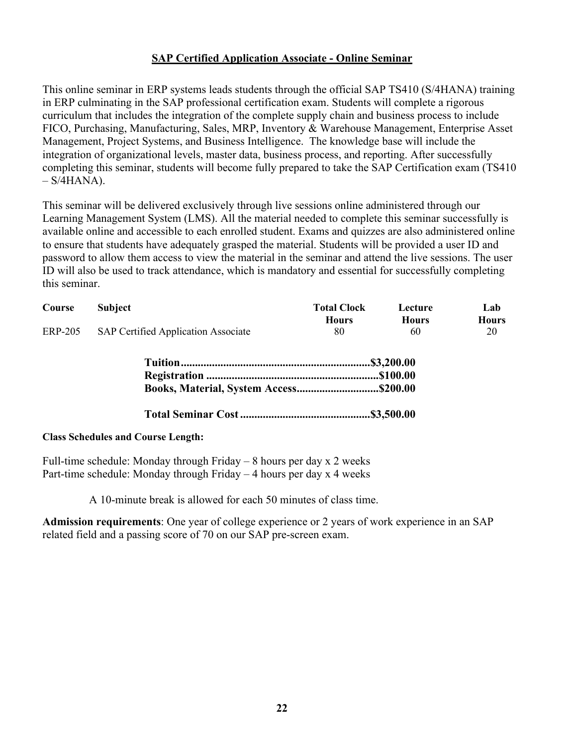#### **SAP Certified Application Associate - Online Seminar**

This online seminar in ERP systems leads students through the official SAP TS410 (S/4HANA) training in ERP culminating in the SAP professional certification exam. Students will complete a rigorous curriculum that includes the integration of the complete supply chain and business process to include FICO, Purchasing, Manufacturing, Sales, MRP, Inventory & Warehouse Management, Enterprise Asset Management, Project Systems, and Business Intelligence. The knowledge base will include the integration of organizational levels, master data, business process, and reporting. After successfully completing this seminar, students will become fully prepared to take the SAP Certification exam (TS410  $-$  S/4HANA).

This seminar will be delivered exclusively through live sessions online administered through our Learning Management System (LMS). All the material needed to complete this seminar successfully is available online and accessible to each enrolled student. Exams and quizzes are also administered online to ensure that students have adequately grasped the material. Students will be provided a user ID and password to allow them access to view the material in the seminar and attend the live sessions. The user ID will also be used to track attendance, which is mandatory and essential for successfully completing this seminar.

| Course         | <b>Subject</b>                      | <b>Total Clock</b><br><b>Hours</b> | Lecture<br><b>Hours</b> | Lab<br><b>Hours</b> |
|----------------|-------------------------------------|------------------------------------|-------------------------|---------------------|
| <b>ERP-205</b> | SAP Certified Application Associate | 80                                 | 60                      | 20                  |
|                |                                     |                                    |                         |                     |
|                |                                     |                                    |                         |                     |
|                |                                     |                                    |                         |                     |
|                |                                     |                                    |                         |                     |

#### **Class Schedules and Course Length:**

Full-time schedule: Monday through Friday  $-8$  hours per day x 2 weeks Part-time schedule: Monday through Friday – 4 hours per day x 4 weeks

A 10-minute break is allowed for each 50 minutes of class time.

**Admission requirements**: One year of college experience or 2 years of work experience in an SAP related field and a passing score of 70 on our SAP pre-screen exam.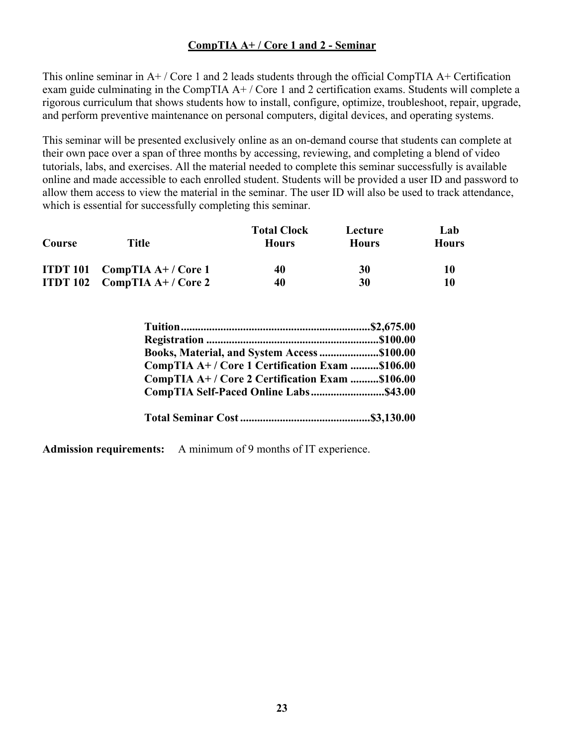## **CompTIA A+ / Core 1 and 2 - Seminar**

This online seminar in  $A^+$  / Core 1 and 2 leads students through the official CompTIA  $A^+$  Certification exam guide culminating in the CompTIA  $A+$  / Core 1 and 2 certification exams. Students will complete a rigorous curriculum that shows students how to install, configure, optimize, troubleshoot, repair, upgrade, and perform preventive maintenance on personal computers, digital devices, and operating systems.

This seminar will be presented exclusively online as an on-demand course that students can complete at their own pace over a span of three months by accessing, reviewing, and completing a blend of video tutorials, labs, and exercises. All the material needed to complete this seminar successfully is available online and made accessible to each enrolled student. Students will be provided a user ID and password to allow them access to view the material in the seminar. The user ID will also be used to track attendance, which is essential for successfully completing this seminar.

| Course | Title                                 | <b>Total Clock</b><br><b>Hours</b> | Lecture<br><b>Hours</b> | Lab<br><b>Hours</b> |
|--------|---------------------------------------|------------------------------------|-------------------------|---------------------|
|        | <b>ITDT 101</b> CompTIA $A+$ / Core 1 | 40                                 | 30                      | 10                  |
|        | <b>ITDT 102</b> CompTIA $A+ /$ Core 2 | 40                                 | 30                      | 10                  |

| Books, Material, and System Access \$100.00     |  |
|-------------------------------------------------|--|
| CompTIA A+ / Core 1 Certification Exam \$106.00 |  |
| CompTIA A+/Core 2 Certification Exam \$106.00   |  |
|                                                 |  |
|                                                 |  |
|                                                 |  |

**Admission requirements:** A minimum of 9 months of IT experience.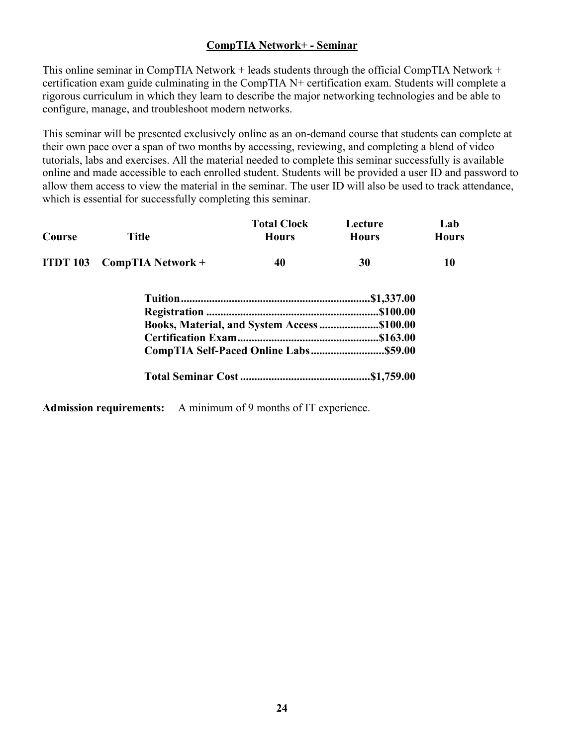## **CompTIA Network+ - Seminar**

This online seminar in CompTIA Network + leads students through the official CompTIA Network + certification exam guide culminating in the CompTIA N+ certification exam. Students will complete a rigorous curriculum in which they learn to describe the major networking technologies and be able to configure, manage, and troubleshoot modern networks.

This seminar will be presented exclusively online as an on-demand course that students can complete at their own pace over a span of two months by accessing, reviewing, and completing a blend of video tutorials, labs and exercises. All the material needed to complete this seminar successfully is available online and made accessible to each enrolled student. Students will be provided a user ID and password to allow them access to view the material in the seminar. The user ID will also be used to track attendance, which is essential for successfully completing this seminar.

| Course | <b>Title</b>                      | <b>Total Clock</b><br><b>Hours</b>          | Lecture<br><b>Hours</b> | Lab<br><b>Hours</b> |
|--------|-----------------------------------|---------------------------------------------|-------------------------|---------------------|
|        | <b>ITDT 103</b> CompTIA Network + | 40                                          | 30                      | 10                  |
|        |                                   |                                             |                         |                     |
|        |                                   |                                             |                         |                     |
|        |                                   | Books, Material, and System Access \$100.00 |                         |                     |
|        |                                   |                                             |                         |                     |
|        |                                   |                                             |                         |                     |
|        |                                   |                                             |                         |                     |

**Admission requirements:** A minimum of 9 months of IT experience.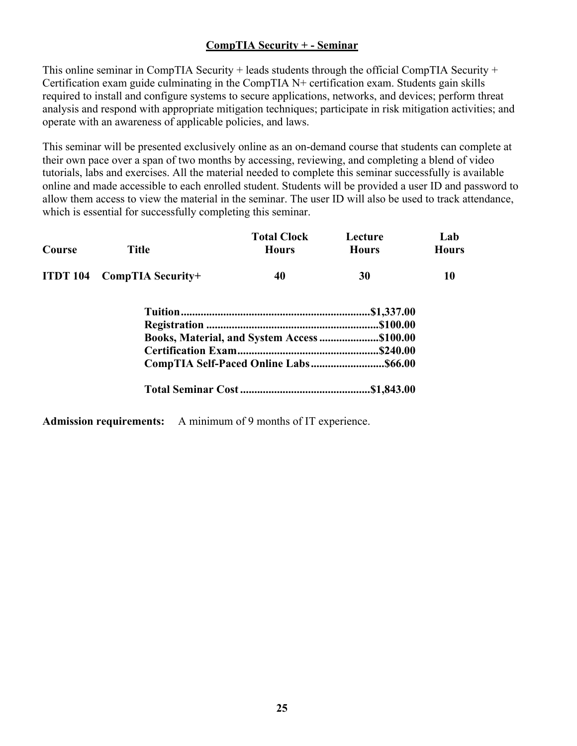## **CompTIA Security + - Seminar**

This online seminar in CompTIA Security + leads students through the official CompTIA Security + Certification exam guide culminating in the CompTIA N+ certification exam. Students gain skills required to install and configure systems to secure applications, networks, and devices; perform threat analysis and respond with appropriate mitigation techniques; participate in risk mitigation activities; and operate with an awareness of applicable policies, and laws.

This seminar will be presented exclusively online as an on-demand course that students can complete at their own pace over a span of two months by accessing, reviewing, and completing a blend of video tutorials, labs and exercises. All the material needed to complete this seminar successfully is available online and made accessible to each enrolled student. Students will be provided a user ID and password to allow them access to view the material in the seminar. The user ID will also be used to track attendance, which is essential for successfully completing this seminar.

| Course | <b>Title</b>               | <b>Total Clock</b><br><b>Hours</b>          | Lecture<br><b>Hours</b> | Lab<br><b>Hours</b> |
|--------|----------------------------|---------------------------------------------|-------------------------|---------------------|
|        | ITDT 104 CompTIA Security+ | 40                                          | 30                      | 10                  |
|        |                            |                                             |                         |                     |
|        |                            |                                             |                         |                     |
|        |                            | Books, Material, and System Access \$100.00 |                         |                     |
|        |                            |                                             |                         |                     |
|        |                            |                                             |                         |                     |
|        |                            |                                             |                         |                     |

**Admission requirements:** A minimum of 9 months of IT experience.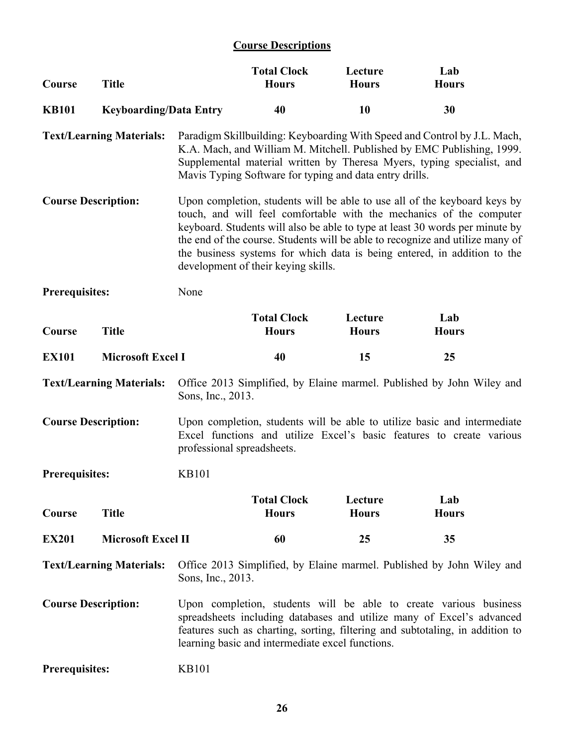## **Course Descriptions**

| Course                                                                                                                                                                                                                                                                                                        | <b>Title</b>                    |                            | <b>Total Clock</b><br><b>Hours</b>                      | Lecture<br><b>Hours</b> | Lab<br><b>Hours</b>                                                                                                                                                                                                                                                                                                                                                                           |  |
|---------------------------------------------------------------------------------------------------------------------------------------------------------------------------------------------------------------------------------------------------------------------------------------------------------------|---------------------------------|----------------------------|---------------------------------------------------------|-------------------------|-----------------------------------------------------------------------------------------------------------------------------------------------------------------------------------------------------------------------------------------------------------------------------------------------------------------------------------------------------------------------------------------------|--|
| <b>KB101</b>                                                                                                                                                                                                                                                                                                  | <b>Keyboarding/Data Entry</b>   |                            | 40                                                      | 10                      | 30                                                                                                                                                                                                                                                                                                                                                                                            |  |
|                                                                                                                                                                                                                                                                                                               | <b>Text/Learning Materials:</b> |                            | Mavis Typing Software for typing and data entry drills. |                         | Paradigm Skillbuilding: Keyboarding With Speed and Control by J.L. Mach,<br>K.A. Mach, and William M. Mitchell. Published by EMC Publishing, 1999.<br>Supplemental material written by Theresa Myers, typing specialist, and                                                                                                                                                                  |  |
| <b>Course Description:</b>                                                                                                                                                                                                                                                                                    |                                 |                            | development of their keying skills.                     |                         | Upon completion, students will be able to use all of the keyboard keys by<br>touch, and will feel comfortable with the mechanics of the computer<br>keyboard. Students will also be able to type at least 30 words per minute by<br>the end of the course. Students will be able to recognize and utilize many of<br>the business systems for which data is being entered, in addition to the |  |
| <b>Prerequisites:</b>                                                                                                                                                                                                                                                                                         |                                 | None                       |                                                         |                         |                                                                                                                                                                                                                                                                                                                                                                                               |  |
| Course                                                                                                                                                                                                                                                                                                        | <b>Title</b>                    |                            | <b>Total Clock</b><br><b>Hours</b>                      | Lecture<br><b>Hours</b> | Lab<br><b>Hours</b>                                                                                                                                                                                                                                                                                                                                                                           |  |
| <b>EX101</b>                                                                                                                                                                                                                                                                                                  | <b>Microsoft Excel I</b>        |                            | 40                                                      | 15                      | 25                                                                                                                                                                                                                                                                                                                                                                                            |  |
|                                                                                                                                                                                                                                                                                                               | <b>Text/Learning Materials:</b> | Sons, Inc., 2013.          |                                                         |                         | Office 2013 Simplified, by Elaine marmel. Published by John Wiley and                                                                                                                                                                                                                                                                                                                         |  |
| <b>Course Description:</b>                                                                                                                                                                                                                                                                                    |                                 | professional spreadsheets. |                                                         |                         | Upon completion, students will be able to utilize basic and intermediate<br>Excel functions and utilize Excel's basic features to create various                                                                                                                                                                                                                                              |  |
| Prerequisites:                                                                                                                                                                                                                                                                                                |                                 | <b>KB101</b>               |                                                         |                         |                                                                                                                                                                                                                                                                                                                                                                                               |  |
| Course                                                                                                                                                                                                                                                                                                        | <b>Title</b>                    |                            | <b>Total Clock</b><br><b>Hours</b>                      | Lecture<br><b>Hours</b> | Lab<br><b>Hours</b>                                                                                                                                                                                                                                                                                                                                                                           |  |
| <b>EX201</b>                                                                                                                                                                                                                                                                                                  | <b>Microsoft Excel II</b>       |                            | 60                                                      | 25                      | 35                                                                                                                                                                                                                                                                                                                                                                                            |  |
|                                                                                                                                                                                                                                                                                                               | <b>Text/Learning Materials:</b> | Sons, Inc., 2013.          |                                                         |                         | Office 2013 Simplified, by Elaine marmel. Published by John Wiley and                                                                                                                                                                                                                                                                                                                         |  |
| <b>Course Description:</b><br>Upon completion, students will be able to create various business<br>spreadsheets including databases and utilize many of Excel's advanced<br>features such as charting, sorting, filtering and subtotaling, in addition to<br>learning basic and intermediate excel functions. |                                 |                            |                                                         |                         |                                                                                                                                                                                                                                                                                                                                                                                               |  |
| <b>Prerequisites:</b>                                                                                                                                                                                                                                                                                         |                                 | <b>KB101</b>               |                                                         |                         |                                                                                                                                                                                                                                                                                                                                                                                               |  |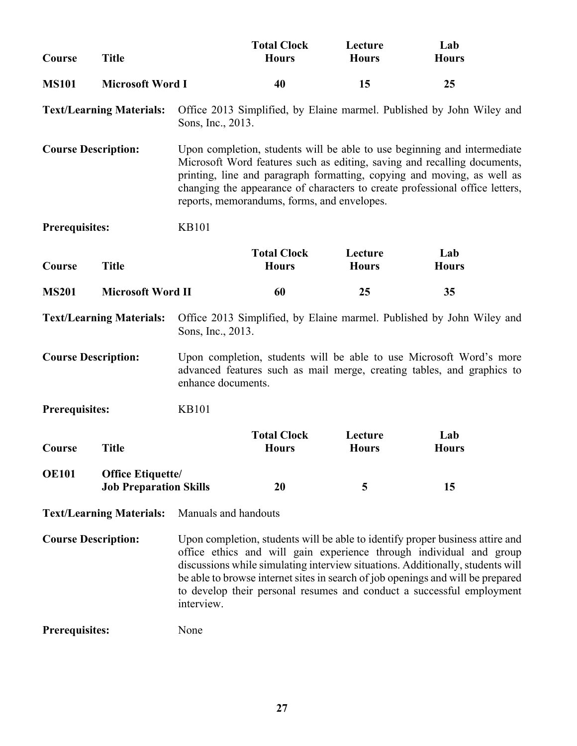| Course                     | <b>Title</b>                                              |                                                                                                                                                                                                                                                                                                                                                                                                                  | <b>Total Clock</b><br><b>Hours</b>          | Lecture<br><b>Hours</b> | Lab<br><b>Hours</b>                                                                                                                                                                                                                                                                                             |  |
|----------------------------|-----------------------------------------------------------|------------------------------------------------------------------------------------------------------------------------------------------------------------------------------------------------------------------------------------------------------------------------------------------------------------------------------------------------------------------------------------------------------------------|---------------------------------------------|-------------------------|-----------------------------------------------------------------------------------------------------------------------------------------------------------------------------------------------------------------------------------------------------------------------------------------------------------------|--|
| <b>MS101</b>               | <b>Microsoft Word I</b>                                   |                                                                                                                                                                                                                                                                                                                                                                                                                  | 40                                          | 15                      | 25                                                                                                                                                                                                                                                                                                              |  |
|                            | <b>Text/Learning Materials:</b>                           | Sons, Inc., 2013.                                                                                                                                                                                                                                                                                                                                                                                                |                                             |                         | Office 2013 Simplified, by Elaine marmel. Published by John Wiley and                                                                                                                                                                                                                                           |  |
| <b>Course Description:</b> |                                                           |                                                                                                                                                                                                                                                                                                                                                                                                                  | reports, memorandums, forms, and envelopes. |                         | Upon completion, students will be able to use beginning and intermediate<br>Microsoft Word features such as editing, saving and recalling documents,<br>printing, line and paragraph formatting, copying and moving, as well as<br>changing the appearance of characters to create professional office letters, |  |
| Prerequisites:             |                                                           | <b>KB101</b>                                                                                                                                                                                                                                                                                                                                                                                                     |                                             |                         |                                                                                                                                                                                                                                                                                                                 |  |
| Course                     | <b>Title</b>                                              |                                                                                                                                                                                                                                                                                                                                                                                                                  | <b>Total Clock</b><br><b>Hours</b>          | Lecture<br><b>Hours</b> | Lab<br><b>Hours</b>                                                                                                                                                                                                                                                                                             |  |
| <b>MS201</b>               | <b>Microsoft Word II</b>                                  |                                                                                                                                                                                                                                                                                                                                                                                                                  | 60                                          | 25                      | 35                                                                                                                                                                                                                                                                                                              |  |
|                            | <b>Text/Learning Materials:</b>                           | Sons, Inc., 2013.                                                                                                                                                                                                                                                                                                                                                                                                |                                             |                         | Office 2013 Simplified, by Elaine marmel. Published by John Wiley and                                                                                                                                                                                                                                           |  |
| <b>Course Description:</b> |                                                           | enhance documents.                                                                                                                                                                                                                                                                                                                                                                                               |                                             |                         | Upon completion, students will be able to use Microsoft Word's more<br>advanced features such as mail merge, creating tables, and graphics to                                                                                                                                                                   |  |
| <b>Prerequisites:</b>      |                                                           | <b>KB101</b>                                                                                                                                                                                                                                                                                                                                                                                                     |                                             |                         |                                                                                                                                                                                                                                                                                                                 |  |
| Course                     | <b>Title</b>                                              |                                                                                                                                                                                                                                                                                                                                                                                                                  | <b>Total Clock</b><br><b>Hours</b>          | Lecture<br><b>Hours</b> | Lab<br><b>Hours</b>                                                                                                                                                                                                                                                                                             |  |
| <b>OE101</b>               | <b>Office Etiquette/</b><br><b>Job Preparation Skills</b> |                                                                                                                                                                                                                                                                                                                                                                                                                  | 20                                          | 5                       | 15                                                                                                                                                                                                                                                                                                              |  |
|                            | <b>Text/Learning Materials:</b>                           | Manuals and handouts                                                                                                                                                                                                                                                                                                                                                                                             |                                             |                         |                                                                                                                                                                                                                                                                                                                 |  |
| <b>Course Description:</b> |                                                           | Upon completion, students will be able to identify proper business attire and<br>office ethics and will gain experience through individual and group<br>discussions while simulating interview situations. Additionally, students will<br>be able to browse internet sites in search of job openings and will be prepared<br>to develop their personal resumes and conduct a successful employment<br>interview. |                                             |                         |                                                                                                                                                                                                                                                                                                                 |  |
| <b>Prerequisites:</b>      |                                                           | None                                                                                                                                                                                                                                                                                                                                                                                                             |                                             |                         |                                                                                                                                                                                                                                                                                                                 |  |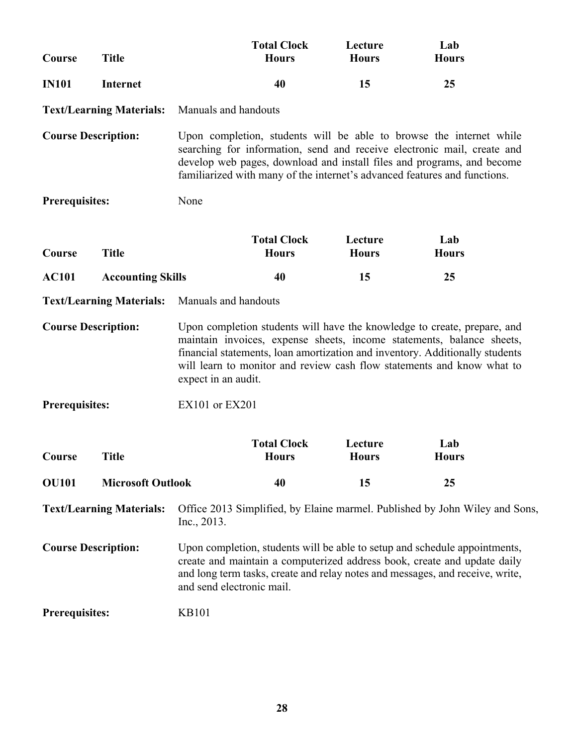| Course                                                                                                                                                                                                                                                                                                                                                           | <b>Title</b>                    |                                                                                                                                                                                                                                                                                                       | <b>Total Clock</b><br><b>Hours</b> | Lecture<br><b>Hours</b> | Lab<br><b>Hours</b>                                                         |  |  |
|------------------------------------------------------------------------------------------------------------------------------------------------------------------------------------------------------------------------------------------------------------------------------------------------------------------------------------------------------------------|---------------------------------|-------------------------------------------------------------------------------------------------------------------------------------------------------------------------------------------------------------------------------------------------------------------------------------------------------|------------------------------------|-------------------------|-----------------------------------------------------------------------------|--|--|
| <b>IN101</b>                                                                                                                                                                                                                                                                                                                                                     | <b>Internet</b>                 |                                                                                                                                                                                                                                                                                                       | 40                                 | 15                      | 25                                                                          |  |  |
|                                                                                                                                                                                                                                                                                                                                                                  | <b>Text/Learning Materials:</b> | Manuals and handouts                                                                                                                                                                                                                                                                                  |                                    |                         |                                                                             |  |  |
| <b>Course Description:</b>                                                                                                                                                                                                                                                                                                                                       |                                 | Upon completion, students will be able to browse the internet while<br>searching for information, send and receive electronic mail, create and<br>develop web pages, download and install files and programs, and become<br>familiarized with many of the internet's advanced features and functions. |                                    |                         |                                                                             |  |  |
| <b>Prerequisites:</b>                                                                                                                                                                                                                                                                                                                                            |                                 | None                                                                                                                                                                                                                                                                                                  |                                    |                         |                                                                             |  |  |
| Course                                                                                                                                                                                                                                                                                                                                                           | <b>Title</b>                    |                                                                                                                                                                                                                                                                                                       | <b>Total Clock</b><br><b>Hours</b> | Lecture<br><b>Hours</b> | Lab<br><b>Hours</b>                                                         |  |  |
| <b>AC101</b>                                                                                                                                                                                                                                                                                                                                                     | <b>Accounting Skills</b>        |                                                                                                                                                                                                                                                                                                       | 40                                 | 15                      | 25                                                                          |  |  |
|                                                                                                                                                                                                                                                                                                                                                                  | <b>Text/Learning Materials:</b> | Manuals and handouts                                                                                                                                                                                                                                                                                  |                                    |                         |                                                                             |  |  |
| <b>Course Description:</b><br>Upon completion students will have the knowledge to create, prepare, and<br>maintain invoices, expense sheets, income statements, balance sheets,<br>financial statements, loan amortization and inventory. Additionally students<br>will learn to monitor and review cash flow statements and know what to<br>expect in an audit. |                                 |                                                                                                                                                                                                                                                                                                       |                                    |                         |                                                                             |  |  |
| <b>Prerequisites:</b>                                                                                                                                                                                                                                                                                                                                            |                                 | EX101 or EX201                                                                                                                                                                                                                                                                                        |                                    |                         |                                                                             |  |  |
| Course                                                                                                                                                                                                                                                                                                                                                           | <b>Title</b>                    |                                                                                                                                                                                                                                                                                                       | <b>Total Clock</b><br><b>Hours</b> | Lecture<br><b>Hours</b> | Lab<br><b>Hours</b>                                                         |  |  |
| <b>OU101</b>                                                                                                                                                                                                                                                                                                                                                     | <b>Microsoft Outlook</b>        |                                                                                                                                                                                                                                                                                                       | 40                                 | 15                      | 25                                                                          |  |  |
|                                                                                                                                                                                                                                                                                                                                                                  | <b>Text/Learning Materials:</b> | Inc., 2013.                                                                                                                                                                                                                                                                                           |                                    |                         | Office 2013 Simplified, by Elaine marmel. Published by John Wiley and Sons, |  |  |
| <b>Course Description:</b>                                                                                                                                                                                                                                                                                                                                       |                                 | Upon completion, students will be able to setup and schedule appointments,<br>create and maintain a computerized address book, create and update daily<br>and long term tasks, create and relay notes and messages, and receive, write,<br>and send electronic mail.                                  |                                    |                         |                                                                             |  |  |
| <b>Prerequisites:</b>                                                                                                                                                                                                                                                                                                                                            |                                 | <b>KB101</b>                                                                                                                                                                                                                                                                                          |                                    |                         |                                                                             |  |  |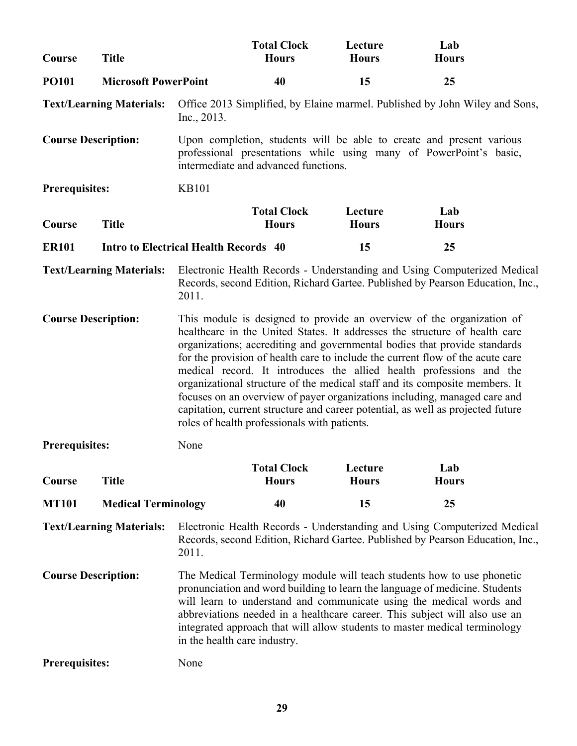| Course                     | <b>Title</b>                                 |                                                                                                                                                                                                                                                                                                                                                                                                                                                                                                                                                                                                                                                                                          | <b>Total Clock</b><br><b>Hours</b>   | Lecture<br><b>Hours</b> | Lab<br><b>Hours</b>                                                                                                                                        |  |  |
|----------------------------|----------------------------------------------|------------------------------------------------------------------------------------------------------------------------------------------------------------------------------------------------------------------------------------------------------------------------------------------------------------------------------------------------------------------------------------------------------------------------------------------------------------------------------------------------------------------------------------------------------------------------------------------------------------------------------------------------------------------------------------------|--------------------------------------|-------------------------|------------------------------------------------------------------------------------------------------------------------------------------------------------|--|--|
| <b>PO101</b>               | <b>Microsoft PowerPoint</b>                  |                                                                                                                                                                                                                                                                                                                                                                                                                                                                                                                                                                                                                                                                                          | 40                                   | 15                      | 25                                                                                                                                                         |  |  |
|                            | <b>Text/Learning Materials:</b>              | Inc., 2013.                                                                                                                                                                                                                                                                                                                                                                                                                                                                                                                                                                                                                                                                              |                                      |                         | Office 2013 Simplified, by Elaine marmel. Published by John Wiley and Sons,                                                                                |  |  |
| <b>Course Description:</b> |                                              |                                                                                                                                                                                                                                                                                                                                                                                                                                                                                                                                                                                                                                                                                          | intermediate and advanced functions. |                         | Upon completion, students will be able to create and present various<br>professional presentations while using many of PowerPoint's basic,                 |  |  |
| <b>Prerequisites:</b>      |                                              | <b>KB101</b>                                                                                                                                                                                                                                                                                                                                                                                                                                                                                                                                                                                                                                                                             |                                      |                         |                                                                                                                                                            |  |  |
| Course                     | <b>Title</b>                                 |                                                                                                                                                                                                                                                                                                                                                                                                                                                                                                                                                                                                                                                                                          | <b>Total Clock</b><br><b>Hours</b>   | Lecture<br><b>Hours</b> | Lab<br><b>Hours</b>                                                                                                                                        |  |  |
| <b>ER101</b>               | <b>Intro to Electrical Health Records 40</b> |                                                                                                                                                                                                                                                                                                                                                                                                                                                                                                                                                                                                                                                                                          |                                      | 15                      | 25                                                                                                                                                         |  |  |
|                            | <b>Text/Learning Materials:</b>              | 2011.                                                                                                                                                                                                                                                                                                                                                                                                                                                                                                                                                                                                                                                                                    |                                      |                         | Electronic Health Records - Understanding and Using Computerized Medical<br>Records, second Edition, Richard Gartee. Published by Pearson Education, Inc., |  |  |
| <b>Course Description:</b> |                                              | This module is designed to provide an overview of the organization of<br>healthcare in the United States. It addresses the structure of health care<br>organizations; accrediting and governmental bodies that provide standards<br>for the provision of health care to include the current flow of the acute care<br>medical record. It introduces the allied health professions and the<br>organizational structure of the medical staff and its composite members. It<br>focuses on an overview of payer organizations including, managed care and<br>capitation, current structure and career potential, as well as projected future<br>roles of health professionals with patients. |                                      |                         |                                                                                                                                                            |  |  |
| <b>Prerequisites:</b>      |                                              | None                                                                                                                                                                                                                                                                                                                                                                                                                                                                                                                                                                                                                                                                                     |                                      |                         |                                                                                                                                                            |  |  |
| Course                     | <b>Title</b>                                 |                                                                                                                                                                                                                                                                                                                                                                                                                                                                                                                                                                                                                                                                                          | <b>Total Clock</b><br><b>Hours</b>   | Lecture<br><b>Hours</b> | Lab<br><b>Hours</b>                                                                                                                                        |  |  |
| <b>MT101</b>               | <b>Medical Terminology</b>                   |                                                                                                                                                                                                                                                                                                                                                                                                                                                                                                                                                                                                                                                                                          | 40                                   | 15                      | 25                                                                                                                                                         |  |  |
|                            | <b>Text/Learning Materials:</b>              | 2011.                                                                                                                                                                                                                                                                                                                                                                                                                                                                                                                                                                                                                                                                                    |                                      |                         | Electronic Health Records - Understanding and Using Computerized Medical<br>Records, second Edition, Richard Gartee. Published by Pearson Education, Inc., |  |  |
| <b>Course Description:</b> |                                              | The Medical Terminology module will teach students how to use phonetic<br>pronunciation and word building to learn the language of medicine. Students<br>will learn to understand and communicate using the medical words and<br>abbreviations needed in a healthcare career. This subject will also use an<br>integrated approach that will allow students to master medical terminology<br>in the health care industry.                                                                                                                                                                                                                                                                |                                      |                         |                                                                                                                                                            |  |  |
| <b>Prerequisites:</b>      |                                              | None                                                                                                                                                                                                                                                                                                                                                                                                                                                                                                                                                                                                                                                                                     |                                      |                         |                                                                                                                                                            |  |  |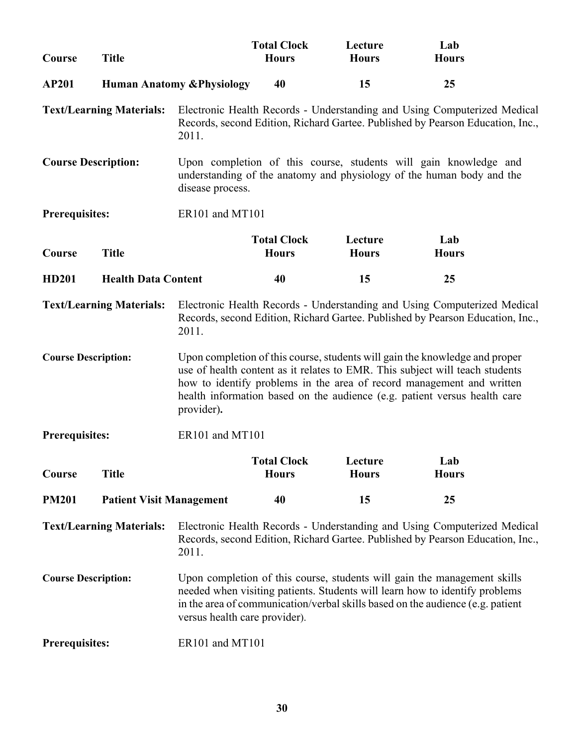| Course                     | <b>Title</b>                    |                                                                                                                                                                                                                                                                                                                                 | <b>Total Clock</b><br><b>Hours</b> | Lecture<br><b>Hours</b> | Lab<br><b>Hours</b>                                                                                                                                        |  |  |
|----------------------------|---------------------------------|---------------------------------------------------------------------------------------------------------------------------------------------------------------------------------------------------------------------------------------------------------------------------------------------------------------------------------|------------------------------------|-------------------------|------------------------------------------------------------------------------------------------------------------------------------------------------------|--|--|
| <b>AP201</b>               |                                 | <b>Human Anatomy &amp; Physiology</b>                                                                                                                                                                                                                                                                                           | 40                                 | 15                      | 25                                                                                                                                                         |  |  |
|                            | <b>Text/Learning Materials:</b> | 2011.                                                                                                                                                                                                                                                                                                                           |                                    |                         | Electronic Health Records - Understanding and Using Computerized Medical<br>Records, second Edition, Richard Gartee. Published by Pearson Education, Inc., |  |  |
| <b>Course Description:</b> |                                 | disease process.                                                                                                                                                                                                                                                                                                                |                                    |                         | Upon completion of this course, students will gain knowledge and<br>understanding of the anatomy and physiology of the human body and the                  |  |  |
| <b>Prerequisites:</b>      |                                 | ER101 and MT101                                                                                                                                                                                                                                                                                                                 |                                    |                         |                                                                                                                                                            |  |  |
| Course                     | <b>Title</b>                    |                                                                                                                                                                                                                                                                                                                                 | <b>Total Clock</b><br><b>Hours</b> | Lecture<br><b>Hours</b> | Lab<br><b>Hours</b>                                                                                                                                        |  |  |
| <b>HD201</b>               | <b>Health Data Content</b>      |                                                                                                                                                                                                                                                                                                                                 | 40                                 | 15                      | 25                                                                                                                                                         |  |  |
|                            | <b>Text/Learning Materials:</b> | 2011.                                                                                                                                                                                                                                                                                                                           |                                    |                         | Electronic Health Records - Understanding and Using Computerized Medical<br>Records, second Edition, Richard Gartee. Published by Pearson Education, Inc., |  |  |
| <b>Course Description:</b> |                                 | Upon completion of this course, students will gain the knowledge and proper<br>use of health content as it relates to EMR. This subject will teach students<br>how to identify problems in the area of record management and written<br>health information based on the audience (e.g. patient versus health care<br>provider). |                                    |                         |                                                                                                                                                            |  |  |
| <b>Prerequisites:</b>      |                                 | ER101 and MT101                                                                                                                                                                                                                                                                                                                 |                                    |                         |                                                                                                                                                            |  |  |
| Course                     | <b>Title</b>                    |                                                                                                                                                                                                                                                                                                                                 | <b>Total Clock</b><br><b>Hours</b> | Lecture<br><b>Hours</b> | Lab<br><b>Hours</b>                                                                                                                                        |  |  |
| <b>PM201</b>               | <b>Patient Visit Management</b> |                                                                                                                                                                                                                                                                                                                                 | 40                                 | 15                      | 25                                                                                                                                                         |  |  |
|                            | <b>Text/Learning Materials:</b> | 2011.                                                                                                                                                                                                                                                                                                                           |                                    |                         | Electronic Health Records - Understanding and Using Computerized Medical<br>Records, second Edition, Richard Gartee. Published by Pearson Education, Inc., |  |  |
| <b>Course Description:</b> |                                 | Upon completion of this course, students will gain the management skills<br>needed when visiting patients. Students will learn how to identify problems<br>in the area of communication/verbal skills based on the audience (e.g. patient<br>versus health care provider).                                                      |                                    |                         |                                                                                                                                                            |  |  |
| <b>Prerequisites:</b>      |                                 | ER101 and MT101                                                                                                                                                                                                                                                                                                                 |                                    |                         |                                                                                                                                                            |  |  |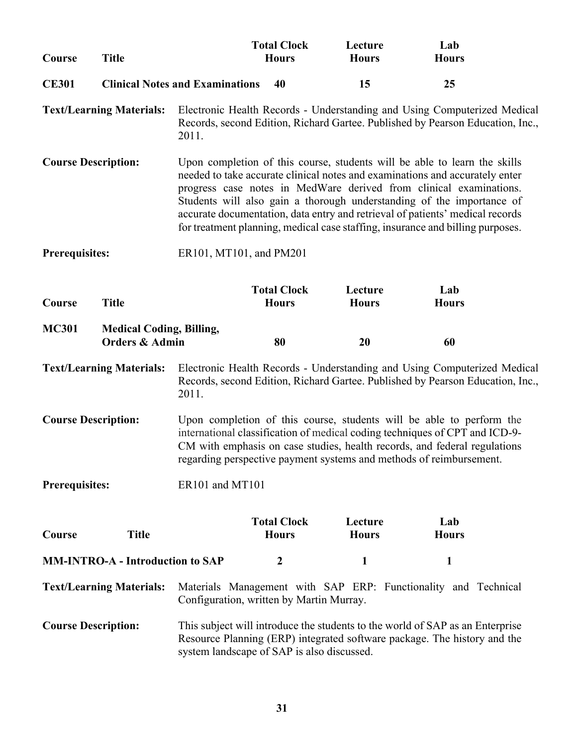| Course                                                                                                                                                                                                                                | <b>Title</b>                                                 |                                                                                                                                                                                                                                                                                                                                                                                                                                                                             | <b>Total Clock</b><br><b>Hours</b> | Lecture<br><b>Hours</b> | Lab<br><b>Hours</b>                                                                                                                                                                                                              |  |
|---------------------------------------------------------------------------------------------------------------------------------------------------------------------------------------------------------------------------------------|--------------------------------------------------------------|-----------------------------------------------------------------------------------------------------------------------------------------------------------------------------------------------------------------------------------------------------------------------------------------------------------------------------------------------------------------------------------------------------------------------------------------------------------------------------|------------------------------------|-------------------------|----------------------------------------------------------------------------------------------------------------------------------------------------------------------------------------------------------------------------------|--|
| <b>CE301</b>                                                                                                                                                                                                                          |                                                              | <b>Clinical Notes and Examinations</b>                                                                                                                                                                                                                                                                                                                                                                                                                                      | 40                                 | 15                      | 25                                                                                                                                                                                                                               |  |
|                                                                                                                                                                                                                                       | <b>Text/Learning Materials:</b>                              | 2011.                                                                                                                                                                                                                                                                                                                                                                                                                                                                       |                                    |                         | Electronic Health Records - Understanding and Using Computerized Medical<br>Records, second Edition, Richard Gartee. Published by Pearson Education, Inc.,                                                                       |  |
| <b>Course Description:</b>                                                                                                                                                                                                            |                                                              | Upon completion of this course, students will be able to learn the skills<br>needed to take accurate clinical notes and examinations and accurately enter<br>progress case notes in MedWare derived from clinical examinations.<br>Students will also gain a thorough understanding of the importance of<br>accurate documentation, data entry and retrieval of patients' medical records<br>for treatment planning, medical case staffing, insurance and billing purposes. |                                    |                         |                                                                                                                                                                                                                                  |  |
| <b>Prerequisites:</b>                                                                                                                                                                                                                 |                                                              | ER101, MT101, and PM201                                                                                                                                                                                                                                                                                                                                                                                                                                                     |                                    |                         |                                                                                                                                                                                                                                  |  |
| Course                                                                                                                                                                                                                                | <b>Title</b>                                                 |                                                                                                                                                                                                                                                                                                                                                                                                                                                                             | <b>Total Clock</b><br><b>Hours</b> | Lecture<br><b>Hours</b> | Lab<br><b>Hours</b>                                                                                                                                                                                                              |  |
| <b>MC301</b>                                                                                                                                                                                                                          | <b>Medical Coding, Billing,</b><br><b>Orders &amp; Admin</b> |                                                                                                                                                                                                                                                                                                                                                                                                                                                                             | 80                                 | 20                      | 60                                                                                                                                                                                                                               |  |
|                                                                                                                                                                                                                                       | <b>Text/Learning Materials:</b>                              | 2011.                                                                                                                                                                                                                                                                                                                                                                                                                                                                       |                                    |                         | Electronic Health Records - Understanding and Using Computerized Medical<br>Records, second Edition, Richard Gartee. Published by Pearson Education, Inc.,                                                                       |  |
| <b>Course Description:</b>                                                                                                                                                                                                            |                                                              | regarding perspective payment systems and methods of reimbursement.                                                                                                                                                                                                                                                                                                                                                                                                         |                                    |                         | Upon completion of this course, students will be able to perform the<br>international classification of medical coding techniques of CPT and ICD-9-<br>CM with emphasis on case studies, health records, and federal regulations |  |
| <b>Prerequisites:</b>                                                                                                                                                                                                                 |                                                              | ER101 and MT101                                                                                                                                                                                                                                                                                                                                                                                                                                                             |                                    |                         |                                                                                                                                                                                                                                  |  |
| Course                                                                                                                                                                                                                                | <b>Title</b>                                                 |                                                                                                                                                                                                                                                                                                                                                                                                                                                                             | <b>Total Clock</b><br><b>Hours</b> | Lecture<br><b>Hours</b> | Lab<br><b>Hours</b>                                                                                                                                                                                                              |  |
|                                                                                                                                                                                                                                       | <b>MM-INTRO-A - Introduction to SAP</b>                      |                                                                                                                                                                                                                                                                                                                                                                                                                                                                             | $\boldsymbol{2}$                   | 1                       | 1                                                                                                                                                                                                                                |  |
|                                                                                                                                                                                                                                       | <b>Text/Learning Materials:</b>                              | Configuration, written by Martin Murray.                                                                                                                                                                                                                                                                                                                                                                                                                                    |                                    |                         | Materials Management with SAP ERP: Functionality and Technical                                                                                                                                                                   |  |
| <b>Course Description:</b><br>This subject will introduce the students to the world of SAP as an Enterprise<br>Resource Planning (ERP) integrated software package. The history and the<br>system landscape of SAP is also discussed. |                                                              |                                                                                                                                                                                                                                                                                                                                                                                                                                                                             |                                    |                         |                                                                                                                                                                                                                                  |  |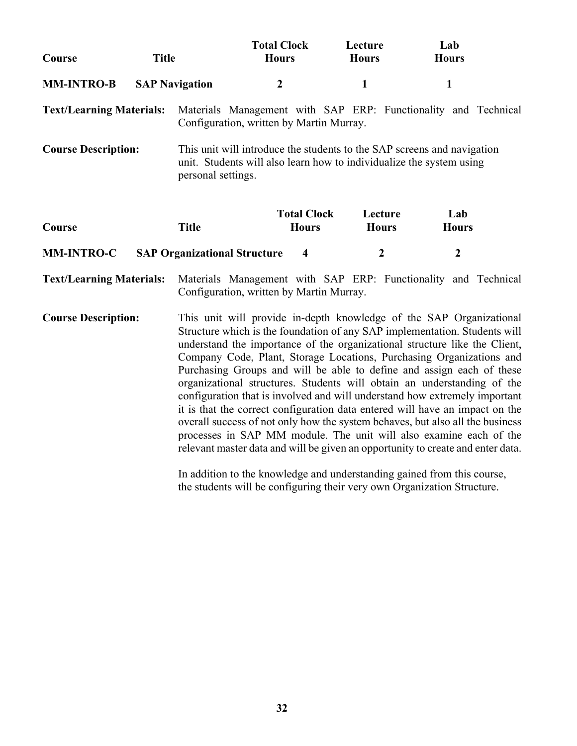| Course                          | <b>Title</b> |                       | <b>Total Clock</b><br><b>Hours</b>       |                                    | Lecture<br><b>Hours</b> | Lab<br><b>Hours</b>                                                                                                                                                                                                                                                                                                                                                                                                                                                                                                                                                                                                                                                                                                                                                                                                                                                                                                                                                                                                       |  |
|---------------------------------|--------------|-----------------------|------------------------------------------|------------------------------------|-------------------------|---------------------------------------------------------------------------------------------------------------------------------------------------------------------------------------------------------------------------------------------------------------------------------------------------------------------------------------------------------------------------------------------------------------------------------------------------------------------------------------------------------------------------------------------------------------------------------------------------------------------------------------------------------------------------------------------------------------------------------------------------------------------------------------------------------------------------------------------------------------------------------------------------------------------------------------------------------------------------------------------------------------------------|--|
| <b>MM-INTRO-B</b>               |              | <b>SAP Navigation</b> | $\boldsymbol{2}$                         |                                    | $\mathbf{1}$            | 1                                                                                                                                                                                                                                                                                                                                                                                                                                                                                                                                                                                                                                                                                                                                                                                                                                                                                                                                                                                                                         |  |
| <b>Text/Learning Materials:</b> |              |                       | Configuration, written by Martin Murray. |                                    |                         | Materials Management with SAP ERP: Functionality and Technical                                                                                                                                                                                                                                                                                                                                                                                                                                                                                                                                                                                                                                                                                                                                                                                                                                                                                                                                                            |  |
| <b>Course Description:</b>      |              | personal settings.    |                                          |                                    |                         | This unit will introduce the students to the SAP screens and navigation<br>unit. Students will also learn how to individualize the system using                                                                                                                                                                                                                                                                                                                                                                                                                                                                                                                                                                                                                                                                                                                                                                                                                                                                           |  |
| Course                          |              | <b>Title</b>          |                                          | <b>Total Clock</b><br><b>Hours</b> | Lecture<br><b>Hours</b> | Lab<br><b>Hours</b>                                                                                                                                                                                                                                                                                                                                                                                                                                                                                                                                                                                                                                                                                                                                                                                                                                                                                                                                                                                                       |  |
| <b>MM-INTRO-C</b>               |              |                       | <b>SAP Organizational Structure</b>      | $\overline{\mathbf{4}}$            | $\boldsymbol{2}$        | $\boldsymbol{2}$                                                                                                                                                                                                                                                                                                                                                                                                                                                                                                                                                                                                                                                                                                                                                                                                                                                                                                                                                                                                          |  |
| <b>Text/Learning Materials:</b> |              |                       | Configuration, written by Martin Murray. |                                    |                         | Materials Management with SAP ERP: Functionality and Technical                                                                                                                                                                                                                                                                                                                                                                                                                                                                                                                                                                                                                                                                                                                                                                                                                                                                                                                                                            |  |
| <b>Course Description:</b>      |              |                       |                                          |                                    |                         | This unit will provide in-depth knowledge of the SAP Organizational<br>Structure which is the foundation of any SAP implementation. Students will<br>understand the importance of the organizational structure like the Client,<br>Company Code, Plant, Storage Locations, Purchasing Organizations and<br>Purchasing Groups and will be able to define and assign each of these<br>organizational structures. Students will obtain an understanding of the<br>configuration that is involved and will understand how extremely important<br>it is that the correct configuration data entered will have an impact on the<br>overall success of not only how the system behaves, but also all the business<br>processes in SAP MM module. The unit will also examine each of the<br>relevant master data and will be given an opportunity to create and enter data.<br>In addition to the knowledge and understanding gained from this course,<br>the students will be configuring their very own Organization Structure. |  |

**32**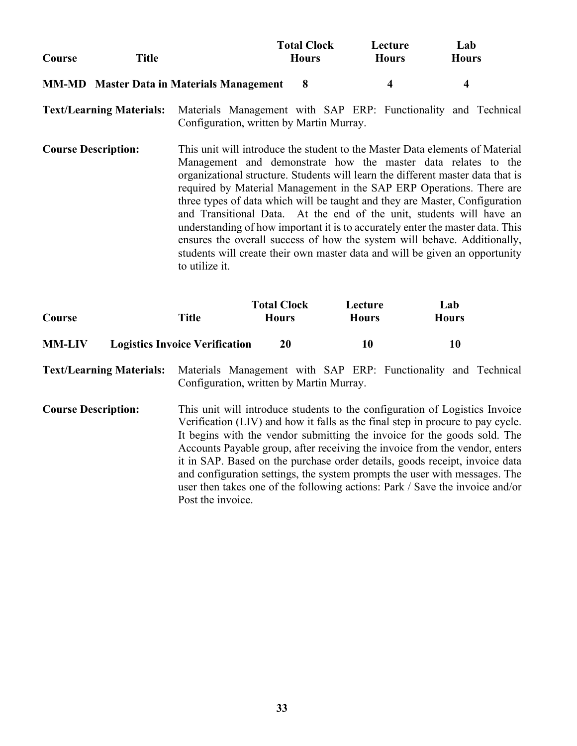|        |                                                  | <b>Total Clock</b> | Lecture      | Lab          |
|--------|--------------------------------------------------|--------------------|--------------|--------------|
| Course | Title                                            | <b>Hours</b>       | <b>Hours</b> | <b>Hours</b> |
|        | <b>MM-MD</b> Master Data in Materials Management |                    |              |              |

**Text/Learning Materials:** Materials Management with SAP ERP: Functionality and Technical Configuration, written by Martin Murray.

**Course Description:** This unit will introduce the student to the Master Data elements of Material Management and demonstrate how the master data relates to the organizational structure. Students will learn the different master data that is required by Material Management in the SAP ERP Operations. There are three types of data which will be taught and they are Master, Configuration and Transitional Data. At the end of the unit, students will have an understanding of how important it is to accurately enter the master data. This ensures the overall success of how the system will behave. Additionally, students will create their own master data and will be given an opportunity to utilize it.

| Course        | Title                                 | <b>Total Clock</b><br><b>Hours</b> | Lecture<br><b>Hours</b> | Lab<br><b>Hours</b> |
|---------------|---------------------------------------|------------------------------------|-------------------------|---------------------|
| <b>MM-LIV</b> | <b>Logistics Invoice Verification</b> | 20                                 | 10                      | 10                  |

**Text/Learning Materials:** Materials Management with SAP ERP: Functionality and Technical Configuration, written by Martin Murray.

**Course Description:** This unit will introduce students to the configuration of Logistics Invoice Verification (LIV) and how it falls as the final step in procure to pay cycle. It begins with the vendor submitting the invoice for the goods sold. The Accounts Payable group, after receiving the invoice from the vendor, enters it in SAP. Based on the purchase order details, goods receipt, invoice data and configuration settings, the system prompts the user with messages. The user then takes one of the following actions: Park / Save the invoice and/or Post the invoice.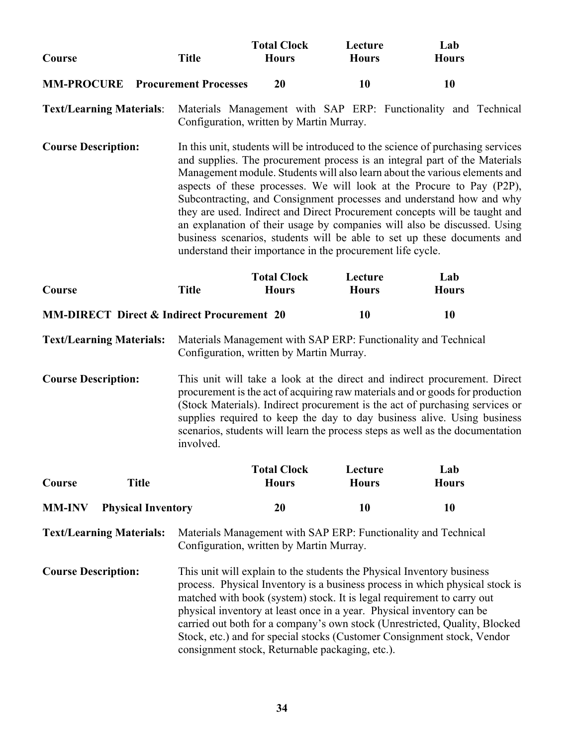| Course                                                | <b>Title</b>                                                                                                                                                                                                                                                                                                                                                                                                                                                                                                                                                                                                                                                                                    | <b>Total Clock</b><br><b>Hours</b>              | Lecture<br><b>Hours</b>                                                                                                                         | Lab<br><b>Hours</b>                                                                                                                                                                                                                                                                                             |  |
|-------------------------------------------------------|-------------------------------------------------------------------------------------------------------------------------------------------------------------------------------------------------------------------------------------------------------------------------------------------------------------------------------------------------------------------------------------------------------------------------------------------------------------------------------------------------------------------------------------------------------------------------------------------------------------------------------------------------------------------------------------------------|-------------------------------------------------|-------------------------------------------------------------------------------------------------------------------------------------------------|-----------------------------------------------------------------------------------------------------------------------------------------------------------------------------------------------------------------------------------------------------------------------------------------------------------------|--|
| <b>MM-PROCURE</b> Procurement Processes               |                                                                                                                                                                                                                                                                                                                                                                                                                                                                                                                                                                                                                                                                                                 | 20                                              | 10                                                                                                                                              | 10                                                                                                                                                                                                                                                                                                              |  |
| <b>Text/Learning Materials:</b>                       |                                                                                                                                                                                                                                                                                                                                                                                                                                                                                                                                                                                                                                                                                                 | Configuration, written by Martin Murray.        |                                                                                                                                                 | Materials Management with SAP ERP: Functionality and Technical                                                                                                                                                                                                                                                  |  |
| <b>Course Description:</b>                            | In this unit, students will be introduced to the science of purchasing services<br>and supplies. The procurement process is an integral part of the Materials<br>Management module. Students will also learn about the various elements and<br>aspects of these processes. We will look at the Procure to Pay (P2P),<br>Subcontracting, and Consignment processes and understand how and why<br>they are used. Indirect and Direct Procurement concepts will be taught and<br>an explanation of their usage by companies will also be discussed. Using<br>business scenarios, students will be able to set up these documents and<br>understand their importance in the procurement life cycle. |                                                 |                                                                                                                                                 |                                                                                                                                                                                                                                                                                                                 |  |
| Course                                                | <b>Title</b>                                                                                                                                                                                                                                                                                                                                                                                                                                                                                                                                                                                                                                                                                    | <b>Total Clock</b><br><b>Hours</b>              | Lecture<br><b>Hours</b>                                                                                                                         | Lab<br><b>Hours</b>                                                                                                                                                                                                                                                                                             |  |
| <b>MM-DIRECT Direct &amp; Indirect Procurement 20</b> |                                                                                                                                                                                                                                                                                                                                                                                                                                                                                                                                                                                                                                                                                                 |                                                 | <b>10</b>                                                                                                                                       | 10                                                                                                                                                                                                                                                                                                              |  |
| <b>Text/Learning Materials:</b>                       |                                                                                                                                                                                                                                                                                                                                                                                                                                                                                                                                                                                                                                                                                                 | Configuration, written by Martin Murray.        | Materials Management with SAP ERP: Functionality and Technical                                                                                  |                                                                                                                                                                                                                                                                                                                 |  |
| <b>Course Description:</b>                            | This unit will take a look at the direct and indirect procurement. Direct<br>procurement is the act of acquiring raw materials and or goods for production<br>(Stock Materials). Indirect procurement is the act of purchasing services or<br>supplies required to keep the day to day business alive. Using business<br>scenarios, students will learn the process steps as well as the documentation<br>involved.                                                                                                                                                                                                                                                                             |                                                 |                                                                                                                                                 |                                                                                                                                                                                                                                                                                                                 |  |
| Course<br><b>Title</b>                                |                                                                                                                                                                                                                                                                                                                                                                                                                                                                                                                                                                                                                                                                                                 | <b>Total Clock</b><br><b>Hours</b>              | Lecture<br><b>Hours</b>                                                                                                                         | Lab<br><b>Hours</b>                                                                                                                                                                                                                                                                                             |  |
| <b>MM-INV</b><br><b>Physical Inventory</b>            |                                                                                                                                                                                                                                                                                                                                                                                                                                                                                                                                                                                                                                                                                                 | 20                                              | <b>10</b>                                                                                                                                       | 10                                                                                                                                                                                                                                                                                                              |  |
| <b>Text/Learning Materials:</b>                       |                                                                                                                                                                                                                                                                                                                                                                                                                                                                                                                                                                                                                                                                                                 | Configuration, written by Martin Murray.        | Materials Management with SAP ERP: Functionality and Technical                                                                                  |                                                                                                                                                                                                                                                                                                                 |  |
| <b>Course Description:</b>                            |                                                                                                                                                                                                                                                                                                                                                                                                                                                                                                                                                                                                                                                                                                 | consignment stock, Returnable packaging, etc.). | This unit will explain to the students the Physical Inventory business<br>physical inventory at least once in a year. Physical inventory can be | process. Physical Inventory is a business process in which physical stock is<br>matched with book (system) stock. It is legal requirement to carry out<br>carried out both for a company's own stock (Unrestricted, Quality, Blocked<br>Stock, etc.) and for special stocks (Customer Consignment stock, Vendor |  |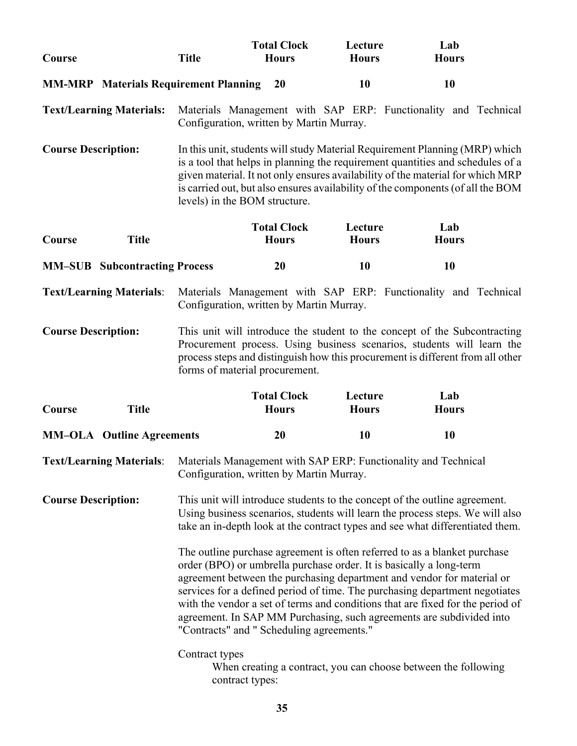| Course                                                                                  | <b>Title</b>                              | <b>Total Clock</b><br><b>Hours</b> | Lecture<br><b>Hours</b>                                             | Lab<br><b>Hours</b>                                                                                                                                                                                                                                                                                                                                                                          |
|-----------------------------------------------------------------------------------------|-------------------------------------------|------------------------------------|---------------------------------------------------------------------|----------------------------------------------------------------------------------------------------------------------------------------------------------------------------------------------------------------------------------------------------------------------------------------------------------------------------------------------------------------------------------------------|
| <b>MM-MRP</b> Materials Requirement Planning                                            |                                           | <b>20</b>                          | <b>10</b>                                                           | 10                                                                                                                                                                                                                                                                                                                                                                                           |
| <b>Text/Learning Materials:</b>                                                         | Configuration, written by Martin Murray.  |                                    |                                                                     | Materials Management with SAP ERP: Functionality and Technical                                                                                                                                                                                                                                                                                                                               |
| <b>Course Description:</b>                                                              | levels) in the BOM structure.             |                                    |                                                                     | In this unit, students will study Material Requirement Planning (MRP) which<br>is a tool that helps in planning the requirement quantities and schedules of a<br>given material. It not only ensures availability of the material for which MRP<br>is carried out, but also ensures availability of the components (of all the BOM                                                           |
| Course<br><b>Title</b>                                                                  |                                           | <b>Total Clock</b><br><b>Hours</b> | Lecture<br><b>Hours</b>                                             | Lab<br><b>Hours</b>                                                                                                                                                                                                                                                                                                                                                                          |
| <b>MM-SUB</b> Subcontracting Process                                                    |                                           | 20                                 | <b>10</b>                                                           | 10                                                                                                                                                                                                                                                                                                                                                                                           |
| <b>Text/Learning Materials:</b>                                                         | Configuration, written by Martin Murray.  |                                    |                                                                     | Materials Management with SAP ERP: Functionality and Technical                                                                                                                                                                                                                                                                                                                               |
| <b>Course Description:</b>                                                              | forms of material procurement.            |                                    |                                                                     | This unit will introduce the student to the concept of the Subcontracting<br>Procurement process. Using business scenarios, students will learn the<br>process steps and distinguish how this procurement is different from all other                                                                                                                                                        |
| <b>Title</b><br>Course                                                                  |                                           | <b>Total Clock</b><br><b>Hours</b> | Lecture<br><b>Hours</b>                                             | Lab<br><b>Hours</b>                                                                                                                                                                                                                                                                                                                                                                          |
| <b>MM-OLA</b> Outline Agreements                                                        |                                           | 20                                 | 10                                                                  | 10                                                                                                                                                                                                                                                                                                                                                                                           |
| Text/Learning Materials: Materials Management with SAP ERP: Functionality and Technical | Configuration, written by Martin Murray.  |                                    |                                                                     |                                                                                                                                                                                                                                                                                                                                                                                              |
| <b>Course Description:</b>                                                              |                                           |                                    |                                                                     | This unit will introduce students to the concept of the outline agreement.<br>Using business scenarios, students will learn the process steps. We will also<br>take an in-depth look at the contract types and see what differentiated them.                                                                                                                                                 |
|                                                                                         | "Contracts" and " Scheduling agreements." |                                    | order (BPO) or umbrella purchase order. It is basically a long-term | The outline purchase agreement is often referred to as a blanket purchase<br>agreement between the purchasing department and vendor for material or<br>services for a defined period of time. The purchasing department negotiates<br>with the vendor a set of terms and conditions that are fixed for the period of<br>agreement. In SAP MM Purchasing, such agreements are subdivided into |
|                                                                                         | Contract types<br>contract types:         |                                    |                                                                     | When creating a contract, you can choose between the following                                                                                                                                                                                                                                                                                                                               |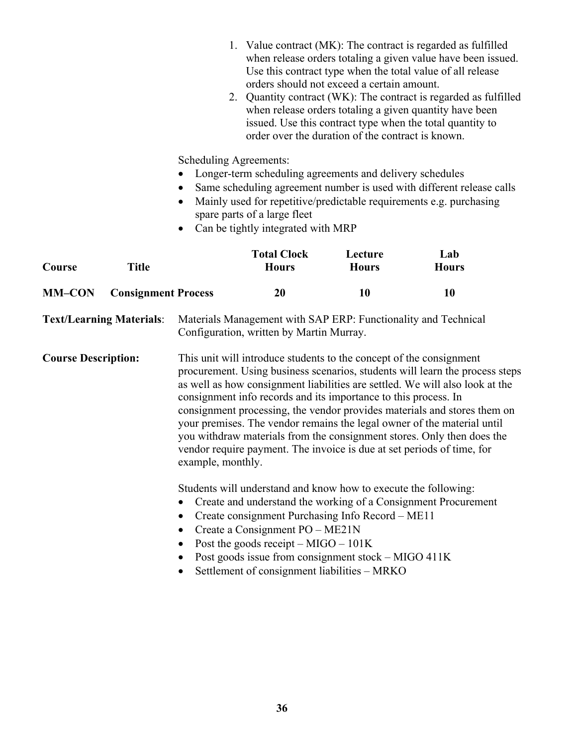|                                 |                            | 1. Value contract (MK): The contract is regarded as fulfilled<br>when release orders totaling a given value have been issued.<br>Use this contract type when the total value of all release<br>orders should not exceed a certain amount.<br>2. Quantity contract (WK): The contract is regarded as fulfilled<br>when release orders totaling a given quantity have been<br>issued. Use this contract type when the total quantity to<br>order over the duration of the contract is known. |                                                                                                                                                                                                                                                                                                        |                         |                                                                                                                                                                                                                                                                                                                                                                                                                                                                         |  |
|---------------------------------|----------------------------|--------------------------------------------------------------------------------------------------------------------------------------------------------------------------------------------------------------------------------------------------------------------------------------------------------------------------------------------------------------------------------------------------------------------------------------------------------------------------------------------|--------------------------------------------------------------------------------------------------------------------------------------------------------------------------------------------------------------------------------------------------------------------------------------------------------|-------------------------|-------------------------------------------------------------------------------------------------------------------------------------------------------------------------------------------------------------------------------------------------------------------------------------------------------------------------------------------------------------------------------------------------------------------------------------------------------------------------|--|
|                                 |                            | Scheduling Agreements:                                                                                                                                                                                                                                                                                                                                                                                                                                                                     | Longer-term scheduling agreements and delivery schedules<br>spare parts of a large fleet<br>Can be tightly integrated with MRP                                                                                                                                                                         |                         | Same scheduling agreement number is used with different release calls<br>Mainly used for repetitive/predictable requirements e.g. purchasing                                                                                                                                                                                                                                                                                                                            |  |
| Course                          | <b>Title</b>               |                                                                                                                                                                                                                                                                                                                                                                                                                                                                                            | <b>Total Clock</b><br><b>Hours</b>                                                                                                                                                                                                                                                                     | Lecture<br><b>Hours</b> | Lab<br><b>Hours</b>                                                                                                                                                                                                                                                                                                                                                                                                                                                     |  |
| <b>MM-CON</b>                   | <b>Consignment Process</b> |                                                                                                                                                                                                                                                                                                                                                                                                                                                                                            | 20                                                                                                                                                                                                                                                                                                     | 10                      | 10                                                                                                                                                                                                                                                                                                                                                                                                                                                                      |  |
| <b>Text/Learning Materials:</b> |                            |                                                                                                                                                                                                                                                                                                                                                                                                                                                                                            | Materials Management with SAP ERP: Functionality and Technical<br>Configuration, written by Martin Murray.                                                                                                                                                                                             |                         |                                                                                                                                                                                                                                                                                                                                                                                                                                                                         |  |
| <b>Course Description:</b>      |                            | example, monthly.                                                                                                                                                                                                                                                                                                                                                                                                                                                                          | This unit will introduce students to the concept of the consignment<br>consignment info records and its importance to this process. In                                                                                                                                                                 |                         | procurement. Using business scenarios, students will learn the process steps<br>as well as how consignment liabilities are settled. We will also look at the<br>consignment processing, the vendor provides materials and stores them on<br>your premises. The vendor remains the legal owner of the material until<br>you withdraw materials from the consignment stores. Only then does the<br>vendor require payment. The invoice is due at set periods of time, for |  |
|                                 |                            | $\bullet$<br>$\bullet$                                                                                                                                                                                                                                                                                                                                                                                                                                                                     | Students will understand and know how to execute the following:<br>Create consignment Purchasing Info Record - ME11<br>Create a Consignment PO – ME21N<br>Post the goods receipt $-MIGO - 101K$<br>Post goods issue from consignment stock - MIGO 411K<br>Settlement of consignment liabilities - MRKO |                         | Create and understand the working of a Consignment Procurement                                                                                                                                                                                                                                                                                                                                                                                                          |  |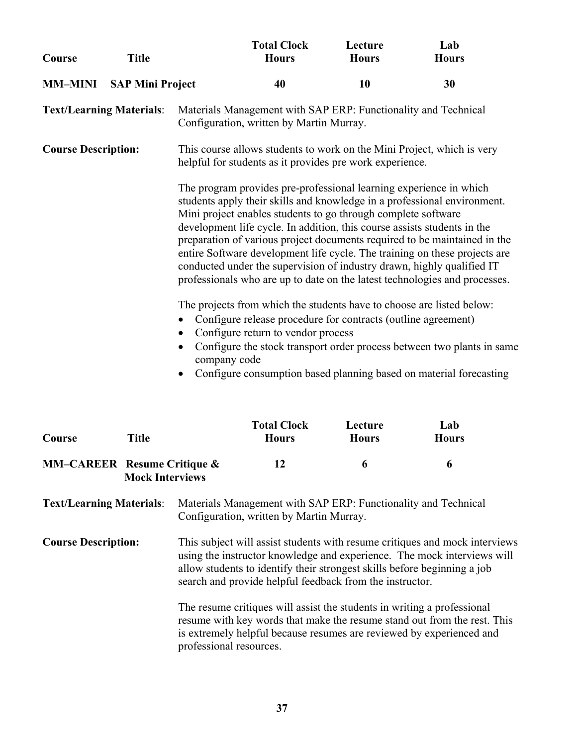| Course                          | <b>Title</b>            |                                                                                                                                                                                                                                                                                                                                              | <b>Total Clock</b><br><b>Hours</b>                                                                                                                                                                                                                                                                                                                                    | Lecture<br><b>Hours</b> | Lab<br><b>Hours</b>                                                                                                                                                                                                                   |  |
|---------------------------------|-------------------------|----------------------------------------------------------------------------------------------------------------------------------------------------------------------------------------------------------------------------------------------------------------------------------------------------------------------------------------------|-----------------------------------------------------------------------------------------------------------------------------------------------------------------------------------------------------------------------------------------------------------------------------------------------------------------------------------------------------------------------|-------------------------|---------------------------------------------------------------------------------------------------------------------------------------------------------------------------------------------------------------------------------------|--|
| <b>MM-MINI</b>                  | <b>SAP Mini Project</b> |                                                                                                                                                                                                                                                                                                                                              | 40                                                                                                                                                                                                                                                                                                                                                                    | <b>10</b>               | 30                                                                                                                                                                                                                                    |  |
| <b>Text/Learning Materials:</b> |                         |                                                                                                                                                                                                                                                                                                                                              | Materials Management with SAP ERP: Functionality and Technical<br>Configuration, written by Martin Murray.                                                                                                                                                                                                                                                            |                         |                                                                                                                                                                                                                                       |  |
| <b>Course Description:</b>      |                         |                                                                                                                                                                                                                                                                                                                                              | This course allows students to work on the Mini Project, which is very<br>helpful for students as it provides pre work experience.                                                                                                                                                                                                                                    |                         |                                                                                                                                                                                                                                       |  |
|                                 |                         |                                                                                                                                                                                                                                                                                                                                              | The program provides pre-professional learning experience in which<br>students apply their skills and knowledge in a professional environment.<br>Mini project enables students to go through complete software<br>development life cycle. In addition, this course assists students in the<br>conducted under the supervision of industry drawn, highly qualified IT |                         | preparation of various project documents required to be maintained in the<br>entire Software development life cycle. The training on these projects are<br>professionals who are up to date on the latest technologies and processes. |  |
|                                 |                         | The projects from which the students have to choose are listed below:<br>Configure release procedure for contracts (outline agreement)<br>Configure return to vendor process<br>Configure the stock transport order process between two plants in same<br>company code<br>Configure consumption based planning based on material forecasting |                                                                                                                                                                                                                                                                                                                                                                       |                         |                                                                                                                                                                                                                                       |  |
| Course                          | <b>Title</b>            |                                                                                                                                                                                                                                                                                                                                              | <b>Total Clock</b><br><b>Hours</b>                                                                                                                                                                                                                                                                                                                                    | Lecture<br><b>Hours</b> | Lab<br><b>Hours</b>                                                                                                                                                                                                                   |  |

## **MM–CAREER Resume Critique & 12 6 6 Mock Interviews**

**Text/Learning Materials**: Materials Management with SAP ERP: Functionality and Technical Configuration, written by Martin Murray.

**Course Description:** This subject will assist students with resume critiques and mock interviews using the instructor knowledge and experience. The mock interviews will allow students to identify their strongest skills before beginning a job search and provide helpful feedback from the instructor.

> The resume critiques will assist the students in writing a professional resume with key words that make the resume stand out from the rest. This is extremely helpful because resumes are reviewed by experienced and professional resources.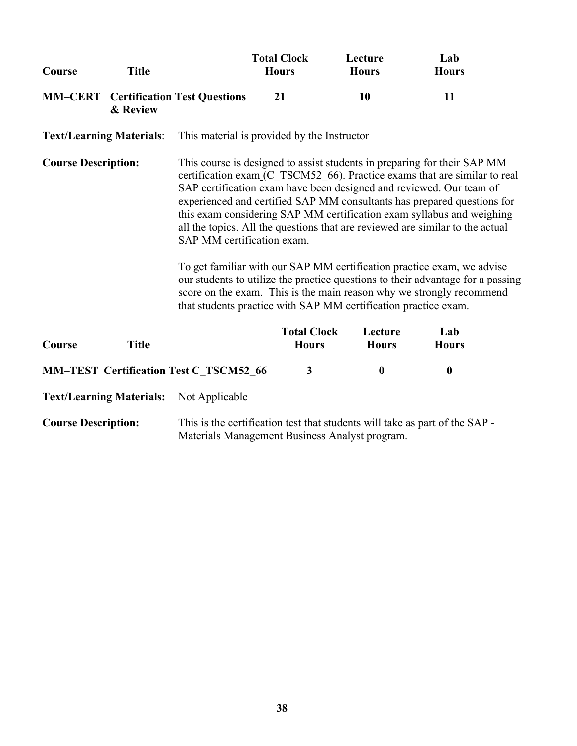| Course                          | <b>Title</b>                    |                                               | <b>Total Clock</b><br><b>Hours</b>          | Lecture<br><b>Hours</b>                                         | Lab<br><b>Hours</b>                                                                                                                                                                                                                                                                                                                                                                                                                                                                                                                                                                                                                                                                                    |
|---------------------------------|---------------------------------|-----------------------------------------------|---------------------------------------------|-----------------------------------------------------------------|--------------------------------------------------------------------------------------------------------------------------------------------------------------------------------------------------------------------------------------------------------------------------------------------------------------------------------------------------------------------------------------------------------------------------------------------------------------------------------------------------------------------------------------------------------------------------------------------------------------------------------------------------------------------------------------------------------|
|                                 | & Review                        | <b>MM-CERT</b> Certification Test Questions   | 21                                          | 10                                                              | 11                                                                                                                                                                                                                                                                                                                                                                                                                                                                                                                                                                                                                                                                                                     |
| <b>Text/Learning Materials:</b> |                                 |                                               | This material is provided by the Instructor |                                                                 |                                                                                                                                                                                                                                                                                                                                                                                                                                                                                                                                                                                                                                                                                                        |
| <b>Course Description:</b>      |                                 | SAP MM certification exam.                    |                                             | that students practice with SAP MM certification practice exam. | This course is designed to assist students in preparing for their SAP MM<br>certification exam (C TSCM52 66). Practice exams that are similar to real<br>SAP certification exam have been designed and reviewed. Our team of<br>experienced and certified SAP MM consultants has prepared questions for<br>this exam considering SAP MM certification exam syllabus and weighing<br>all the topics. All the questions that are reviewed are similar to the actual<br>To get familiar with our SAP MM certification practice exam, we advise<br>our students to utilize the practice questions to their advantage for a passing<br>score on the exam. This is the main reason why we strongly recommend |
| Course                          | <b>Title</b>                    |                                               | <b>Total Clock</b><br><b>Hours</b>          | Lecture<br><b>Hours</b>                                         | Lab<br><b>Hours</b>                                                                                                                                                                                                                                                                                                                                                                                                                                                                                                                                                                                                                                                                                    |
|                                 |                                 | <b>MM-TEST Certification Test C_TSCM52_66</b> | $\mathbf{3}$                                | $\boldsymbol{0}$                                                | $\boldsymbol{0}$                                                                                                                                                                                                                                                                                                                                                                                                                                                                                                                                                                                                                                                                                       |
|                                 | <b>Text/Learning Materials:</b> | Not Applicable                                |                                             |                                                                 |                                                                                                                                                                                                                                                                                                                                                                                                                                                                                                                                                                                                                                                                                                        |
| <b>Course Description:</b>      |                                 |                                               |                                             | Materials Management Business Analyst program.                  | This is the certification test that students will take as part of the SAP -                                                                                                                                                                                                                                                                                                                                                                                                                                                                                                                                                                                                                            |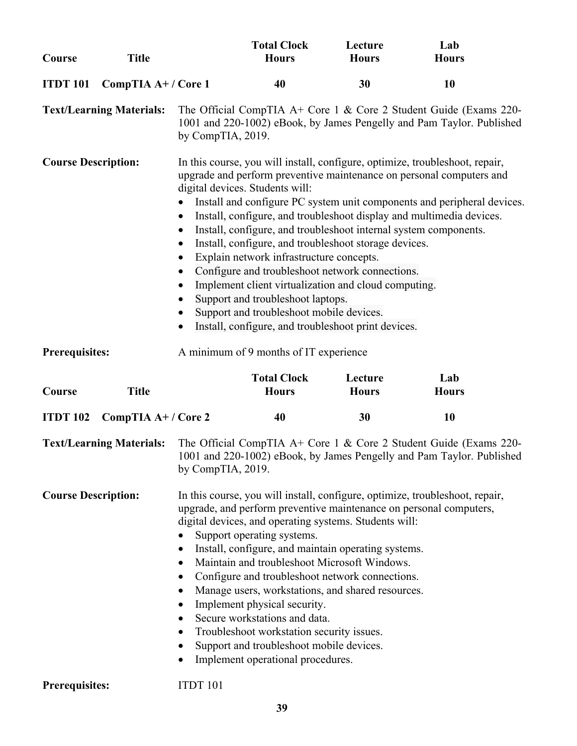| Course                                                                                      | <b>Title</b>                    |                                                                                         | <b>Total Clock</b><br><b>Hours</b>                                                                                                                                                                                                                                                                                                                                                                                                                                                                 | Lecture<br><b>Hours</b> | Lab<br><b>Hours</b>                                                                                                                                                                                                                                                                                     |
|---------------------------------------------------------------------------------------------|---------------------------------|-----------------------------------------------------------------------------------------|----------------------------------------------------------------------------------------------------------------------------------------------------------------------------------------------------------------------------------------------------------------------------------------------------------------------------------------------------------------------------------------------------------------------------------------------------------------------------------------------------|-------------------------|---------------------------------------------------------------------------------------------------------------------------------------------------------------------------------------------------------------------------------------------------------------------------------------------------------|
| <b>ITDT 101</b>                                                                             | CompTIA A+/Core 1               |                                                                                         | 40                                                                                                                                                                                                                                                                                                                                                                                                                                                                                                 | 30                      | 10                                                                                                                                                                                                                                                                                                      |
|                                                                                             | <b>Text/Learning Materials:</b> | by CompTIA, 2019.                                                                       |                                                                                                                                                                                                                                                                                                                                                                                                                                                                                                    |                         | The Official CompTIA A+ Core 1 & Core 2 Student Guide (Exams 220-<br>1001 and 220-1002) eBook, by James Pengelly and Pam Taylor. Published                                                                                                                                                              |
| <b>Course Description:</b>                                                                  |                                 | $\bullet$<br>$\bullet$<br>$\bullet$<br>$\bullet$<br>$\bullet$<br>$\bullet$<br>$\bullet$ | digital devices. Students will:<br>Install, configure, and troubleshoot internal system components.<br>Install, configure, and troubleshoot storage devices.<br>Explain network infrastructure concepts.<br>Configure and troubleshoot network connections.<br>Implement client virtualization and cloud computing.<br>Support and troubleshoot laptops.<br>Support and troubleshoot mobile devices.<br>Install, configure, and troubleshoot print devices.                                        |                         | In this course, you will install, configure, optimize, troubleshoot, repair,<br>upgrade and perform preventive maintenance on personal computers and<br>Install and configure PC system unit components and peripheral devices.<br>Install, configure, and troubleshoot display and multimedia devices. |
| <b>Prerequisites:</b>                                                                       |                                 |                                                                                         | A minimum of 9 months of IT experience                                                                                                                                                                                                                                                                                                                                                                                                                                                             |                         |                                                                                                                                                                                                                                                                                                         |
| Course                                                                                      | <b>Title</b>                    |                                                                                         | <b>Total Clock</b><br><b>Hours</b>                                                                                                                                                                                                                                                                                                                                                                                                                                                                 | Lecture<br><b>Hours</b> | Lab<br><b>Hours</b>                                                                                                                                                                                                                                                                                     |
| <b>ITDT 102</b>                                                                             | CompTIA A+/Core 2               |                                                                                         | 40                                                                                                                                                                                                                                                                                                                                                                                                                                                                                                 | 30                      | 10                                                                                                                                                                                                                                                                                                      |
|                                                                                             | <b>Text/Learning Materials:</b> | by CompTIA, 2019.                                                                       |                                                                                                                                                                                                                                                                                                                                                                                                                                                                                                    |                         | The Official CompTIA A+ Core 1 & Core 2 Student Guide (Exams 220-<br>1001 and 220-1002) eBook, by James Pengelly and Pam Taylor. Published                                                                                                                                                              |
| <b>Course Description:</b><br>$\bullet$<br>$\bullet$<br>$\bullet$<br>$\bullet$<br>$\bullet$ |                                 |                                                                                         | digital devices, and operating systems. Students will:<br>Support operating systems.<br>Install, configure, and maintain operating systems.<br>Maintain and troubleshoot Microsoft Windows.<br>Configure and troubleshoot network connections.<br>Manage users, workstations, and shared resources.<br>Implement physical security.<br>Secure workstations and data.<br>Troubleshoot workstation security issues.<br>Support and troubleshoot mobile devices.<br>Implement operational procedures. |                         | In this course, you will install, configure, optimize, troubleshoot, repair,<br>upgrade, and perform preventive maintenance on personal computers,                                                                                                                                                      |
| <b>Prerequisites:</b>                                                                       |                                 | ITDT 101                                                                                |                                                                                                                                                                                                                                                                                                                                                                                                                                                                                                    |                         |                                                                                                                                                                                                                                                                                                         |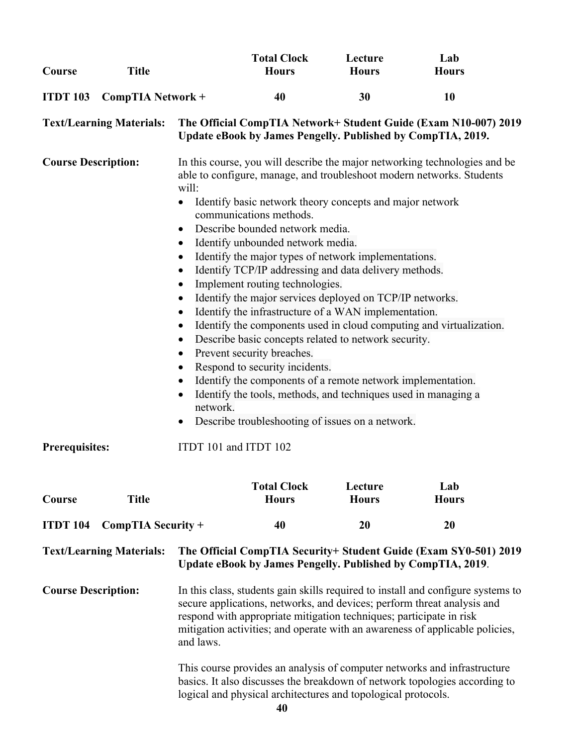| Course                     | <b>Title</b>                    |                                                                                                                                                                                                                                                                                                                                                                                                                                                                                                                                                                                                                                                                                                                                                                                                                                                                                                                                                                                                                                                                                                                                                                                                        | <b>Total Clock</b><br><b>Hours</b>                            | Lecture<br><b>Hours</b> | Lab<br><b>Hours</b>                                                                                                                                    |  |
|----------------------------|---------------------------------|--------------------------------------------------------------------------------------------------------------------------------------------------------------------------------------------------------------------------------------------------------------------------------------------------------------------------------------------------------------------------------------------------------------------------------------------------------------------------------------------------------------------------------------------------------------------------------------------------------------------------------------------------------------------------------------------------------------------------------------------------------------------------------------------------------------------------------------------------------------------------------------------------------------------------------------------------------------------------------------------------------------------------------------------------------------------------------------------------------------------------------------------------------------------------------------------------------|---------------------------------------------------------------|-------------------------|--------------------------------------------------------------------------------------------------------------------------------------------------------|--|
| <b>ITDT 103</b>            | CompTIA Network +               |                                                                                                                                                                                                                                                                                                                                                                                                                                                                                                                                                                                                                                                                                                                                                                                                                                                                                                                                                                                                                                                                                                                                                                                                        | 40                                                            | 30                      | 10                                                                                                                                                     |  |
|                            | <b>Text/Learning Materials:</b> |                                                                                                                                                                                                                                                                                                                                                                                                                                                                                                                                                                                                                                                                                                                                                                                                                                                                                                                                                                                                                                                                                                                                                                                                        | Update eBook by James Pengelly. Published by CompTIA, 2019.   |                         | The Official CompTIA Network+ Student Guide (Exam N10-007) 2019                                                                                        |  |
| <b>Course Description:</b> |                                 | In this course, you will describe the major networking technologies and be<br>able to configure, manage, and troubleshoot modern networks. Students<br>will:<br>Identify basic network theory concepts and major network<br>$\bullet$<br>communications methods.<br>Describe bounded network media.<br>$\bullet$<br>Identify unbounded network media.<br>$\bullet$<br>Identify the major types of network implementations.<br>$\bullet$<br>Identify TCP/IP addressing and data delivery methods.<br>$\bullet$<br>Implement routing technologies.<br>$\bullet$<br>Identify the major services deployed on TCP/IP networks.<br>$\bullet$<br>Identify the infrastructure of a WAN implementation.<br>$\bullet$<br>Identify the components used in cloud computing and virtualization.<br>$\bullet$<br>Describe basic concepts related to network security.<br>$\bullet$<br>Prevent security breaches.<br>$\bullet$<br>Respond to security incidents.<br>$\bullet$<br>Identify the components of a remote network implementation.<br>$\bullet$<br>Identify the tools, methods, and techniques used in managing a<br>$\bullet$<br>network.<br>Describe troubleshooting of issues on a network.<br>$\bullet$ |                                                               |                         |                                                                                                                                                        |  |
| <b>Prerequisites:</b>      |                                 | ITDT 101 and ITDT 102                                                                                                                                                                                                                                                                                                                                                                                                                                                                                                                                                                                                                                                                                                                                                                                                                                                                                                                                                                                                                                                                                                                                                                                  |                                                               |                         |                                                                                                                                                        |  |
| Course                     | <b>Title</b>                    |                                                                                                                                                                                                                                                                                                                                                                                                                                                                                                                                                                                                                                                                                                                                                                                                                                                                                                                                                                                                                                                                                                                                                                                                        | <b>Total Clock</b><br><b>Hours</b>                            | Lecture<br><b>Hours</b> | Lab<br><b>Hours</b>                                                                                                                                    |  |
| <b>ITDT 104</b>            | CompTIA Security +              |                                                                                                                                                                                                                                                                                                                                                                                                                                                                                                                                                                                                                                                                                                                                                                                                                                                                                                                                                                                                                                                                                                                                                                                                        | 40                                                            | 20                      | 20                                                                                                                                                     |  |
|                            | <b>Text/Learning Materials:</b> |                                                                                                                                                                                                                                                                                                                                                                                                                                                                                                                                                                                                                                                                                                                                                                                                                                                                                                                                                                                                                                                                                                                                                                                                        | Update eBook by James Pengelly. Published by CompTIA, 2019.   |                         | The Official CompTIA Security+ Student Guide (Exam SY0-501) 2019                                                                                       |  |
| <b>Course Description:</b> |                                 | In this class, students gain skills required to install and configure systems to<br>secure applications, networks, and devices; perform threat analysis and<br>respond with appropriate mitigation techniques; participate in risk<br>mitigation activities; and operate with an awareness of applicable policies,<br>and laws.                                                                                                                                                                                                                                                                                                                                                                                                                                                                                                                                                                                                                                                                                                                                                                                                                                                                        |                                                               |                         |                                                                                                                                                        |  |
|                            |                                 |                                                                                                                                                                                                                                                                                                                                                                                                                                                                                                                                                                                                                                                                                                                                                                                                                                                                                                                                                                                                                                                                                                                                                                                                        | logical and physical architectures and topological protocols. |                         | This course provides an analysis of computer networks and infrastructure<br>basics. It also discusses the breakdown of network topologies according to |  |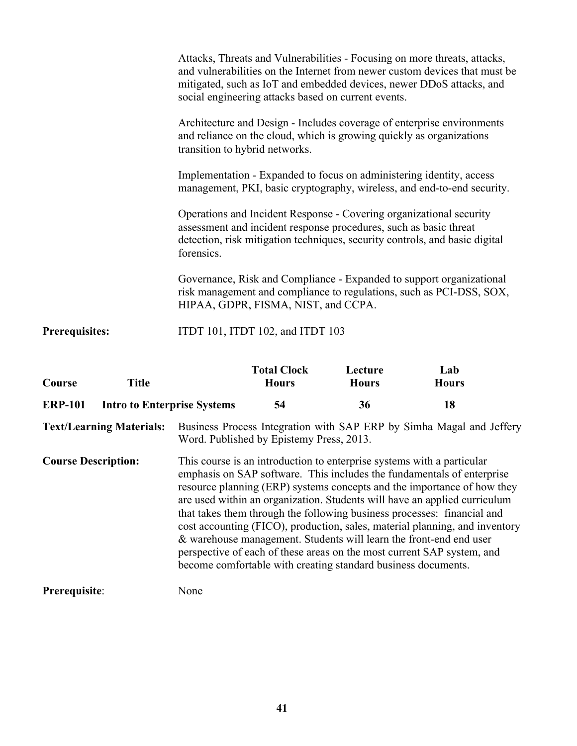| <b>ERP-101</b>        | <b>Intro to Enterprise Systems</b> | 54                                                                                                                                                                                                                                    | 36                      | 18                                                                         |
|-----------------------|------------------------------------|---------------------------------------------------------------------------------------------------------------------------------------------------------------------------------------------------------------------------------------|-------------------------|----------------------------------------------------------------------------|
| Course                | <b>Title</b>                       | <b>Total Clock</b><br><b>Hours</b>                                                                                                                                                                                                    | Lecture<br><b>Hours</b> | Lab<br><b>Hours</b>                                                        |
| <b>Prerequisites:</b> |                                    | ITDT 101, ITDT 102, and ITDT 103                                                                                                                                                                                                      |                         |                                                                            |
|                       |                                    | Governance, Risk and Compliance - Expanded to support organizational<br>risk management and compliance to regulations, such as PCI-DSS, SOX,<br>HIPAA, GDPR, FISMA, NIST, and CCPA.                                                   |                         |                                                                            |
|                       |                                    | Operations and Incident Response - Covering organizational security<br>assessment and incident response procedures, such as basic threat<br>detection, risk mitigation techniques, security controls, and basic digital<br>forensics. |                         |                                                                            |
|                       |                                    | Implementation - Expanded to focus on administering identity, access<br>management, PKI, basic cryptography, wireless, and end-to-end security.                                                                                       |                         |                                                                            |
|                       |                                    | Architecture and Design - Includes coverage of enterprise environments<br>and reliance on the cloud, which is growing quickly as organizations<br>transition to hybrid networks.                                                      |                         |                                                                            |
|                       |                                    | Attacks, Threats and Vulnerabilities - Focusing on more threats, attacks,<br>mitigated, such as IoT and embedded devices, newer DDoS attacks, and<br>social engineering attacks based on current events.                              |                         | and vulnerabilities on the Internet from newer custom devices that must be |

| Text/Learning Materials: Business Process Integration with SAP ERP by Simha Magal and Jeffery |
|-----------------------------------------------------------------------------------------------|
| Word. Published by Epistemy Press, 2013.                                                      |

| <b>Course Description:</b> | This course is an introduction to enterprise systems with a particular<br>emphasis on SAP software. This includes the fundamentals of enterprise<br>resource planning (ERP) systems concepts and the importance of how they<br>are used within an organization. Students will have an applied curriculum<br>that takes them through the following business processes: financial and<br>cost accounting (FICO), production, sales, material planning, and inventory<br>& warehouse management. Students will learn the front-end end user<br>perspective of each of these areas on the most current SAP system, and<br>become comfortable with creating standard business documents. |
|----------------------------|-------------------------------------------------------------------------------------------------------------------------------------------------------------------------------------------------------------------------------------------------------------------------------------------------------------------------------------------------------------------------------------------------------------------------------------------------------------------------------------------------------------------------------------------------------------------------------------------------------------------------------------------------------------------------------------|
|                            |                                                                                                                                                                                                                                                                                                                                                                                                                                                                                                                                                                                                                                                                                     |

**Prerequisite**: None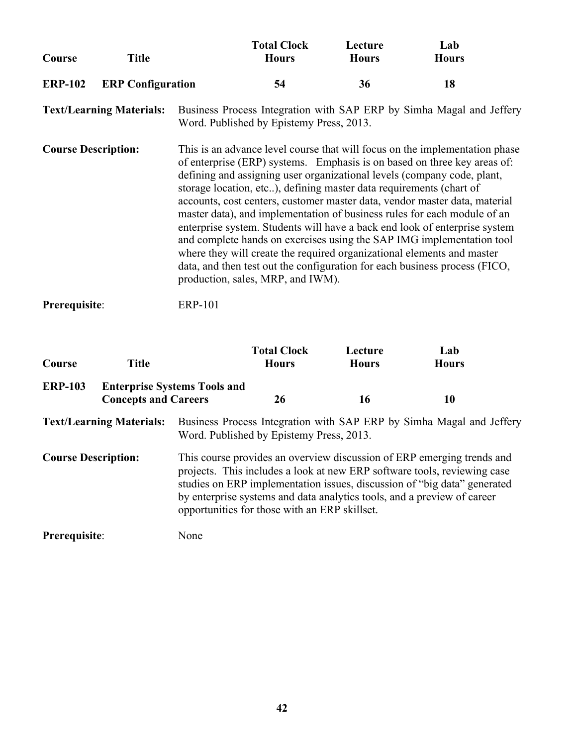| Course                                      | <b>Title</b>                    |                                                                                                                                                                                                                                                                                                                                                            | <b>Total Clock</b><br><b>Hours</b>                                                                       | Lecture<br><b>Hours</b> | Lab<br><b>Hours</b>                                                                                                                                                                                                                                                                                                                                                                                                                                                                                                                                                                                                                                                                                         |  |
|---------------------------------------------|---------------------------------|------------------------------------------------------------------------------------------------------------------------------------------------------------------------------------------------------------------------------------------------------------------------------------------------------------------------------------------------------------|----------------------------------------------------------------------------------------------------------|-------------------------|-------------------------------------------------------------------------------------------------------------------------------------------------------------------------------------------------------------------------------------------------------------------------------------------------------------------------------------------------------------------------------------------------------------------------------------------------------------------------------------------------------------------------------------------------------------------------------------------------------------------------------------------------------------------------------------------------------------|--|
| <b>ERP-102</b>                              | <b>ERP</b> Configuration        |                                                                                                                                                                                                                                                                                                                                                            | 54                                                                                                       | 36                      | 18                                                                                                                                                                                                                                                                                                                                                                                                                                                                                                                                                                                                                                                                                                          |  |
|                                             | <b>Text/Learning Materials:</b> |                                                                                                                                                                                                                                                                                                                                                            | Word. Published by Epistemy Press, 2013.                                                                 |                         | Business Process Integration with SAP ERP by Simha Magal and Jeffery                                                                                                                                                                                                                                                                                                                                                                                                                                                                                                                                                                                                                                        |  |
| <b>Course Description:</b><br>Prerequisite: |                                 | <b>ERP-101</b>                                                                                                                                                                                                                                                                                                                                             | storage location, etc), defining master data requirements (chart of<br>production, sales, MRP, and IWM). |                         | This is an advance level course that will focus on the implementation phase<br>of enterprise (ERP) systems. Emphasis is on based on three key areas of:<br>defining and assigning user organizational levels (company code, plant,<br>accounts, cost centers, customer master data, vendor master data, material<br>master data), and implementation of business rules for each module of an<br>enterprise system. Students will have a back end look of enterprise system<br>and complete hands on exercises using the SAP IMG implementation tool<br>where they will create the required organizational elements and master<br>data, and then test out the configuration for each business process (FICO, |  |
| Course                                      | <b>Title</b>                    |                                                                                                                                                                                                                                                                                                                                                            | <b>Total Clock</b><br><b>Hours</b>                                                                       | Lecture<br><b>Hours</b> | Lab<br><b>Hours</b>                                                                                                                                                                                                                                                                                                                                                                                                                                                                                                                                                                                                                                                                                         |  |
| <b>ERP-103</b>                              | <b>Concepts and Careers</b>     | <b>Enterprise Systems Tools and</b>                                                                                                                                                                                                                                                                                                                        | 26                                                                                                       | 16                      | 10                                                                                                                                                                                                                                                                                                                                                                                                                                                                                                                                                                                                                                                                                                          |  |
|                                             | <b>Text/Learning Materials:</b> |                                                                                                                                                                                                                                                                                                                                                            | Word. Published by Epistemy Press, 2013.                                                                 |                         | Business Process Integration with SAP ERP by Simha Magal and Jeffery                                                                                                                                                                                                                                                                                                                                                                                                                                                                                                                                                                                                                                        |  |
| <b>Course Description:</b>                  |                                 | This course provides an overview discussion of ERP emerging trends and<br>projects. This includes a look at new ERP software tools, reviewing case<br>studies on ERP implementation issues, discussion of "big data" generated<br>by enterprise systems and data analytics tools, and a preview of career<br>opportunities for those with an ERP skillset. |                                                                                                          |                         |                                                                                                                                                                                                                                                                                                                                                                                                                                                                                                                                                                                                                                                                                                             |  |

**Prerequisite**: None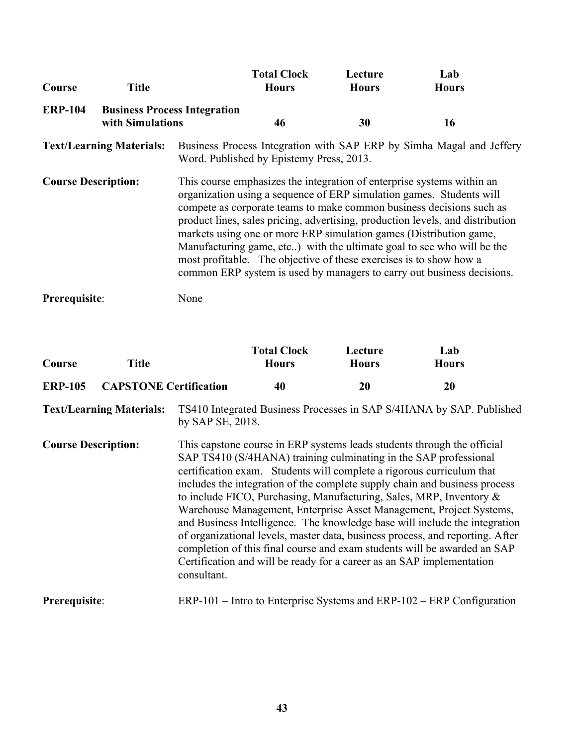| Course                     | <b>Title</b>                                            |                                                                                                                                                                                                                                                                                                                                                                                                                                                                                                                                                                                                          | <b>Total Clock</b><br><b>Hours</b>       | Lecture<br><b>Hours</b> | Lab<br><b>Hours</b>                                                  |  |
|----------------------------|---------------------------------------------------------|----------------------------------------------------------------------------------------------------------------------------------------------------------------------------------------------------------------------------------------------------------------------------------------------------------------------------------------------------------------------------------------------------------------------------------------------------------------------------------------------------------------------------------------------------------------------------------------------------------|------------------------------------------|-------------------------|----------------------------------------------------------------------|--|
| <b>ERP-104</b>             | <b>Business Process Integration</b><br>with Simulations |                                                                                                                                                                                                                                                                                                                                                                                                                                                                                                                                                                                                          | 46                                       | 30                      | 16                                                                   |  |
|                            | <b>Text/Learning Materials:</b>                         |                                                                                                                                                                                                                                                                                                                                                                                                                                                                                                                                                                                                          | Word. Published by Epistemy Press, 2013. |                         | Business Process Integration with SAP ERP by Simha Magal and Jeffery |  |
| <b>Course Description:</b> |                                                         | This course emphasizes the integration of enterprise systems within an<br>organization using a sequence of ERP simulation games. Students will<br>compete as corporate teams to make common business decisions such as<br>product lines, sales pricing, advertising, production levels, and distribution<br>markets using one or more ERP simulation games (Distribution game,<br>Manufacturing game, etc) with the ultimate goal to see who will be the<br>most profitable. The objective of these exercises is to show how a<br>common ERP system is used by managers to carry out business decisions. |                                          |                         |                                                                      |  |
| Prerequisite:              |                                                         | None                                                                                                                                                                                                                                                                                                                                                                                                                                                                                                                                                                                                     |                                          |                         |                                                                      |  |

| Course                     | <b>Title</b>                    |                  | <b>Total Clock</b><br><b>Hours</b> | Lecture<br><b>Hours</b> | Lab<br><b>Hours</b>                                                                                                                                                                                                                                                                                                                                                                                                                                                                                                                                                                                                                                                                                                                                                  |
|----------------------------|---------------------------------|------------------|------------------------------------|-------------------------|----------------------------------------------------------------------------------------------------------------------------------------------------------------------------------------------------------------------------------------------------------------------------------------------------------------------------------------------------------------------------------------------------------------------------------------------------------------------------------------------------------------------------------------------------------------------------------------------------------------------------------------------------------------------------------------------------------------------------------------------------------------------|
| <b>ERP-105</b>             | <b>CAPSTONE Certification</b>   |                  | 40                                 | 20                      | 20                                                                                                                                                                                                                                                                                                                                                                                                                                                                                                                                                                                                                                                                                                                                                                   |
|                            | <b>Text/Learning Materials:</b> | by SAP SE, 2018. |                                    |                         | TS410 Integrated Business Processes in SAP S/4HANA by SAP. Published                                                                                                                                                                                                                                                                                                                                                                                                                                                                                                                                                                                                                                                                                                 |
| <b>Course Description:</b> |                                 | consultant.      |                                    |                         | This capstone course in ERP systems leads students through the official<br>SAP TS410 (S/4HANA) training culminating in the SAP professional<br>certification exam. Students will complete a rigorous curriculum that<br>includes the integration of the complete supply chain and business process<br>to include FICO, Purchasing, Manufacturing, Sales, MRP, Inventory &<br>Warehouse Management, Enterprise Asset Management, Project Systems,<br>and Business Intelligence. The knowledge base will include the integration<br>of organizational levels, master data, business process, and reporting. After<br>completion of this final course and exam students will be awarded an SAP<br>Certification and will be ready for a career as an SAP implementation |
| Prerequisite:              |                                 |                  |                                    |                         | $ERP-101$ – Intro to Enterprise Systems and $ERP-102$ – $ERP$ Configuration                                                                                                                                                                                                                                                                                                                                                                                                                                                                                                                                                                                                                                                                                          |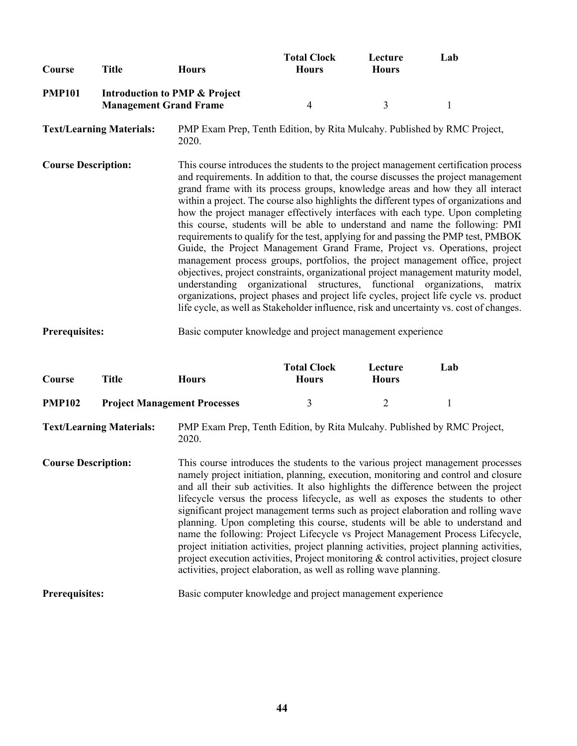| Course        | Title | <b>Hours</b>                                                              | <b>Total Clock</b><br><b>Hours</b> | Lecture<br><b>Hours</b> | Lab |
|---------------|-------|---------------------------------------------------------------------------|------------------------------------|-------------------------|-----|
| <b>PMP101</b> |       | <b>Introduction to PMP &amp; Project</b><br><b>Management Grand Frame</b> |                                    |                         |     |

**Course Description:** This course introduces the students to the project management certification process and requirements. In addition to that, the course discusses the project management grand frame with its process groups, knowledge areas and how they all interact within a project. The course also highlights the different types of organizations and how the project manager effectively interfaces with each type. Upon completing this course, students will be able to understand and name the following: PMI requirements to qualify for the test, applying for and passing the PMP test, PMBOK Guide, the Project Management Grand Frame, Project vs. Operations, project management process groups, portfolios, the project management office, project objectives, project constraints, organizational project management maturity model, understanding organizational structures, functional organizations, matrix organizations, project phases and project life cycles, project life cycle vs. product life cycle, as well as Stakeholder influence, risk and uncertainty vs. cost of changes.

#### **Prerequisites:** Basic computer knowledge and project management experience

| Course                     | Title                           | <b>Hours</b>                        | <b>Total Clock</b><br><b>Hours</b>                                       | Lecture<br><b>Hours</b> | Lab                                                                                                                                                                                                                                                                                                                                                                                                                                                                                                                                                                                                                                                                                                                                                                                                |
|----------------------------|---------------------------------|-------------------------------------|--------------------------------------------------------------------------|-------------------------|----------------------------------------------------------------------------------------------------------------------------------------------------------------------------------------------------------------------------------------------------------------------------------------------------------------------------------------------------------------------------------------------------------------------------------------------------------------------------------------------------------------------------------------------------------------------------------------------------------------------------------------------------------------------------------------------------------------------------------------------------------------------------------------------------|
| <b>PMP102</b>              |                                 | <b>Project Management Processes</b> | 3                                                                        | 2                       |                                                                                                                                                                                                                                                                                                                                                                                                                                                                                                                                                                                                                                                                                                                                                                                                    |
|                            | <b>Text/Learning Materials:</b> | 2020.                               | PMP Exam Prep, Tenth Edition, by Rita Mulcahy. Published by RMC Project, |                         |                                                                                                                                                                                                                                                                                                                                                                                                                                                                                                                                                                                                                                                                                                                                                                                                    |
| <b>Course Description:</b> |                                 |                                     | activities, project elaboration, as well as rolling wave planning.       |                         | This course introduces the students to the various project management processes<br>namely project initiation, planning, execution, monitoring and control and closure<br>and all their sub activities. It also highlights the difference between the project<br>lifecycle versus the process lifecycle, as well as exposes the students to other<br>significant project management terms such as project elaboration and rolling wave<br>planning. Upon completing this course, students will be able to understand and<br>name the following: Project Lifecycle vs Project Management Process Lifecycle,<br>project initiation activities, project planning activities, project planning activities,<br>project execution activities, Project monitoring $\&$ control activities, project closure |
| Prerequisites:             |                                 |                                     | Basic computer knowledge and project management experience               |                         |                                                                                                                                                                                                                                                                                                                                                                                                                                                                                                                                                                                                                                                                                                                                                                                                    |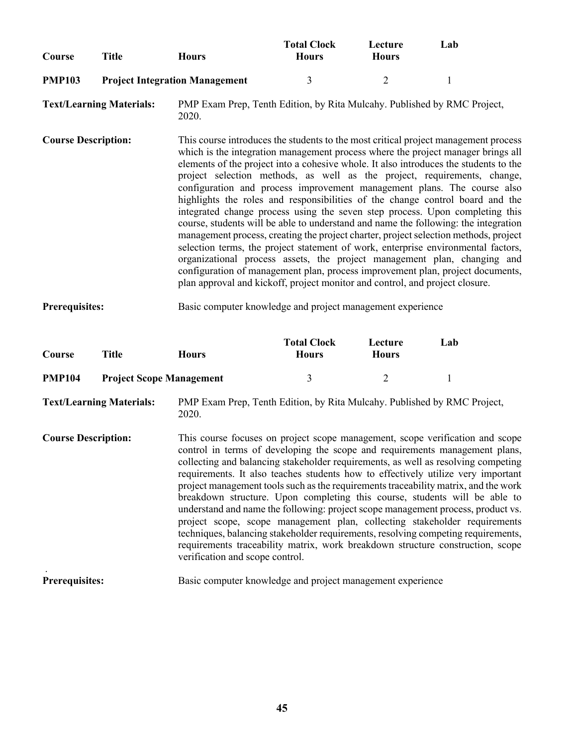| Course        | Title | Hours                                 | <b>Total Clock</b><br><b>Hours</b> | Lecture<br><b>Hours</b> | Lab |
|---------------|-------|---------------------------------------|------------------------------------|-------------------------|-----|
| <b>PMP103</b> |       | <b>Project Integration Management</b> |                                    |                         |     |

**Course Description:** This course introduces the students to the most critical project management process which is the integration management process where the project manager brings all elements of the project into a cohesive whole. It also introduces the students to the project selection methods, as well as the project, requirements, change, configuration and process improvement management plans. The course also highlights the roles and responsibilities of the change control board and the integrated change process using the seven step process. Upon completing this course, students will be able to understand and name the following: the integration management process, creating the project charter, project selection methods, project selection terms, the project statement of work, enterprise environmental factors, organizational process assets, the project management plan, changing and configuration of management plan, process improvement plan, project documents, plan approval and kickoff, project monitor and control, and project closure.

#### **Prerequisites:** Basic computer knowledge and project management experience

| Course        | Title | <b>Hours</b>                    | <b>Total Clock</b><br><b>Hours</b> | Lecture<br><b>Hours</b> | Lab |
|---------------|-------|---------------------------------|------------------------------------|-------------------------|-----|
| <b>PMP104</b> |       | <b>Project Scope Management</b> |                                    |                         |     |

**Text/Learning Materials:** PMP Exam Prep, Tenth Edition, by Rita Mulcahy. Published by RMC Project, 2020.

**Course Description:** This course focuses on project scope management, scope verification and scope control in terms of developing the scope and requirements management plans, collecting and balancing stakeholder requirements, as well as resolving competing requirements. It also teaches students how to effectively utilize very important project management tools such as the requirements traceability matrix, and the work breakdown structure. Upon completing this course, students will be able to understand and name the following: project scope management process, product vs. project scope, scope management plan, collecting stakeholder requirements techniques, balancing stakeholder requirements, resolving competing requirements, requirements traceability matrix, work breakdown structure construction, scope verification and scope control.

#### **Prerequisites:** Basic computer knowledge and project management experience

.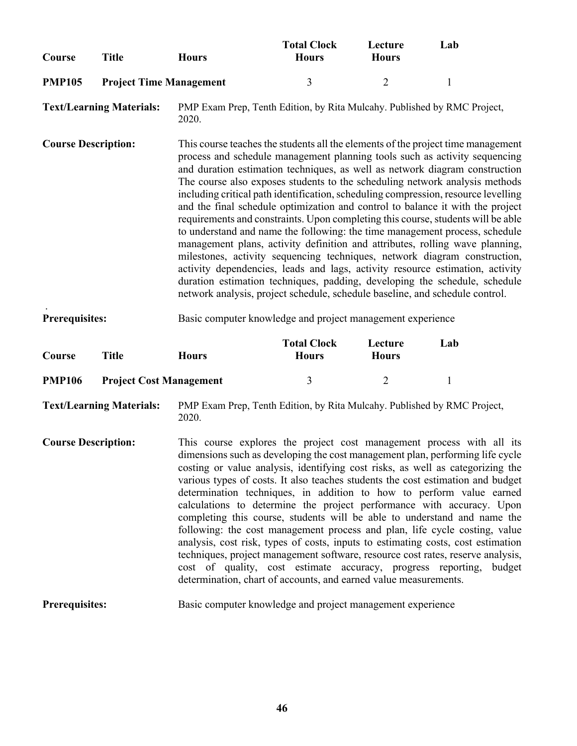| Course                     | <b>Title</b>                    | <b>Hours</b>                                                                                                                     | <b>Total Clock</b><br><b>Hours</b> | Lecture<br><b>Hours</b> | Lab                                                                                                                                                                                                                                                                                                                                                                                                                                                                                                                                                                                                                                                                                                                                                                                                                                                                                                                                                                                                 |
|----------------------------|---------------------------------|----------------------------------------------------------------------------------------------------------------------------------|------------------------------------|-------------------------|-----------------------------------------------------------------------------------------------------------------------------------------------------------------------------------------------------------------------------------------------------------------------------------------------------------------------------------------------------------------------------------------------------------------------------------------------------------------------------------------------------------------------------------------------------------------------------------------------------------------------------------------------------------------------------------------------------------------------------------------------------------------------------------------------------------------------------------------------------------------------------------------------------------------------------------------------------------------------------------------------------|
| <b>PMP105</b>              | <b>Project Time Management</b>  |                                                                                                                                  | 3                                  | $\overline{2}$          | $\mathbf{1}$                                                                                                                                                                                                                                                                                                                                                                                                                                                                                                                                                                                                                                                                                                                                                                                                                                                                                                                                                                                        |
|                            | <b>Text/Learning Materials:</b> | PMP Exam Prep, Tenth Edition, by Rita Mulcahy. Published by RMC Project,<br>2020.                                                |                                    |                         |                                                                                                                                                                                                                                                                                                                                                                                                                                                                                                                                                                                                                                                                                                                                                                                                                                                                                                                                                                                                     |
| <b>Course Description:</b> |                                 | network analysis, project schedule, schedule baseline, and schedule control.                                                     |                                    |                         | This course teaches the students all the elements of the project time management<br>process and schedule management planning tools such as activity sequencing<br>and duration estimation techniques, as well as network diagram construction<br>The course also exposes students to the scheduling network analysis methods<br>including critical path identification, scheduling compression, resource levelling<br>and the final schedule optimization and control to balance it with the project<br>requirements and constraints. Upon completing this course, students will be able<br>to understand and name the following: the time management process, schedule<br>management plans, activity definition and attributes, rolling wave planning,<br>milestones, activity sequencing techniques, network diagram construction,<br>activity dependencies, leads and lags, activity resource estimation, activity<br>duration estimation techniques, padding, developing the schedule, schedule |
| Prerequisites:             |                                 | Basic computer knowledge and project management experience                                                                       |                                    |                         |                                                                                                                                                                                                                                                                                                                                                                                                                                                                                                                                                                                                                                                                                                                                                                                                                                                                                                                                                                                                     |
| Course                     | <b>Title</b>                    | <b>Hours</b>                                                                                                                     | <b>Total Clock</b><br><b>Hours</b> | Lecture<br><b>Hours</b> | Lab                                                                                                                                                                                                                                                                                                                                                                                                                                                                                                                                                                                                                                                                                                                                                                                                                                                                                                                                                                                                 |
| <b>PMP106</b>              | <b>Project Cost Management</b>  |                                                                                                                                  | 3                                  | $\overline{2}$          | $\mathbf{1}$                                                                                                                                                                                                                                                                                                                                                                                                                                                                                                                                                                                                                                                                                                                                                                                                                                                                                                                                                                                        |
|                            | <b>Text/Learning Materials:</b> | PMP Exam Prep, Tenth Edition, by Rita Mulcahy. Published by RMC Project,<br>2020.                                                |                                    |                         |                                                                                                                                                                                                                                                                                                                                                                                                                                                                                                                                                                                                                                                                                                                                                                                                                                                                                                                                                                                                     |
| <b>Course Description:</b> |                                 | cost of quality, cost estimate accuracy, progress reporting,<br>determination, chart of accounts, and earned value measurements. |                                    |                         | This course explores the project cost management process with all its<br>dimensions such as developing the cost management plan, performing life cycle<br>costing or value analysis, identifying cost risks, as well as categorizing the<br>various types of costs. It also teaches students the cost estimation and budget<br>determination techniques, in addition to how to perform value earned<br>calculations to determine the project performance with accuracy. Upon<br>completing this course, students will be able to understand and name the<br>following: the cost management process and plan, life cycle costing, value<br>analysis, cost risk, types of costs, inputs to estimating costs, cost estimation<br>techniques, project management software, resource cost rates, reserve analysis,<br>budget                                                                                                                                                                             |
| <b>Prerequisites:</b>      |                                 | Basic computer knowledge and project management experience                                                                       |                                    |                         |                                                                                                                                                                                                                                                                                                                                                                                                                                                                                                                                                                                                                                                                                                                                                                                                                                                                                                                                                                                                     |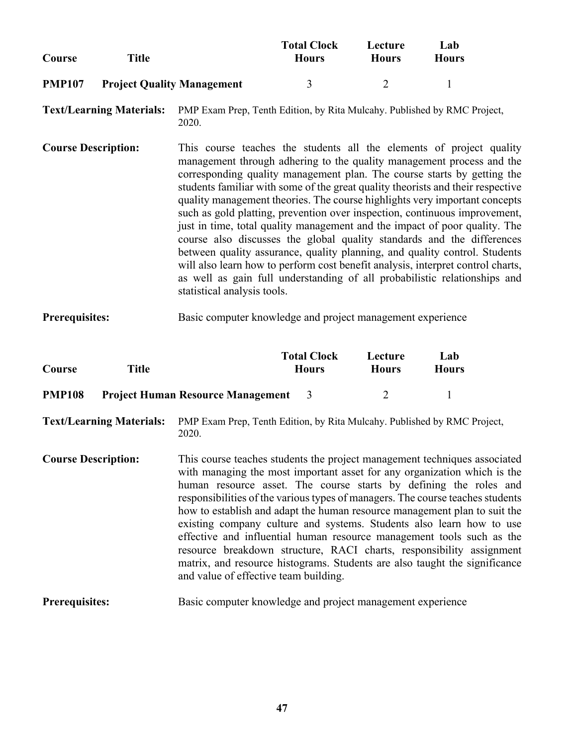| Course        | <b>Title</b>                      | <b>Total Clock</b><br><b>Hours</b> | Lecture<br><b>Hours</b> | Lab<br><b>Hours</b> |
|---------------|-----------------------------------|------------------------------------|-------------------------|---------------------|
| <b>PMP107</b> | <b>Project Quality Management</b> |                                    |                         |                     |

**Course Description:** This course teaches the students all the elements of project quality management through adhering to the quality management process and the corresponding quality management plan. The course starts by getting the students familiar with some of the great quality theorists and their respective quality management theories. The course highlights very important concepts such as gold platting, prevention over inspection, continuous improvement, just in time, total quality management and the impact of poor quality. The course also discusses the global quality standards and the differences between quality assurance, quality planning, and quality control. Students will also learn how to perform cost benefit analysis, interpret control charts, as well as gain full understanding of all probabilistic relationships and statistical analysis tools.

**Prerequisites:** Basic computer knowledge and project management experience

| Course        | Title                                      | <b>Total Clock</b><br><b>Hours</b> | Lecture<br><b>Hours</b> | Lab<br><b>Hours</b> |
|---------------|--------------------------------------------|------------------------------------|-------------------------|---------------------|
| <b>PMP108</b> | <b>Project Human Resource Management</b> 3 |                                    | $\mathcal{D}$           |                     |

**Text/Learning Materials:** PMP Exam Prep, Tenth Edition, by Rita Mulcahy. Published by RMC Project, 2020.

**Course Description:** This course teaches students the project management techniques associated with managing the most important asset for any organization which is the human resource asset. The course starts by defining the roles and responsibilities of the various types of managers. The course teaches students how to establish and adapt the human resource management plan to suit the existing company culture and systems. Students also learn how to use effective and influential human resource management tools such as the resource breakdown structure, RACI charts, responsibility assignment matrix, and resource histograms. Students are also taught the significance and value of effective team building.

**Prerequisites:** Basic computer knowledge and project management experience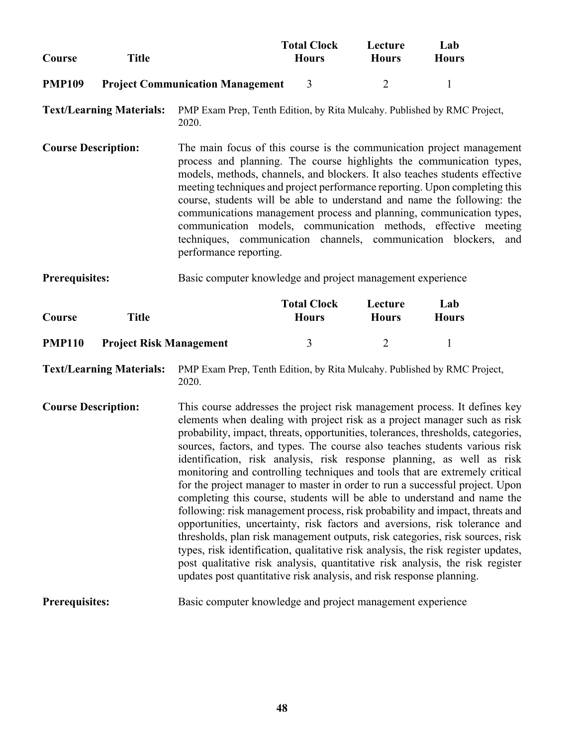| Course                     | <b>Title</b>                    |                                                                                                                                                                                                                                                                                                                                                                                                                                                                                                                                                                                                                                                                                                                                                                                                                                                                                                                                                                                                                                                                                                                                            | <b>Total Clock</b><br><b>Hours</b> | Lecture<br><b>Hours</b> | Lab<br><b>Hours</b> |
|----------------------------|---------------------------------|--------------------------------------------------------------------------------------------------------------------------------------------------------------------------------------------------------------------------------------------------------------------------------------------------------------------------------------------------------------------------------------------------------------------------------------------------------------------------------------------------------------------------------------------------------------------------------------------------------------------------------------------------------------------------------------------------------------------------------------------------------------------------------------------------------------------------------------------------------------------------------------------------------------------------------------------------------------------------------------------------------------------------------------------------------------------------------------------------------------------------------------------|------------------------------------|-------------------------|---------------------|
| <b>PMP109</b>              |                                 | <b>Project Communication Management</b>                                                                                                                                                                                                                                                                                                                                                                                                                                                                                                                                                                                                                                                                                                                                                                                                                                                                                                                                                                                                                                                                                                    | 3                                  | $\overline{2}$          | $\mathbf{1}$        |
|                            | <b>Text/Learning Materials:</b> | PMP Exam Prep, Tenth Edition, by Rita Mulcahy. Published by RMC Project,<br>2020.                                                                                                                                                                                                                                                                                                                                                                                                                                                                                                                                                                                                                                                                                                                                                                                                                                                                                                                                                                                                                                                          |                                    |                         |                     |
| <b>Course Description:</b> |                                 | The main focus of this course is the communication project management<br>process and planning. The course highlights the communication types,<br>models, methods, channels, and blockers. It also teaches students effective<br>meeting techniques and project performance reporting. Upon completing this<br>course, students will be able to understand and name the following: the<br>communications management process and planning, communication types,<br>communication models, communication methods, effective meeting<br>techniques, communication channels, communication blockers,<br>performance reporting.                                                                                                                                                                                                                                                                                                                                                                                                                                                                                                                   |                                    |                         | and                 |
| <b>Prerequisites:</b>      |                                 | Basic computer knowledge and project management experience                                                                                                                                                                                                                                                                                                                                                                                                                                                                                                                                                                                                                                                                                                                                                                                                                                                                                                                                                                                                                                                                                 |                                    |                         |                     |
| Course                     | <b>Title</b>                    |                                                                                                                                                                                                                                                                                                                                                                                                                                                                                                                                                                                                                                                                                                                                                                                                                                                                                                                                                                                                                                                                                                                                            | <b>Total Clock</b><br><b>Hours</b> | Lecture<br><b>Hours</b> | Lab<br><b>Hours</b> |
|                            |                                 |                                                                                                                                                                                                                                                                                                                                                                                                                                                                                                                                                                                                                                                                                                                                                                                                                                                                                                                                                                                                                                                                                                                                            |                                    |                         |                     |
| <b>PMP110</b>              | <b>Project Risk Management</b>  |                                                                                                                                                                                                                                                                                                                                                                                                                                                                                                                                                                                                                                                                                                                                                                                                                                                                                                                                                                                                                                                                                                                                            | 3                                  | $\overline{2}$          | $\mathbf{1}$        |
|                            | <b>Text/Learning Materials:</b> | PMP Exam Prep, Tenth Edition, by Rita Mulcahy. Published by RMC Project,<br>2020.                                                                                                                                                                                                                                                                                                                                                                                                                                                                                                                                                                                                                                                                                                                                                                                                                                                                                                                                                                                                                                                          |                                    |                         |                     |
| <b>Course Description:</b> |                                 | This course addresses the project risk management process. It defines key<br>elements when dealing with project risk as a project manager such as risk<br>probability, impact, threats, opportunities, tolerances, thresholds, categories,<br>sources, factors, and types. The course also teaches students various risk<br>identification, risk analysis, risk response planning, as well as risk<br>monitoring and controlling techniques and tools that are extremely critical<br>for the project manager to master in order to run a successful project. Upon<br>completing this course, students will be able to understand and name the<br>following: risk management process, risk probability and impact, threats and<br>opportunities, uncertainty, risk factors and aversions, risk tolerance and<br>thresholds, plan risk management outputs, risk categories, risk sources, risk<br>types, risk identification, qualitative risk analysis, the risk register updates,<br>post qualitative risk analysis, quantitative risk analysis, the risk register<br>updates post quantitative risk analysis, and risk response planning. |                                    |                         |                     |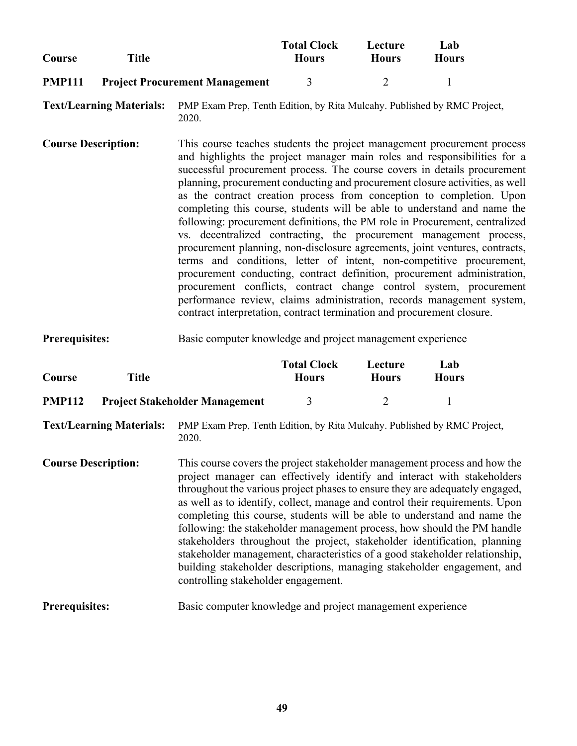|               |                                       | <b>Total Clock</b> | Lecture      | Lab          |
|---------------|---------------------------------------|--------------------|--------------|--------------|
| Course        | Title                                 | <b>Hours</b>       | <b>Hours</b> | <b>Hours</b> |
| <b>PMP111</b> | <b>Project Procurement Management</b> |                    |              |              |

**Course Description:** This course teaches students the project management procurement process and highlights the project manager main roles and responsibilities for a successful procurement process. The course covers in details procurement planning, procurement conducting and procurement closure activities, as well as the contract creation process from conception to completion. Upon completing this course, students will be able to understand and name the following: procurement definitions, the PM role in Procurement, centralized vs. decentralized contracting, the procurement management process, procurement planning, non-disclosure agreements, joint ventures, contracts, terms and conditions, letter of intent, non-competitive procurement, procurement conducting, contract definition, procurement administration, procurement conflicts, contract change control system, procurement performance review, claims administration, records management system, contract interpretation, contract termination and procurement closure.

#### **Prerequisites:** Basic computer knowledge and project management experience

| Course        | Title                                 | <b>Total Clock</b><br><b>Hours</b> | Lecture<br><b>Hours</b> | Lab<br><b>Hours</b> |
|---------------|---------------------------------------|------------------------------------|-------------------------|---------------------|
| <b>PMP112</b> | <b>Project Stakeholder Management</b> |                                    |                         |                     |

**Text/Learning Materials:** PMP Exam Prep, Tenth Edition, by Rita Mulcahy. Published by RMC Project, 2020.

**Course Description:** This course covers the project stakeholder management process and how the project manager can effectively identify and interact with stakeholders throughout the various project phases to ensure they are adequately engaged, as well as to identify, collect, manage and control their requirements. Upon completing this course, students will be able to understand and name the following: the stakeholder management process, how should the PM handle stakeholders throughout the project, stakeholder identification, planning stakeholder management, characteristics of a good stakeholder relationship, building stakeholder descriptions, managing stakeholder engagement, and controlling stakeholder engagement.

**Prerequisites:** Basic computer knowledge and project management experience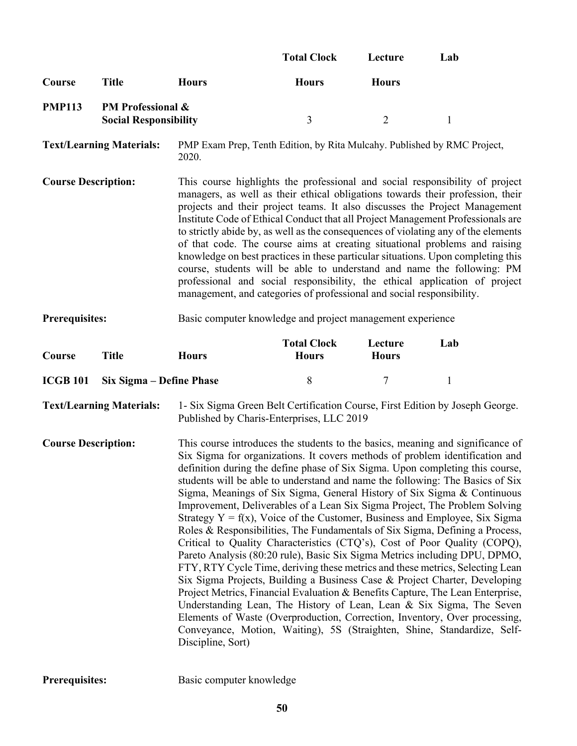|                                 |                                                              |                                                                                                                                                                                                                                                                                                                                                                                                                                                                                                                                                                                                                                                                                                                                                                                                                                                                                                                                                                                                                                                                                                                                                                                                                                                                                                                              | <b>Total Clock</b>                 | Lecture                 | Lab          |  |
|---------------------------------|--------------------------------------------------------------|------------------------------------------------------------------------------------------------------------------------------------------------------------------------------------------------------------------------------------------------------------------------------------------------------------------------------------------------------------------------------------------------------------------------------------------------------------------------------------------------------------------------------------------------------------------------------------------------------------------------------------------------------------------------------------------------------------------------------------------------------------------------------------------------------------------------------------------------------------------------------------------------------------------------------------------------------------------------------------------------------------------------------------------------------------------------------------------------------------------------------------------------------------------------------------------------------------------------------------------------------------------------------------------------------------------------------|------------------------------------|-------------------------|--------------|--|
| Course                          | <b>Title</b>                                                 | <b>Hours</b>                                                                                                                                                                                                                                                                                                                                                                                                                                                                                                                                                                                                                                                                                                                                                                                                                                                                                                                                                                                                                                                                                                                                                                                                                                                                                                                 | <b>Hours</b>                       | <b>Hours</b>            |              |  |
| <b>PMP113</b>                   | <b>PM Professional &amp;</b><br><b>Social Responsibility</b> |                                                                                                                                                                                                                                                                                                                                                                                                                                                                                                                                                                                                                                                                                                                                                                                                                                                                                                                                                                                                                                                                                                                                                                                                                                                                                                                              | 3                                  | $\overline{2}$          | $\mathbf{1}$ |  |
|                                 | <b>Text/Learning Materials:</b>                              | PMP Exam Prep, Tenth Edition, by Rita Mulcahy. Published by RMC Project,<br>2020.                                                                                                                                                                                                                                                                                                                                                                                                                                                                                                                                                                                                                                                                                                                                                                                                                                                                                                                                                                                                                                                                                                                                                                                                                                            |                                    |                         |              |  |
| <b>Course Description:</b>      |                                                              | This course highlights the professional and social responsibility of project<br>managers, as well as their ethical obligations towards their profession, their<br>projects and their project teams. It also discusses the Project Management<br>Institute Code of Ethical Conduct that all Project Management Professionals are<br>to strictly abide by, as well as the consequences of violating any of the elements<br>of that code. The course aims at creating situational problems and raising<br>knowledge on best practices in these particular situations. Upon completing this<br>course, students will be able to understand and name the following: PM<br>professional and social responsibility, the ethical application of project<br>management, and categories of professional and social responsibility.                                                                                                                                                                                                                                                                                                                                                                                                                                                                                                     |                                    |                         |              |  |
| <b>Prerequisites:</b>           |                                                              | Basic computer knowledge and project management experience                                                                                                                                                                                                                                                                                                                                                                                                                                                                                                                                                                                                                                                                                                                                                                                                                                                                                                                                                                                                                                                                                                                                                                                                                                                                   |                                    |                         |              |  |
| Course                          | <b>Title</b>                                                 | <b>Hours</b>                                                                                                                                                                                                                                                                                                                                                                                                                                                                                                                                                                                                                                                                                                                                                                                                                                                                                                                                                                                                                                                                                                                                                                                                                                                                                                                 | <b>Total Clock</b><br><b>Hours</b> | Lecture<br><b>Hours</b> | Lab          |  |
| <b>ICGB 101</b>                 | Six Sigma – Define Phase                                     |                                                                                                                                                                                                                                                                                                                                                                                                                                                                                                                                                                                                                                                                                                                                                                                                                                                                                                                                                                                                                                                                                                                                                                                                                                                                                                                              | 8                                  | $\boldsymbol{7}$        | $\mathbf{1}$ |  |
| <b>Text/Learning Materials:</b> |                                                              | 1- Six Sigma Green Belt Certification Course, First Edition by Joseph George.<br>Published by Charis-Enterprises, LLC 2019                                                                                                                                                                                                                                                                                                                                                                                                                                                                                                                                                                                                                                                                                                                                                                                                                                                                                                                                                                                                                                                                                                                                                                                                   |                                    |                         |              |  |
| <b>Course Description:</b>      |                                                              | This course introduces the students to the basics, meaning and significance of<br>Six Sigma for organizations. It covers methods of problem identification and<br>definition during the define phase of Six Sigma. Upon completing this course,<br>students will be able to understand and name the following: The Basics of Six<br>Sigma, Meanings of Six Sigma, General History of Six Sigma & Continuous<br>Improvement, Deliverables of a Lean Six Sigma Project, The Problem Solving<br>Strategy $Y = f(x)$ , Voice of the Customer, Business and Employee, Six Sigma<br>Roles & Responsibilities, The Fundamentals of Six Sigma, Defining a Process,<br>Critical to Quality Characteristics (CTQ's), Cost of Poor Quality (COPQ),<br>Pareto Analysis (80:20 rule), Basic Six Sigma Metrics including DPU, DPMO,<br>FTY, RTY Cycle Time, deriving these metrics and these metrics, Selecting Lean<br>Six Sigma Projects, Building a Business Case & Project Charter, Developing<br>Project Metrics, Financial Evaluation & Benefits Capture, The Lean Enterprise,<br>Understanding Lean, The History of Lean, Lean & Six Sigma, The Seven<br>Elements of Waste (Overproduction, Correction, Inventory, Over processing,<br>Conveyance, Motion, Waiting), 5S (Straighten, Shine, Standardize, Self-<br>Discipline, Sort) |                                    |                         |              |  |

Prerequisites: Basic computer knowledge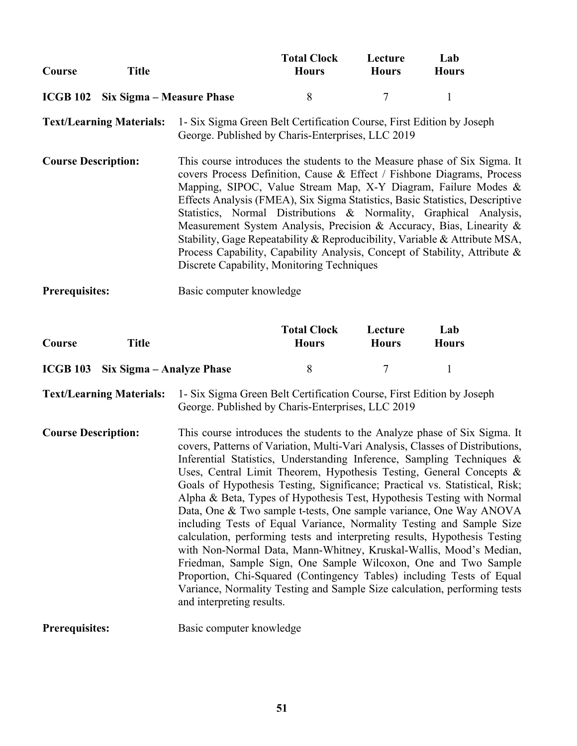| Course | Title                              | <b>Total Clock</b><br><b>Hours</b> | Lecture<br><b>Hours</b> | Lab<br><b>Hours</b> |
|--------|------------------------------------|------------------------------------|-------------------------|---------------------|
|        | ICGB 102 Six Sigma – Measure Phase | X.                                 |                         |                     |

**Text/Learning Materials:** 1- Six Sigma Green Belt Certification Course, First Edition by Joseph George. Published by Charis-Enterprises, LLC 2019

- **Course Description:** This course introduces the students to the Measure phase of Six Sigma. It covers Process Definition, Cause & Effect / Fishbone Diagrams, Process Mapping, SIPOC, Value Stream Map, X-Y Diagram, Failure Modes & Effects Analysis (FMEA), Six Sigma Statistics, Basic Statistics, Descriptive Statistics, Normal Distributions & Normality, Graphical Analysis, Measurement System Analysis, Precision & Accuracy, Bias, Linearity & Stability, Gage Repeatability & Reproducibility, Variable & Attribute MSA, Process Capability, Capability Analysis, Concept of Stability, Attribute & Discrete Capability, Monitoring Techniques
- **Prerequisites:** Basic computer knowledge

| Course | Title                              | <b>Total Clock</b><br><b>Hours</b> | Lecture<br><b>Hours</b> | Lab<br><b>Hours</b> |
|--------|------------------------------------|------------------------------------|-------------------------|---------------------|
|        | ICGB 103 Six Sigma – Analyze Phase |                                    |                         |                     |

**Text/Learning Materials:** 1- Six Sigma Green Belt Certification Course, First Edition by Joseph George. Published by Charis-Enterprises, LLC 2019

- **Course Description:** This course introduces the students to the Analyze phase of Six Sigma. It covers, Patterns of Variation, Multi-Vari Analysis, Classes of Distributions, Inferential Statistics, Understanding Inference, Sampling Techniques & Uses, Central Limit Theorem, Hypothesis Testing, General Concepts & Goals of Hypothesis Testing, Significance; Practical vs. Statistical, Risk; Alpha & Beta, Types of Hypothesis Test, Hypothesis Testing with Normal Data, One & Two sample t-tests, One sample variance, One Way ANOVA including Tests of Equal Variance, Normality Testing and Sample Size calculation, performing tests and interpreting results, Hypothesis Testing with Non-Normal Data, Mann-Whitney, Kruskal-Wallis, Mood's Median, Friedman, Sample Sign, One Sample Wilcoxon, One and Two Sample Proportion, Chi-Squared (Contingency Tables) including Tests of Equal Variance, Normality Testing and Sample Size calculation, performing tests and interpreting results.
- **Prerequisites:** Basic computer knowledge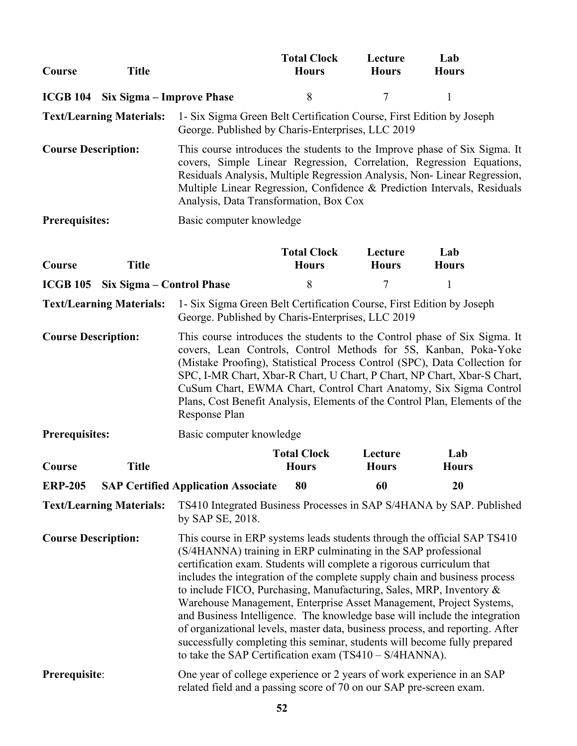| Course                     | <b>Title</b>                                                                                                                                                                                                                                                                                                                                                                                                                                                                                               |                                                                                                                                                                                                                                                                                                                                                                                                                                                                                                                                                                                                                                                                                                                                                          | <b>Total Clock</b><br><b>Hours</b> | Lecture<br><b>Hours</b> | Lab<br><b>Hours</b>                                                                                                                                                                                                                                                                                       |
|----------------------------|------------------------------------------------------------------------------------------------------------------------------------------------------------------------------------------------------------------------------------------------------------------------------------------------------------------------------------------------------------------------------------------------------------------------------------------------------------------------------------------------------------|----------------------------------------------------------------------------------------------------------------------------------------------------------------------------------------------------------------------------------------------------------------------------------------------------------------------------------------------------------------------------------------------------------------------------------------------------------------------------------------------------------------------------------------------------------------------------------------------------------------------------------------------------------------------------------------------------------------------------------------------------------|------------------------------------|-------------------------|-----------------------------------------------------------------------------------------------------------------------------------------------------------------------------------------------------------------------------------------------------------------------------------------------------------|
|                            | <b>ICGB 104</b> Six Sigma – Improve Phase                                                                                                                                                                                                                                                                                                                                                                                                                                                                  |                                                                                                                                                                                                                                                                                                                                                                                                                                                                                                                                                                                                                                                                                                                                                          | 8                                  | $\overline{7}$          | $\mathbf{1}$                                                                                                                                                                                                                                                                                              |
|                            | <b>Text/Learning Materials:</b>                                                                                                                                                                                                                                                                                                                                                                                                                                                                            | 1- Six Sigma Green Belt Certification Course, First Edition by Joseph<br>George. Published by Charis-Enterprises, LLC 2019                                                                                                                                                                                                                                                                                                                                                                                                                                                                                                                                                                                                                               |                                    |                         |                                                                                                                                                                                                                                                                                                           |
| <b>Course Description:</b> |                                                                                                                                                                                                                                                                                                                                                                                                                                                                                                            | Analysis, Data Transformation, Box Cox                                                                                                                                                                                                                                                                                                                                                                                                                                                                                                                                                                                                                                                                                                                   |                                    |                         | This course introduces the students to the Improve phase of Six Sigma. It<br>covers, Simple Linear Regression, Correlation, Regression Equations,<br>Residuals Analysis, Multiple Regression Analysis, Non-Linear Regression,<br>Multiple Linear Regression, Confidence & Prediction Intervals, Residuals |
| <b>Prerequisites:</b>      |                                                                                                                                                                                                                                                                                                                                                                                                                                                                                                            | Basic computer knowledge                                                                                                                                                                                                                                                                                                                                                                                                                                                                                                                                                                                                                                                                                                                                 |                                    |                         |                                                                                                                                                                                                                                                                                                           |
| Course                     | <b>Title</b>                                                                                                                                                                                                                                                                                                                                                                                                                                                                                               |                                                                                                                                                                                                                                                                                                                                                                                                                                                                                                                                                                                                                                                                                                                                                          | <b>Total Clock</b><br><b>Hours</b> | Lecture<br><b>Hours</b> | Lab<br><b>Hours</b>                                                                                                                                                                                                                                                                                       |
| <b>ICGB 105</b>            | Six Sigma - Control Phase                                                                                                                                                                                                                                                                                                                                                                                                                                                                                  |                                                                                                                                                                                                                                                                                                                                                                                                                                                                                                                                                                                                                                                                                                                                                          | 8                                  | 7                       | 1                                                                                                                                                                                                                                                                                                         |
|                            | <b>Text/Learning Materials:</b>                                                                                                                                                                                                                                                                                                                                                                                                                                                                            | 1- Six Sigma Green Belt Certification Course, First Edition by Joseph<br>George. Published by Charis-Enterprises, LLC 2019                                                                                                                                                                                                                                                                                                                                                                                                                                                                                                                                                                                                                               |                                    |                         |                                                                                                                                                                                                                                                                                                           |
|                            | <b>Course Description:</b><br>This course introduces the students to the Control phase of Six Sigma. It<br>covers, Lean Controls, Control Methods for 5S, Kanban, Poka-Yoke<br>(Mistake Proofing), Statistical Process Control (SPC), Data Collection for<br>SPC, I-MR Chart, Xbar-R Chart, U Chart, P Chart, NP Chart, Xbar-S Chart,<br>CuSum Chart, EWMA Chart, Control Chart Anatomy, Six Sigma Control<br>Plans, Cost Benefit Analysis, Elements of the Control Plan, Elements of the<br>Response Plan |                                                                                                                                                                                                                                                                                                                                                                                                                                                                                                                                                                                                                                                                                                                                                          |                                    |                         |                                                                                                                                                                                                                                                                                                           |
| <b>Prerequisites:</b>      |                                                                                                                                                                                                                                                                                                                                                                                                                                                                                                            | Basic computer knowledge                                                                                                                                                                                                                                                                                                                                                                                                                                                                                                                                                                                                                                                                                                                                 |                                    |                         |                                                                                                                                                                                                                                                                                                           |
| Course                     | <b>Title</b>                                                                                                                                                                                                                                                                                                                                                                                                                                                                                               |                                                                                                                                                                                                                                                                                                                                                                                                                                                                                                                                                                                                                                                                                                                                                          | <b>Total Clock</b><br><b>Hours</b> | Lecture<br><b>Hours</b> | Lab<br><b>Hours</b>                                                                                                                                                                                                                                                                                       |
| <b>ERP-205</b>             |                                                                                                                                                                                                                                                                                                                                                                                                                                                                                                            | <b>SAP Certified Application Associate</b>                                                                                                                                                                                                                                                                                                                                                                                                                                                                                                                                                                                                                                                                                                               | 80                                 | 60                      | 20                                                                                                                                                                                                                                                                                                        |
|                            | <b>Text/Learning Materials:</b>                                                                                                                                                                                                                                                                                                                                                                                                                                                                            | by SAP SE, 2018.                                                                                                                                                                                                                                                                                                                                                                                                                                                                                                                                                                                                                                                                                                                                         |                                    |                         | TS410 Integrated Business Processes in SAP S/4HANA by SAP. Published                                                                                                                                                                                                                                      |
| <b>Course Description:</b> |                                                                                                                                                                                                                                                                                                                                                                                                                                                                                                            | This course in ERP systems leads students through the official SAP TS410<br>(S/4HANNA) training in ERP culminating in the SAP professional<br>certification exam. Students will complete a rigorous curriculum that<br>includes the integration of the complete supply chain and business process<br>to include FICO, Purchasing, Manufacturing, Sales, MRP, Inventory &<br>Warehouse Management, Enterprise Asset Management, Project Systems,<br>and Business Intelligence. The knowledge base will include the integration<br>of organizational levels, master data, business process, and reporting. After<br>successfully completing this seminar, students will become fully prepared<br>to take the SAP Certification exam $(TS410 - S/4HANNA)$ . |                                    |                         |                                                                                                                                                                                                                                                                                                           |
| Prerequisite:              |                                                                                                                                                                                                                                                                                                                                                                                                                                                                                                            | One year of college experience or 2 years of work experience in an SAP<br>related field and a passing score of 70 on our SAP pre-screen exam.                                                                                                                                                                                                                                                                                                                                                                                                                                                                                                                                                                                                            |                                    |                         |                                                                                                                                                                                                                                                                                                           |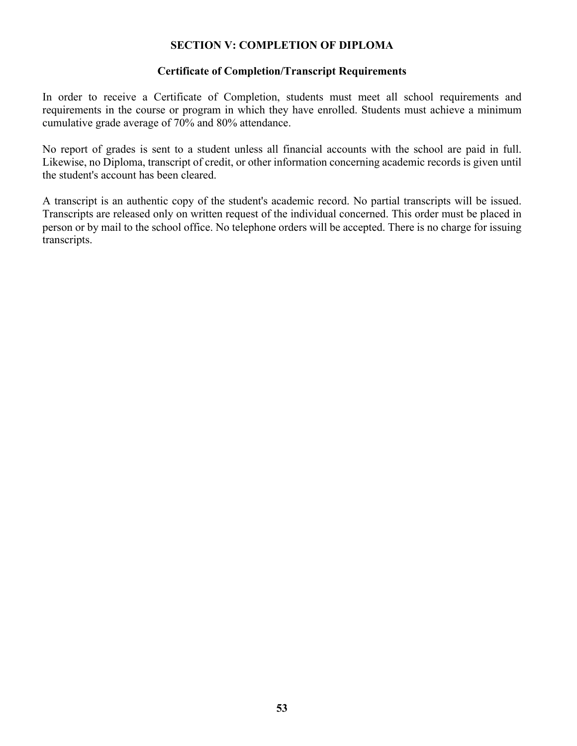#### **SECTION V: COMPLETION OF DIPLOMA**

#### **Certificate of Completion/Transcript Requirements**

In order to receive a Certificate of Completion, students must meet all school requirements and requirements in the course or program in which they have enrolled. Students must achieve a minimum cumulative grade average of 70% and 80% attendance.

No report of grades is sent to a student unless all financial accounts with the school are paid in full. Likewise, no Diploma, transcript of credit, or other information concerning academic records is given until the student's account has been cleared.

A transcript is an authentic copy of the student's academic record. No partial transcripts will be issued. Transcripts are released only on written request of the individual concerned. This order must be placed in person or by mail to the school office. No telephone orders will be accepted. There is no charge for issuing transcripts.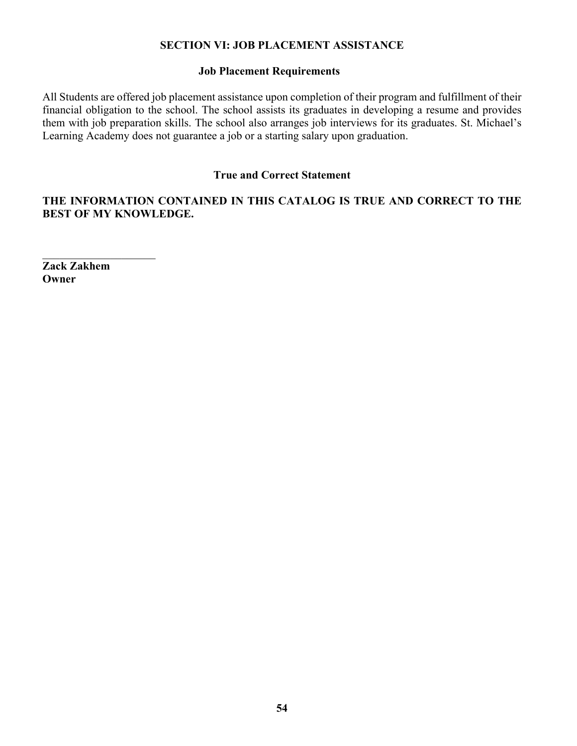#### **SECTION VI: JOB PLACEMENT ASSISTANCE**

#### **Job Placement Requirements**

All Students are offered job placement assistance upon completion of their program and fulfillment of their financial obligation to the school. The school assists its graduates in developing a resume and provides them with job preparation skills. The school also arranges job interviews for its graduates. St. Michael's Learning Academy does not guarantee a job or a starting salary upon graduation.

#### **True and Correct Statement**

#### **THE INFORMATION CONTAINED IN THIS CATALOG IS TRUE AND CORRECT TO THE BEST OF MY KNOWLEDGE.**

**Zack Zakhem Owner**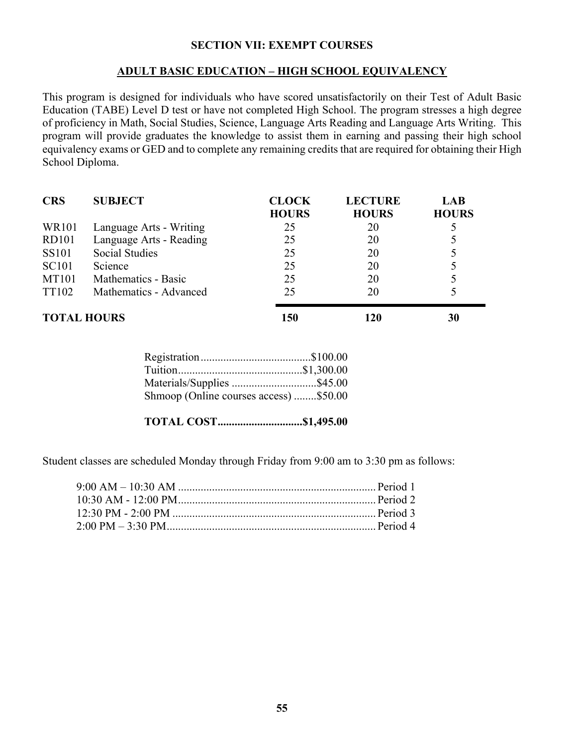#### **SECTION VII: EXEMPT COURSES**

#### **ADULT BASIC EDUCATION – HIGH SCHOOL EQUIVALENCY**

This program is designed for individuals who have scored unsatisfactorily on their Test of Adult Basic Education (TABE) Level D test or have not completed High School. The program stresses a high degree of proficiency in Math, Social Studies, Science, Language Arts Reading and Language Arts Writing. This program will provide graduates the knowledge to assist them in earning and passing their high school equivalency exams or GED and to complete any remaining credits that are required for obtaining their High School Diploma.

| <b>CRS</b>         | <b>SUBJECT</b>          | <b>CLOCK</b><br><b>HOURS</b> | <b>LECTURE</b><br><b>HOURS</b> | <b>LAB</b><br><b>HOURS</b> |
|--------------------|-------------------------|------------------------------|--------------------------------|----------------------------|
| <b>WR101</b>       | Language Arts - Writing | 25                           | 20                             |                            |
| <b>RD101</b>       | Language Arts - Reading | 25                           | 20                             |                            |
| <b>SS101</b>       | <b>Social Studies</b>   | 25                           | 20                             |                            |
| <b>SC101</b>       | Science                 | 25                           | 20                             |                            |
| <b>MT101</b>       | Mathematics - Basic     | 25                           | 20                             |                            |
| <b>TT102</b>       | Mathematics - Advanced  | 25                           | 20                             |                            |
| <b>TOTAL HOURS</b> |                         | 150                          | 120                            | 30                         |

| Materials/Supplies \$45.00             |  |
|----------------------------------------|--|
| Shmoop (Online courses access) \$50.00 |  |

**TOTAL COST..............................\$1,495.00**

Student classes are scheduled Monday through Friday from 9:00 am to 3:30 pm as follows: